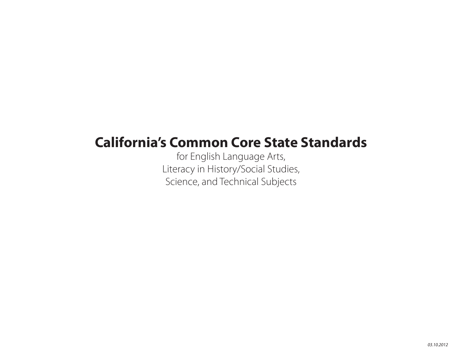# **California's Common Core State Standards**

for English Language Arts, Literacy in History/Social Studies, Science, and Technical Subjects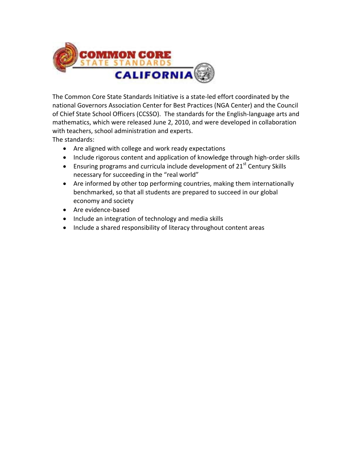

The Common Core State Standards Initiative is a state‐led effort coordinated by the national Governors Association Center for Best Practices (NGA Center) and the Council of Chief State School Officers (CCSSO). The standards for the English‐language arts and mathematics, which were released June 2, 2010, and were developed in collaboration with teachers, school administration and experts.

The standards:

- Are aligned with college and work ready expectations
- Include rigorous content and application of knowledge through high-order skills
- **Ensuring programs and curricula include development of 21st Century Skills** necessary for succeeding in the "real world"
- Are informed by other top performing countries, making them internationally benchmarked, so that all students are prepared to succeed in our global economy and society
- Are evidence-based
- Include an integration of technology and media skills
- Include a shared responsibility of literacy throughout content areas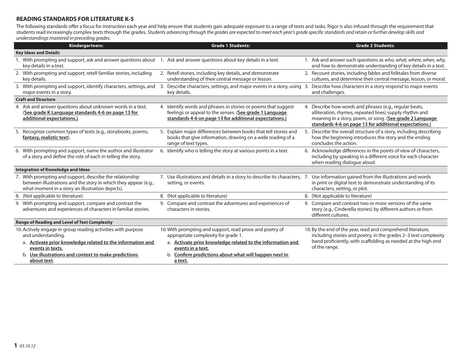## **READING STANDARDS FOR LITERATURE K-5**

The following standards offer a focus for instruction each year and help ensure that students gain adequate exposure to a range of texts and tasks. Rigor is also infused through the requirement that students read increasingly complex texts through the grades. Students advancing through the grades are expected to meet each year's grade specifi c standards and retain or further develop skills and understandings mastered in preceding grades.

| Kindergartners:                                                                                                                                                                 | <b>Grade 1 Students:</b>                                                                                                                                                            | <b>Grade 2 Students:</b>                                                                                                                                                                                                                 |
|---------------------------------------------------------------------------------------------------------------------------------------------------------------------------------|-------------------------------------------------------------------------------------------------------------------------------------------------------------------------------------|------------------------------------------------------------------------------------------------------------------------------------------------------------------------------------------------------------------------------------------|
| <b>Key Ideas and Details</b>                                                                                                                                                    |                                                                                                                                                                                     |                                                                                                                                                                                                                                          |
| 1. With prompting and support, ask and answer questions about 1. Ask and answer questions about key details in a text.<br>key details in a text.                                |                                                                                                                                                                                     | 1. Ask and answer such questions as who, what, where, when, why,<br>and how to demonstrate understanding of key details in a text.                                                                                                       |
| 2. With prompting and support, retell familiar stories, including<br>key details.                                                                                               | 2. Retell stories, including key details, and demonstrate<br>understanding of their central message or lesson.                                                                      | 2. Recount stories, including fables and folktales from diverse<br>cultures, and determine their central message, lesson, or moral.                                                                                                      |
| 3. With prompting and support, identify characters, settings, and<br>major events in a story.                                                                                   | Describe characters, settings, and major events in a story, using 3. Describe how characters in a story respond to major events<br>-3.<br>key details.                              | and challenges.                                                                                                                                                                                                                          |
| <b>Craft and Structure</b>                                                                                                                                                      |                                                                                                                                                                                     |                                                                                                                                                                                                                                          |
| 4. Ask and answer questions about unknown words in a text.<br>(See grade K Language standards 4-6 on page 13 for<br>additional expectations.)                                   | 4. Identify words and phrases in stories or poems that suggest<br>feelings or appeal to the senses. (See grade 1 Language<br>standards 4-6 on page 13 for additional expectations.) | 4. Describe how words and phrases (e.g., regular beats,<br>alliteration, rhymes, repeated lines) supply rhythm and<br>meaning in a story, poem, or song. (See grade 2 Language<br>standards 4-6 on page 13 for additional expectations.) |
| 5. Recognize common types of texts (e.g., storybooks, poems,<br>fantasy, realistic text).                                                                                       | 5. Explain major differences between books that tell stories and<br>books that give information, drawing on a wide reading of a<br>range of text types.                             | 5. Describe the overall structure of a story, including describing<br>how the beginning introduces the story and the ending<br>concludes the action.                                                                                     |
| 6. With prompting and support, name the author and illustrator<br>of a story and define the role of each in telling the story.                                                  | 6. Identify who is telling the story at various points in a text.                                                                                                                   | 6. Acknowledge differences in the points of view of characters,<br>including by speaking in a different voice for each character<br>when reading dialogue aloud.                                                                         |
| <b>Integration of Knowledge and Ideas</b>                                                                                                                                       |                                                                                                                                                                                     |                                                                                                                                                                                                                                          |
| 7. With prompting and support, describe the relationship<br>between illustrations and the story in which they appear (e.g.,<br>what moment in a story an illustration depicts). | 7. Use illustrations and details in a story to describe its characters, 7. Use information gained from the illustrations and words<br>setting, or events.                           | in print or digital text to demonstrate understanding of its<br>characters, setting, or plot.                                                                                                                                            |
| 8. (Not applicable to literature)                                                                                                                                               | 8. (Not applicable to literature)                                                                                                                                                   | 8. (Not applicable to literature)                                                                                                                                                                                                        |
| 9. With prompting and support, compare and contrast the<br>adventures and experiences of characters in familiar stories.                                                        | 9. Compare and contrast the adventures and experiences of<br>characters in stories.                                                                                                 | 9. Compare and contrast two or more versions of the same<br>story (e.g., Cinderella stories) by different authors or from<br>different cultures.                                                                                         |
| <b>Range of Reading and Level of Text Complexity</b>                                                                                                                            |                                                                                                                                                                                     |                                                                                                                                                                                                                                          |
| 10. Actively engage in group reading activities with purpose<br>and understanding.                                                                                              | 10. With prompting and support, read prose and poetry of<br>appropriate complexity for grade 1.                                                                                     | 10. By the end of the year, read and comprehend literature,<br>including stories and poetry, in the grades 2-3 text complexity                                                                                                           |
| a. Activate prior knowledge related to the information and<br>events in texts.                                                                                                  | a. Activate prior knowledge related to the information and<br>events in a text.                                                                                                     | band proficiently, with scaffolding as needed at the high end<br>of the range.                                                                                                                                                           |
| b. Use illustrations and context to make predictions<br>about text.                                                                                                             | b. Confirm predictions about what will happen next in<br>a text.                                                                                                                    |                                                                                                                                                                                                                                          |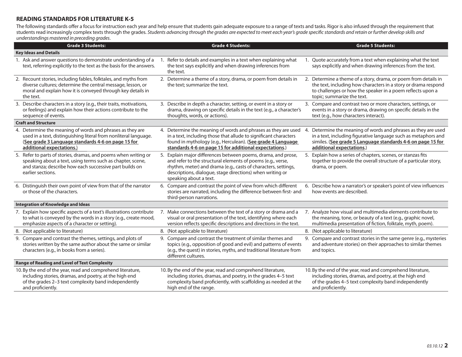# **READING STANDARDS FOR LITERATURE K-5**

The following standards offer a focus for instruction each year and help ensure that students gain adequate exposure to a range of texts and tasks. Rigor is also infused through the requirement that students read increasingly complex texts through the grades. Students advancing through the grades are expected to meet each year's grade specifi c standards and retain or further develop skills and understandings mastered in preceding grades.

| <b>Grade 3 Students:</b>                                                                                                                                                                                         |    | <b>Grade 4 Students:</b>                                                                                                                                                                                                                                                              |              | <b>Grade 5 Students:</b>                                                                                                                                                                                                      |
|------------------------------------------------------------------------------------------------------------------------------------------------------------------------------------------------------------------|----|---------------------------------------------------------------------------------------------------------------------------------------------------------------------------------------------------------------------------------------------------------------------------------------|--------------|-------------------------------------------------------------------------------------------------------------------------------------------------------------------------------------------------------------------------------|
| <b>Key Ideas and Details</b>                                                                                                                                                                                     |    |                                                                                                                                                                                                                                                                                       |              |                                                                                                                                                                                                                               |
| 1. Ask and answer questions to demonstrate understanding of a<br>text, referring explicitly to the text as the basis for the answers.                                                                            |    | Refer to details and examples in a text when explaining what<br>the text says explicitly and when drawing inferences from<br>the text.                                                                                                                                                |              | 1. Quote accurately from a text when explaining what the text<br>says explicitly and when drawing inferences from the text.                                                                                                   |
| 2. Recount stories, including fables, folktales, and myths from<br>diverse cultures; determine the central message, lesson, or<br>moral and explain how it is conveyed through key details in<br>the text.       |    | 2. Determine a theme of a story, drama, or poem from details in<br>the text; summarize the text.                                                                                                                                                                                      |              | 2. Determine a theme of a story, drama, or poem from details in<br>the text, including how characters in a story or drama respond<br>to challenges or how the speaker in a poem reflects upon a<br>topic; summarize the text. |
| 3. Describe characters in a story (e.g., their traits, motivations,<br>or feelings) and explain how their actions contribute to the<br>sequence of events.                                                       |    | 3. Describe in depth a character, setting, or event in a story or<br>drama, drawing on specific details in the text (e.g., a character's<br>thoughts, words, or actions).                                                                                                             |              | 3. Compare and contrast two or more characters, settings, or<br>events in a story or drama, drawing on specific details in the<br>text (e.g., how characters interact).                                                       |
| <b>Craft and Structure</b>                                                                                                                                                                                       |    |                                                                                                                                                                                                                                                                                       |              |                                                                                                                                                                                                                               |
| 4. Determine the meaning of words and phrases as they are<br>used in a text, distinguishing literal from nonliteral language.<br>(See grade 3 Language standards 4-6 on page 15 for<br>additional expectations.) |    | 4. Determine the meaning of words and phrases as they are used<br>in a text, including those that allude to significant characters<br>found in mythology (e.g., Herculean). (See grade 4 Language<br>standards 4-6 on page 15 for additional expectations.)                           | $\mathbf{4}$ | Determine the meaning of words and phrases as they are used<br>in a text, including figurative language such as metaphors and<br>similes. (See grade 5 Language standards 4-6 on page 15 for<br>additional expectations.)     |
| 5. Refer to parts of stories, dramas, and poems when writing or<br>speaking about a text, using terms such as chapter, scene,<br>and stanza; describe how each successive part builds on<br>earlier sections.    |    | 5. Explain major differences between poems, drama, and prose,<br>and refer to the structural elements of poems (e.g., verse,<br>rhythm, meter) and drama (e.g., casts of characters, settings,<br>descriptions, dialogue, stage directions) when writing or<br>speaking about a text. |              | 5. Explain how a series of chapters, scenes, or stanzas fits<br>together to provide the overall structure of a particular story,<br>drama, or poem.                                                                           |
| 6. Distinguish their own point of view from that of the narrator<br>or those of the characters.                                                                                                                  |    | 6. Compare and contrast the point of view from which different<br>stories are narrated, including the difference between first- and<br>third-person narrations.                                                                                                                       |              | 6. Describe how a narrator's or speaker's point of view influences<br>how events are described.                                                                                                                               |
| <b>Integration of Knowledge and Ideas</b>                                                                                                                                                                        |    |                                                                                                                                                                                                                                                                                       |              |                                                                                                                                                                                                                               |
| 7. Explain how specific aspects of a text's illustrations contribute<br>to what is conveyed by the words in a story (e.g., create mood,<br>emphasize aspects of a character or setting).                         |    | 7. Make connections between the text of a story or drama and a<br>visual or oral presentation of the text, identifying where each<br>version reflects specific descriptions and directions in the text.                                                                               |              | 7. Analyze how visual and multimedia elements contribute to<br>the meaning, tone, or beauty of a text (e.g., graphic novel,<br>multimedia presentation of fiction, folktale, myth, poem).                                     |
| 8. (Not applicable to literature)                                                                                                                                                                                |    | 8. (Not applicable to literature)                                                                                                                                                                                                                                                     |              | 8. (Not applicable to literature)                                                                                                                                                                                             |
| 9. Compare and contrast the themes, settings, and plots of<br>stories written by the same author about the same or similar<br>characters (e.g., in books from a series).                                         | 9. | Compare and contrast the treatment of similar themes and<br>topics (e.g., opposition of good and evil) and patterns of events<br>(e.g., the quest) in stories, myths, and traditional literature from<br>different cultures.                                                          |              | 9. Compare and contrast stories in the same genre (e.g., mysteries<br>and adventure stories) on their approaches to similar themes<br>and topics.                                                                             |
| <b>Range of Reading and Level of Text Complexity</b>                                                                                                                                                             |    |                                                                                                                                                                                                                                                                                       |              |                                                                                                                                                                                                                               |
| 10. By the end of the year, read and comprehend literature,<br>including stories, dramas, and poetry, at the high end<br>of the grades 2-3 text complexity band independently<br>and proficiently.               |    | 10. By the end of the year, read and comprehend literature,<br>including stories, dramas, and poetry, in the grades 4-5 text<br>complexity band proficiently, with scaffolding as needed at the<br>high end of the range.                                                             |              | 10. By the end of the year, read and comprehend literature,<br>including stories, dramas, and poetry, at the high end<br>of the grades 4-5 text complexity band independently<br>and proficiently.                            |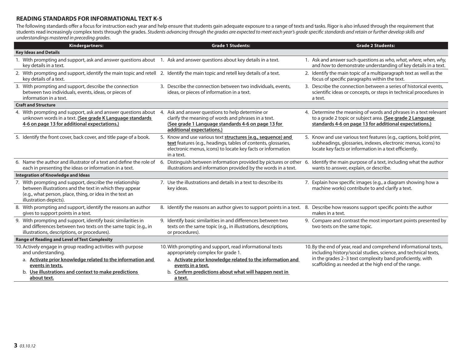#### **READING STANDARDS FOR INFORMATIONAL TEXT K-5**

The following standards offer a focus for instruction each year and help ensure that students gain adequate exposure to a range of texts and tasks. Rigor is also infused through the requirement that students read increasingly complex texts through the grades. Students advancing through the grades are expected to meet each year's grade specific standards and retain or further develop skills and understandings mastered in preceding grades.

| Kindergartners:                                                                                                                                                                                           | <b>Grade 1 Students:</b>                                                                                                                                                                                    | <b>Grade 2 Students:</b>                                                                                                                                                                      |
|-----------------------------------------------------------------------------------------------------------------------------------------------------------------------------------------------------------|-------------------------------------------------------------------------------------------------------------------------------------------------------------------------------------------------------------|-----------------------------------------------------------------------------------------------------------------------------------------------------------------------------------------------|
| <b>Key Ideas and Details</b>                                                                                                                                                                              |                                                                                                                                                                                                             |                                                                                                                                                                                               |
| 1. With prompting and support, ask and answer questions about 1. Ask and answer questions about key details in a text.<br>key details in a text.                                                          |                                                                                                                                                                                                             | 1. Ask and answer such questions as who, what, where, when, why,<br>and how to demonstrate understanding of key details in a text.                                                            |
| 2. With prompting and support, identify the main topic and retell 2. Identify the main topic and retell key details of a text.<br>key details of a text.                                                  |                                                                                                                                                                                                             | 2. Identify the main topic of a multiparagraph text as well as the<br>focus of specific paragraphs within the text.                                                                           |
| 3. With prompting and support, describe the connection<br>between two individuals, events, ideas, or pieces of<br>information in a text.                                                                  | 3. Describe the connection between two individuals, events,<br>ideas, or pieces of information in a text.                                                                                                   | 3. Describe the connection between a series of historical events.<br>scientific ideas or concepts, or steps in technical procedures in<br>a text.                                             |
| <b>Craft and Structure</b>                                                                                                                                                                                |                                                                                                                                                                                                             |                                                                                                                                                                                               |
| 4. With prompting and support, ask and answer questions about 4.<br>unknown words in a text. (See grade K Language standards<br>4-6 on page 13 for additional expectations.)                              | Ask and answer questions to help determine or<br>clarify the meaning of words and phrases in a text.<br>(See grade 1 Language standards 4-6 on page 13 for<br>additional expectations.)                     | 4. Determine the meaning of words and phrases in a text relevant<br>to a grade 2 topic or subject area. (See grade 2 Language<br>standards 4-6 on page 13 for additional expectations.)       |
| 5. Identify the front cover, back cover, and title page of a book.                                                                                                                                        | 5. Know and use various text structures (e.g., sequence) and<br>text features (e.g., headings, tables of contents, glossaries,<br>electronic menus, icons) to locate key facts or information<br>in a text. | 5. Know and use various text features (e.g., captions, bold print,<br>subheadings, glossaries, indexes, electronic menus, icons) to<br>locate key facts or information in a text efficiently. |
| 6. Name the author and illustrator of a text and define the role of<br>each in presenting the ideas or information in a text.                                                                             | 6. Distinguish between information provided by pictures or other 6. Identify the main purpose of a text, including what the author<br>illustrations and information provided by the words in a text.        | wants to answer, explain, or describe.                                                                                                                                                        |
| <b>Integration of Knowledge and Ideas</b>                                                                                                                                                                 |                                                                                                                                                                                                             |                                                                                                                                                                                               |
| 7. With prompting and support, describe the relationship<br>between illustrations and the text in which they appear<br>(e.g., what person, place, thing, or idea in the text an<br>illustration depicts). | 7. Use the illustrations and details in a text to describe its<br>key ideas.                                                                                                                                | 7. Explain how specific images (e.g., a diagram showing how a<br>machine works) contribute to and clarify a text.                                                                             |
| 8. With prompting and support, identify the reasons an author<br>gives to support points in a text.                                                                                                       | 8. Identify the reasons an author gives to support points in a text. 8. Describe how reasons support specific points the author                                                                             | makes in a text.                                                                                                                                                                              |
| 9. With prompting and support, identify basic similarities in<br>and differences between two texts on the same topic (e.g., in<br>illustrations, descriptions, or procedures).                            | 9. Identify basic similarities in and differences between two<br>texts on the same topic (e.g., in illustrations, descriptions,<br>or procedures).                                                          | 9. Compare and contrast the most important points presented by<br>two texts on the same topic.                                                                                                |
| <b>Range of Reading and Level of Text Complexity</b>                                                                                                                                                      |                                                                                                                                                                                                             |                                                                                                                                                                                               |
| 10. Actively engage in group reading activities with purpose<br>and understanding.                                                                                                                        | 10. With prompting and support, read informational texts<br>appropriately complex for grade 1.                                                                                                              | 10. By the end of year, read and comprehend informational texts,<br>including history/social studies, science, and technical texts,                                                           |
| a. Activate prior knowledge related to the information and<br>events in texts.                                                                                                                            | a. Activate prior knowledge related to the information and<br>events in a text.                                                                                                                             | in the grades 2-3 text complexity band proficiently, with<br>scaffolding as needed at the high end of the range.                                                                              |
| b. Use illustrations and context to make predictions<br>about text.                                                                                                                                       | b. Confirm predictions about what will happen next in<br>a text.                                                                                                                                            |                                                                                                                                                                                               |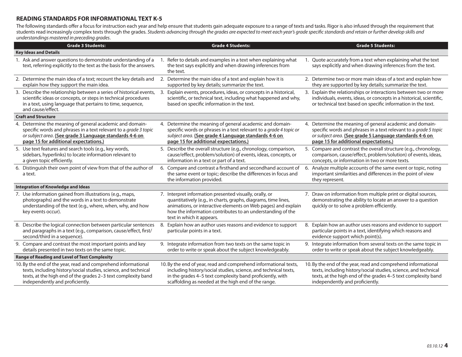## **READING STANDARDS FOR INFORMATIONAL TEXT K-5**

The following standards offer a focus for instruction each year and help ensure that students gain adequate exposure to a range of texts and tasks. Rigor is also infused through the requirement that students read increasingly complex texts through the grades. Students advancing through the grades are expected to meet each year's grade specific standards and retain or further develop skills and understandings mastered in preceding grades.

| <b>Grade 3 Students:</b>                                                                                                                                                                                                             |    | <b>Grade 4 Students:</b>                                                                                                                                                                                                                                                              |    | <b>Grade 5 Students:</b>                                                                                                                                                                                                             |
|--------------------------------------------------------------------------------------------------------------------------------------------------------------------------------------------------------------------------------------|----|---------------------------------------------------------------------------------------------------------------------------------------------------------------------------------------------------------------------------------------------------------------------------------------|----|--------------------------------------------------------------------------------------------------------------------------------------------------------------------------------------------------------------------------------------|
| <b>Key Ideas and Details</b>                                                                                                                                                                                                         |    |                                                                                                                                                                                                                                                                                       |    |                                                                                                                                                                                                                                      |
| 1. Ask and answer questions to demonstrate understanding of a<br>text, referring explicitly to the text as the basis for the answers.                                                                                                |    | 1. Refer to details and examples in a text when explaining what<br>the text says explicitly and when drawing inferences from<br>the text.                                                                                                                                             |    | 1. Quote accurately from a text when explaining what the text<br>says explicitly and when drawing inferences from the text.                                                                                                          |
| 2. Determine the main idea of a text; recount the key details and<br>explain how they support the main idea.                                                                                                                         |    | 2. Determine the main idea of a text and explain how it is<br>supported by key details; summarize the text.                                                                                                                                                                           |    | 2. Determine two or more main ideas of a text and explain how<br>they are supported by key details; summarize the text.                                                                                                              |
| 3. Describe the relationship between a series of historical events,<br>scientific ideas or concepts, or steps in technical procedures<br>in a text, using language that pertains to time, sequence,<br>and cause/effect.             | 3. | Explain events, procedures, ideas, or concepts in a historical,<br>scientific, or technical text, including what happened and why,<br>based on specific information in the text.                                                                                                      |    | 3. Explain the relationships or interactions between two or more<br>individuals, events, ideas, or concepts in a historical, scientific,<br>or technical text based on specific information in the text.                             |
| <b>Craft and Structure</b>                                                                                                                                                                                                           |    |                                                                                                                                                                                                                                                                                       |    |                                                                                                                                                                                                                                      |
| 4. Determine the meaning of general academic and domain-<br>specific words and phrases in a text relevant to a grade 3 topic<br>or subject area. (See grade 3 Language standards 4-6 on<br>page 15 for additional expectations.)     |    | 4. Determine the meaning of general academic and domain-<br>specific words or phrases in a text relevant to a grade 4 topic or<br>subject area. (See grade 4 Language standards 4-6 on<br>page 15 for additional expectations.)                                                       |    | 4. Determine the meaning of general academic and domain-<br>specific words and phrases in a text relevant to a grade 5 topic<br>or subject area. (See grade 5 Language standards 4-6 on<br>page 15 for additional expectations.)     |
| 5. Use text features and search tools (e.g., key words,<br>sidebars, hyperlinks) to locate information relevant to<br>a given topic efficiently.                                                                                     |    | 5. Describe the overall structure (e.g., chronology, comparison,<br>cause/effect, problem/solution) of events, ideas, concepts, or<br>information in a text or part of a text.                                                                                                        |    | 5. Compare and contrast the overall structure (e.g., chronology,<br>comparison, cause/effect, problem/solution) of events, ideas,<br>concepts, or information in two or more texts.                                                  |
| 6. Distinguish their own point of view from that of the author of<br>a text.                                                                                                                                                         |    | 6. Compare and contrast a firsthand and secondhand account of<br>the same event or topic; describe the differences in focus and<br>the information provided.                                                                                                                          |    | 6. Analyze multiple accounts of the same event or topic, noting<br>important similarities and differences in the point of view<br>they represent.                                                                                    |
| <b>Integration of Knowledge and Ideas</b>                                                                                                                                                                                            |    |                                                                                                                                                                                                                                                                                       |    |                                                                                                                                                                                                                                      |
| 7. Use information gained from illustrations (e.g., maps,<br>photographs) and the words in a text to demonstrate<br>understanding of the text (e.g., where, when, why, and how<br>key events occur).                                 |    | 7. Interpret information presented visually, orally, or<br>quantitatively (e.g., in charts, graphs, diagrams, time lines,<br>animations, or interactive elements on Web pages) and explain<br>how the information contributes to an understanding of the<br>text in which it appears. |    | 7. Draw on information from multiple print or digital sources,<br>demonstrating the ability to locate an answer to a question<br>quickly or to solve a problem efficiently.                                                          |
| 8. Describe the logical connection between particular sentences<br>and paragraphs in a text (e.g., comparison, cause/effect, first/<br>second/third in a sequence).                                                                  |    | 8. Explain how an author uses reasons and evidence to support<br>particular points in a text.                                                                                                                                                                                         | 8. | Explain how an author uses reasons and evidence to support<br>particular points in a text, identifying which reasons and<br>evidence support which point(s).                                                                         |
| 9. Compare and contrast the most important points and key<br>details presented in two texts on the same topic.                                                                                                                       |    | 9. Integrate information from two texts on the same topic in<br>order to write or speak about the subject knowledgeably.                                                                                                                                                              |    | 9. Integrate information from several texts on the same topic in<br>order to write or speak about the subject knowledgeably.                                                                                                         |
| <b>Range of Reading and Level of Text Complexity</b>                                                                                                                                                                                 |    |                                                                                                                                                                                                                                                                                       |    |                                                                                                                                                                                                                                      |
| 10. By the end of the year, read and comprehend informational<br>texts, including history/social studies, science, and technical<br>texts, at the high end of the grades 2-3 text complexity band<br>independently and proficiently. |    | 10. By the end of year, read and comprehend informational texts,<br>including history/social studies, science, and technical texts,<br>in the grades 4-5 text complexity band proficiently, with<br>scaffolding as needed at the high end of the range.                               |    | 10. By the end of the year, read and comprehend informational<br>texts, including history/social studies, science, and technical<br>texts, at the high end of the grades 4-5 text complexity band<br>independently and proficiently. |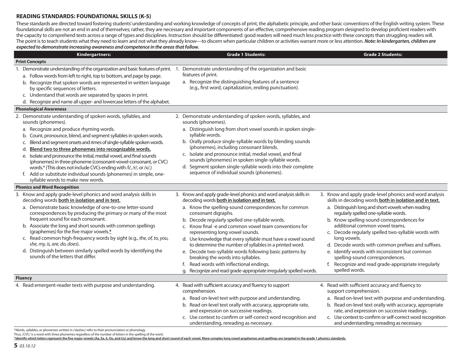#### **READING STANDARDS: FOUNDATIONAL SKILLS (K-5)**

These standards are directed toward fostering students' understanding and working knowledge of concepts of print, the alphabetic principle, and other basic conventions of the English writing system. These foundational skills are not an end in and of themselves; rather, they are necessary and important components of an effective, comprehensive reading program designed to develop proficient readers with the capacity to comprehend texts across a range of types and disciplines. Instruction should be differentiated: good readers will need much less practice with these concepts than struggling readers will. The point is to teach students what they need to learn and not what they already know—to discern when particular children or activities warrant more or less attention. *Note: In kindergarten, children are expected to demonstrate increasing awareness and competence in the areas that follow.*

| Kindergartners:                                                                                                                                                                                                                                                                                                                                                                                                                                                                                                                                                                                                                                                           | <b>Grade 1 Students:</b>                                                                                                                                                                                                                                                                                                                                                                                                                                                                                                                                                                                                                                                                          | <b>Grade 2 Students:</b>                                                                                                                                                                                                                                                                                                                                                                                                                                                                                                                                                                    |
|---------------------------------------------------------------------------------------------------------------------------------------------------------------------------------------------------------------------------------------------------------------------------------------------------------------------------------------------------------------------------------------------------------------------------------------------------------------------------------------------------------------------------------------------------------------------------------------------------------------------------------------------------------------------------|---------------------------------------------------------------------------------------------------------------------------------------------------------------------------------------------------------------------------------------------------------------------------------------------------------------------------------------------------------------------------------------------------------------------------------------------------------------------------------------------------------------------------------------------------------------------------------------------------------------------------------------------------------------------------------------------------|---------------------------------------------------------------------------------------------------------------------------------------------------------------------------------------------------------------------------------------------------------------------------------------------------------------------------------------------------------------------------------------------------------------------------------------------------------------------------------------------------------------------------------------------------------------------------------------------|
| <b>Print Concepts</b>                                                                                                                                                                                                                                                                                                                                                                                                                                                                                                                                                                                                                                                     |                                                                                                                                                                                                                                                                                                                                                                                                                                                                                                                                                                                                                                                                                                   |                                                                                                                                                                                                                                                                                                                                                                                                                                                                                                                                                                                             |
| 1. Demonstrate understanding of the organization and basic features of print. 1.<br>a. Follow words from left to right, top to bottom, and page by page.<br>b. Recognize that spoken words are represented in written language<br>by specific sequences of letters.<br>c. Understand that words are separated by spaces in print.<br>d. Recognize and name all upper- and lowercase letters of the alphabet.                                                                                                                                                                                                                                                              | Demonstrate understanding of the organization and basic<br>features of print.<br>a. Recognize the distinguishing features of a sentence<br>(e.g., first word, capitalization, ending punctuation).                                                                                                                                                                                                                                                                                                                                                                                                                                                                                                |                                                                                                                                                                                                                                                                                                                                                                                                                                                                                                                                                                                             |
| <b>Phonological Awareness</b>                                                                                                                                                                                                                                                                                                                                                                                                                                                                                                                                                                                                                                             |                                                                                                                                                                                                                                                                                                                                                                                                                                                                                                                                                                                                                                                                                                   |                                                                                                                                                                                                                                                                                                                                                                                                                                                                                                                                                                                             |
| 2. Demonstrate understanding of spoken words, syllables, and<br>sounds (phonemes).<br>a. Recognize and produce rhyming words.<br>b. Count, pronounce, blend, and segment syllables in spoken words.<br>Blend and segment onsets and rimes of single-syllable spoken words.<br>C.<br>Blend two to three phonemes into recognizable words.<br>d.<br>e. Isolate and pronounce the initial, medial vowel, and final sounds<br>(phonemes) in three-phoneme (consonant-vowel-consonant, or CVC)<br>words.* (This does not include CVCs ending with /l/, /r/, or /x/.)<br>f. Add or substitute individual sounds (phonemes) in simple, one-<br>syllable words to make new words. | 2. Demonstrate understanding of spoken words, syllables, and<br>sounds (phonemes).<br>a. Distinguish long from short vowel sounds in spoken single-<br>syllable words.<br>b. Orally produce single-syllable words by blending sounds<br>(phonemes), including consonant blends.<br>c. Isolate and pronounce initial, medial vowel, and final<br>sounds (phonemes) in spoken single-syllable words.<br>d. Segment spoken single-syllable words into their complete<br>sequence of individual sounds (phonemes).                                                                                                                                                                                    |                                                                                                                                                                                                                                                                                                                                                                                                                                                                                                                                                                                             |
| <b>Phonics and Word Recognition</b>                                                                                                                                                                                                                                                                                                                                                                                                                                                                                                                                                                                                                                       |                                                                                                                                                                                                                                                                                                                                                                                                                                                                                                                                                                                                                                                                                                   |                                                                                                                                                                                                                                                                                                                                                                                                                                                                                                                                                                                             |
| 3. Know and apply grade-level phonics and word analysis skills in<br>decoding words both in isolation and in text.<br>a. Demonstrate basic knowledge of one-to-one letter-sound<br>correspondences by producing the primary or many of the most<br>frequent sound for each consonant.<br>b. Associate the long and short sounds with common spellings<br>(graphemes) for the five major vowels.*<br>c. Read common high-frequency words by sight (e.g., the, of, to, you,<br>she, my, is, are, do, does).<br>d. Distinguish between similarly spelled words by identifying the<br>sounds of the letters that differ.                                                      | 3. Know and apply grade-level phonics and word analysis skills in<br>decoding words both in isolation and in text.<br>a. Know the spelling-sound correspondences for common<br>consonant digraphs.<br>b. Decode regularly spelled one-syllable words.<br>c. Know final -e and common vowel team conventions for<br>representing long vowel sounds.<br>d. Use knowledge that every syllable must have a vowel sound<br>to determine the number of syllables in a printed word.<br>e. Decode two-syllable words following basic patterns by<br>breaking the words into syllables.<br>f. Read words with inflectional endings.<br>g. Recognize and read grade-appropriate irregularly spelled words. | 3. Know and apply grade-level phonics and word analysis<br>skills in decoding words both in isolation and in text.<br>a. Distinguish long and short vowels when reading<br>regularly spelled one-syllable words.<br>b. Know spelling-sound correspondences for<br>additional common vowel teams.<br>c. Decode regularly spelled two-syllable words with<br>long vowels.<br>d. Decode words with common prefixes and suffixes.<br>e. Identify words with inconsistent but common<br>spelling-sound correspondences.<br>f. Recognize and read grade-appropriate irregularly<br>spelled words. |
| <b>Fluency</b>                                                                                                                                                                                                                                                                                                                                                                                                                                                                                                                                                                                                                                                            |                                                                                                                                                                                                                                                                                                                                                                                                                                                                                                                                                                                                                                                                                                   |                                                                                                                                                                                                                                                                                                                                                                                                                                                                                                                                                                                             |
| 4. Read emergent-reader texts with purpose and understanding.                                                                                                                                                                                                                                                                                                                                                                                                                                                                                                                                                                                                             | 4. Read with sufficient accuracy and fluency to support<br>comprehension.<br>a. Read on-level text with purpose and understanding.<br>b. Read on-level text orally with accuracy, appropriate rate,<br>and expression on successive readings.<br>c. Use context to confirm or self-correct word recognition and<br>understanding, rereading as necessary.                                                                                                                                                                                                                                                                                                                                         | 4. Read with sufficient accuracy and fluency to<br>support comprehension.<br>a. Read on-level text with purpose and understanding.<br>b. Read on-level text orally with accuracy, appropriate<br>rate, and expression on successive readings.<br>c. Use context to confirm or self-correct word recognition<br>and understanding, rereading as necessary.                                                                                                                                                                                                                                   |

\*Words, syllables, or phonemes written in /slashes/ refer to their pronunciation or phonology.

Thus, /CVC/ is a word with three phonemes regardless of the number of letters in the spelling of the word.

\*Identify which letters represent the five major vowels (Aa, Ee, Ii, Oo, and Uu) and know the long and short sound of each vowel. More complex long vowel graphemes and spellings are targeted in the grade 1 phonics standard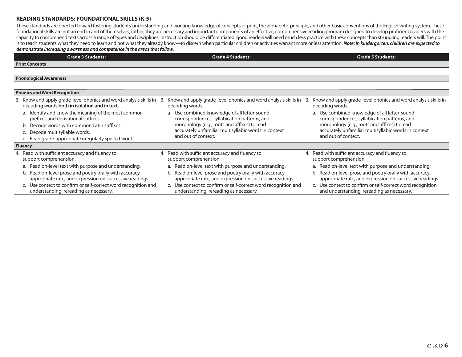#### **READING STANDARDS: FOUNDATIONAL SKILLS (K-5)**

These standards are directed toward fostering students' understanding and working knowledge of concepts of print, the alphabetic principle, and other basic conventions of the English writing system. These foundational skills are not an end in and of themselves; rather, they are necessary and important components of an effective, comprehensive reading program designed to develop proficient readers with the capacity to comprehend texts across a range of types and disciplines. Instruction should be differentiated: good readers will need much less practice with these concepts than struggling readers will. The point is to teach students what they need to learn and not what they already know—to discern when particular children or activities warrant more or less attention. *Note: In kindergarten, children are expected to demonstrate increasing awareness and competence in the areas that follow.*

| <b>Grade 3 Students:</b>                                                                                            | <b>Grade 4 Students:</b>                                                                                            | <b>Grade 5 Students:</b>                                                                                            |
|---------------------------------------------------------------------------------------------------------------------|---------------------------------------------------------------------------------------------------------------------|---------------------------------------------------------------------------------------------------------------------|
| <b>Print Concepts</b>                                                                                               |                                                                                                                     |                                                                                                                     |
|                                                                                                                     |                                                                                                                     |                                                                                                                     |
| <b>Phonological Awareness</b>                                                                                       |                                                                                                                     |                                                                                                                     |
|                                                                                                                     |                                                                                                                     |                                                                                                                     |
| <b>Phonics and Word Recognition</b>                                                                                 |                                                                                                                     |                                                                                                                     |
| 3. Know and apply grade-level phonics and word analysis skills in<br>decoding words both in isolation and in text.  | Know and apply grade-level phonics and word analysis skills in<br>3.<br>decoding words.                             | Know and apply grade-level phonics and word analysis skills in<br>decoding words.                                   |
| a. Identify and know the meaning of the most common<br>prefixes and derivational suffixes.                          | a. Use combined knowledge of all letter-sound<br>correspondences, syllabication patterns, and                       | a. Use combined knowledge of all letter-sound<br>correspondences, syllabication patterns, and                       |
| b. Decode words with common Latin suffixes.                                                                         | morphology (e.g., roots and affixes) to read                                                                        | morphology (e.g., roots and affixes) to read                                                                        |
| c. Decode multisyllable words.                                                                                      | accurately unfamiliar multisyllabic words in context<br>and out of context.                                         | accurately unfamiliar multisyllabic words in context<br>and out of context.                                         |
| d. Read grade-appropriate irregularly spelled words.                                                                |                                                                                                                     |                                                                                                                     |
| <b>Fluency</b>                                                                                                      |                                                                                                                     |                                                                                                                     |
| 4. Read with sufficient accuracy and fluency to<br>support comprehension.                                           | 4. Read with sufficient accuracy and fluency to<br>support comprehension.                                           | 4. Read with sufficient accuracy and fluency to<br>support comprehension.                                           |
| a. Read on-level text with purpose and understanding.                                                               | a. Read on-level text with purpose and understanding.                                                               | a. Read on-level text with purpose and understanding.                                                               |
| b. Read on-level prose and poetry orally with accuracy,<br>appropriate rate, and expression on successive readings. | b. Read on-level prose and poetry orally with accuracy,<br>appropriate rate, and expression on successive readings. | b. Read on-level prose and poetry orally with accuracy,<br>appropriate rate, and expression on successive readings. |
| c. Use context to confirm or self-correct word recognition and<br>understanding, rereading as necessary.            | c. Use context to confirm or self-correct word recognition and<br>understanding, rereading as necessary.            | c. Use context to confirm or self-correct word recognition<br>and understanding, rereading as necessary.            |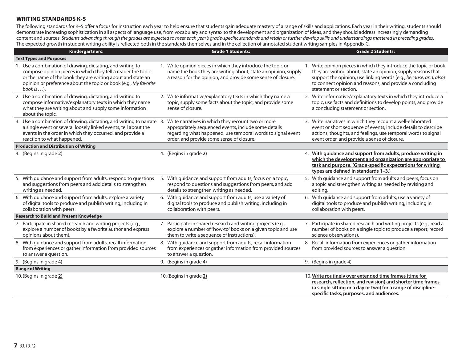## **WRITING STANDARDS K-5**

The following standards for K–5 offer a focus for instruction each year to help ensure that students gain adequate mastery of a range of skills and applications. Each year in their writing, students should demonstrate increasing sophistication in all aspects of language use, from vocabulary and syntax to the development and organization of ideas, and they should address increasingly demanding content and sources. Students advancing through the grades are expected to meet each year's grade-specific standards and retain or further develop skills and understandings mastered in preceding grades. The expected growth in student writing ability is reflected both in the standards themselves and in the collection of annotated student writing samples in Appendix C.

| Kindergartners:                                                                                                                                                                                                                                                             | <b>Grade 1 Students:</b>                                                                                                                                                                                               | <b>Grade 2 Students:</b>                                                                                                                                                                                                                                                                     |
|-----------------------------------------------------------------------------------------------------------------------------------------------------------------------------------------------------------------------------------------------------------------------------|------------------------------------------------------------------------------------------------------------------------------------------------------------------------------------------------------------------------|----------------------------------------------------------------------------------------------------------------------------------------------------------------------------------------------------------------------------------------------------------------------------------------------|
| <b>Text Types and Purposes</b>                                                                                                                                                                                                                                              |                                                                                                                                                                                                                        |                                                                                                                                                                                                                                                                                              |
| 1. Use a combination of drawing, dictating, and writing to<br>compose opinion pieces in which they tell a reader the topic<br>or the name of the book they are writing about and state an<br>opinion or preference about the topic or book (e.g., My favorite<br>book is ). | 1. Write opinion pieces in which they introduce the topic or<br>name the book they are writing about, state an opinion, supply<br>a reason for the opinion, and provide some sense of closure.                         | 1. Write opinion pieces in which they introduce the topic or book<br>they are writing about, state an opinion, supply reasons that<br>support the opinion, use linking words (e.g., because, and, also)<br>to connect opinion and reasons, and provide a concluding<br>statement or section. |
| 2. Use a combination of drawing, dictating, and writing to<br>compose informative/explanatory texts in which they name<br>what they are writing about and supply some information<br>about the topic.                                                                       | 2. Write informative/explanatory texts in which they name a<br>topic, supply some facts about the topic, and provide some<br>sense of closure.                                                                         | 2. Write informative/explanatory texts in which they introduce a<br>topic, use facts and definitions to develop points, and provide<br>a concluding statement or section.                                                                                                                    |
| 3. Use a combination of drawing, dictating, and writing to narrate 3.<br>a single event or several loosely linked events, tell about the<br>events in the order in which they occurred, and provide a<br>reaction to what happened.                                         | Write narratives in which they recount two or more<br>appropriately sequenced events, include some details<br>regarding what happened, use temporal words to signal event<br>order, and provide some sense of closure. | 3. Write narratives in which they recount a well-elaborated<br>event or short sequence of events, include details to describe<br>actions, thoughts, and feelings, use temporal words to signal<br>event order, and provide a sense of closure.                                               |
| <b>Production and Distribution of Writing</b>                                                                                                                                                                                                                               |                                                                                                                                                                                                                        |                                                                                                                                                                                                                                                                                              |
| 4. (Begins in grade 2)                                                                                                                                                                                                                                                      | 4. (Begins in grade 2)                                                                                                                                                                                                 | 4. With guidance and support from adults, produce writing in<br>which the development and organization are appropriate to<br>task and purpose. (Grade-specific expectations for writing<br>types are defined in standards 1-3.)                                                              |
| 5. With guidance and support from adults, respond to questions<br>and suggestions from peers and add details to strengthen<br>writing as needed.                                                                                                                            | 5. With guidance and support from adults, focus on a topic,<br>respond to questions and suggestions from peers, and add<br>details to strengthen writing as needed.                                                    | 5. With guidance and support from adults and peers, focus on<br>a topic and strengthen writing as needed by revising and<br>editing.                                                                                                                                                         |
| 6. With guidance and support from adults, explore a variety<br>of digital tools to produce and publish writing, including in<br>collaboration with peers.                                                                                                                   | 6. With quidance and support from adults, use a variety of<br>digital tools to produce and publish writing, including in<br>collaboration with peers.                                                                  | 6. With guidance and support from adults, use a variety of<br>digital tools to produce and publish writing, including in<br>collaboration with peers.                                                                                                                                        |
| <b>Research to Build and Present Knowledge</b>                                                                                                                                                                                                                              |                                                                                                                                                                                                                        |                                                                                                                                                                                                                                                                                              |
| 7. Participate in shared research and writing projects (e.g.,<br>explore a number of books by a favorite author and express<br>opinions about them).                                                                                                                        | 7. Participate in shared research and writing projects (e.g.,<br>explore a number of "how-to" books on a given topic and use<br>them to write a sequence of instructions).                                             | 7. Participate in shared research and writing projects (e.g., read a<br>number of books on a single topic to produce a report; record<br>science observations).                                                                                                                              |
| 8. With guidance and support from adults, recall information<br>from experiences or gather information from provided sources<br>to answer a question.                                                                                                                       | 8. With guidance and support from adults, recall information<br>from experiences or gather information from provided sources<br>to answer a question.                                                                  | 8. Recall information from experiences or gather information<br>from provided sources to answer a question.                                                                                                                                                                                  |
| 9. (Begins in grade 4)                                                                                                                                                                                                                                                      | 9. (Begins in grade 4)                                                                                                                                                                                                 | 9. (Begins in grade 4)                                                                                                                                                                                                                                                                       |
| <b>Range of Writing</b>                                                                                                                                                                                                                                                     |                                                                                                                                                                                                                        |                                                                                                                                                                                                                                                                                              |
| 10. (Begins in grade 2)                                                                                                                                                                                                                                                     | 10. (Begins in grade 2)                                                                                                                                                                                                | 10. Write routinely over extended time frames (time for<br>research, reflection, and revision) and shorter time frames<br>(a single sitting or a day or two) for a range of discipline-<br>specific tasks, purposes, and audiences.                                                          |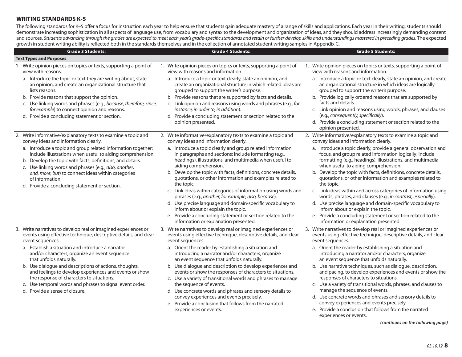## **WRITING STANDARDS K-5**

The following standards for K–5 offer a focus for instruction each year to help ensure that students gain adequate mastery of a range of skills and applications. Each year in their writing, students should demonstrate increasing sophistication in all aspects of language use, from vocabulary and syntax to the development and organization of ideas, and they should address increasingly demanding content and sources. Students advancing through the grades are expected to meet each year's grade-specific standards and retain or further develop skills and understandings mastered in preceding grades. The expected growth in student writing ability is reflected both in the standards themselves and in the collection of annotated student writing samples in Appendix C.

| <b>Grade 3 Students:</b>                                                                                                                                                                                                                                                                                                                                                                                                                                                                                                                               | <b>Grade 4 Students:</b>                                                                                                                                                                                                                                                                                                                                                                                                                                                                                                                                                                                                                                                                                                                                                                            | المتحاطة والمتحدث والمتحدث والمتحدث<br><b>Grade 5 Students:</b>                                                                                                                                                                                                                                                                                                                                                                                                                                                                                                                                                                                                                                                                                                                                                                       |
|--------------------------------------------------------------------------------------------------------------------------------------------------------------------------------------------------------------------------------------------------------------------------------------------------------------------------------------------------------------------------------------------------------------------------------------------------------------------------------------------------------------------------------------------------------|-----------------------------------------------------------------------------------------------------------------------------------------------------------------------------------------------------------------------------------------------------------------------------------------------------------------------------------------------------------------------------------------------------------------------------------------------------------------------------------------------------------------------------------------------------------------------------------------------------------------------------------------------------------------------------------------------------------------------------------------------------------------------------------------------------|---------------------------------------------------------------------------------------------------------------------------------------------------------------------------------------------------------------------------------------------------------------------------------------------------------------------------------------------------------------------------------------------------------------------------------------------------------------------------------------------------------------------------------------------------------------------------------------------------------------------------------------------------------------------------------------------------------------------------------------------------------------------------------------------------------------------------------------|
| <b>Text Types and Purposes</b>                                                                                                                                                                                                                                                                                                                                                                                                                                                                                                                         |                                                                                                                                                                                                                                                                                                                                                                                                                                                                                                                                                                                                                                                                                                                                                                                                     |                                                                                                                                                                                                                                                                                                                                                                                                                                                                                                                                                                                                                                                                                                                                                                                                                                       |
| 1. Write opinion pieces on topics or texts, supporting a point of<br>view with reasons.<br>a. Introduce the topic or text they are writing about, state<br>an opinion, and create an organizational structure that<br>lists reasons.<br>b. Provide reasons that support the opinion.<br>c. Use linking words and phrases (e.g., because, therefore, since,<br>for example) to connect opinion and reasons.<br>d. Provide a concluding statement or section.                                                                                            | 1. Write opinion pieces on topics or texts, supporting a point of<br>view with reasons and information.<br>a. Introduce a topic or text clearly, state an opinion, and<br>create an organizational structure in which related ideas are<br>grouped to support the writer's purpose.<br>b. Provide reasons that are supported by facts and details.<br>c. Link opinion and reasons using words and phrases (e.g., for<br>instance, in order to, in addition).<br>d. Provide a concluding statement or section related to the<br>opinion presented.                                                                                                                                                                                                                                                   | 1. Write opinion pieces on topics or texts, supporting a point of<br>view with reasons and information.<br>a. Introduce a topic or text clearly, state an opinion, and create<br>an organizational structure in which ideas are logically<br>grouped to support the writer's purpose.<br>b. Provide logically ordered reasons that are supported by<br>facts and details.<br>c. Link opinion and reasons using words, phrases, and clauses<br>(e.g., consequently, specifically).<br>d. Provide a concluding statement or section related to the<br>opinion presented.                                                                                                                                                                                                                                                                |
| 2. Write informative/explanatory texts to examine a topic and<br>convey ideas and information clearly.<br>a. Introduce a topic and group related information together;<br>include illustrations when useful to aiding comprehension.<br>b. Develop the topic with facts, definitions, and details.<br>c. Use linking words and phrases (e.g., also, another,<br>and, more, but) to connect ideas within categories<br>of information.<br>d. Provide a concluding statement or section.                                                                 | 2. Write informative/explanatory texts to examine a topic and<br>convey ideas and information clearly.<br>a. Introduce a topic clearly and group related information<br>in paragraphs and sections; include formatting (e.g.,<br>headings), illustrations, and multimedia when useful to<br>aiding comprehension.<br>b. Develop the topic with facts, definitions, concrete details,<br>quotations, or other information and examples related to<br>the topic.<br>c. Link ideas within categories of information using words and<br>phrases (e.g., another, for example, also, because).<br>d. Use precise language and domain-specific vocabulary to<br>inform about or explain the topic.<br>e. Provide a concluding statement or section related to the<br>information or explanation presented. | 2. Write informative/explanatory texts to examine a topic and<br>convey ideas and information clearly.<br>a. Introduce a topic clearly, provide a general observation and<br>focus, and group related information logically; include<br>formatting (e.g., headings), illustrations, and multimedia<br>when useful to aiding comprehension.<br>b. Develop the topic with facts, definitions, concrete details,<br>quotations, or other information and examples related to<br>the topic.<br>c. Link ideas within and across categories of information using<br>words, phrases, and clauses (e.g., in contrast, especially).<br>d. Use precise language and domain-specific vocabulary to<br>inform about or explain the topic.<br>e. Provide a concluding statement or section related to the<br>information or explanation presented. |
| 3. Write narratives to develop real or imagined experiences or<br>events using effective technique, descriptive details, and clear<br>event sequences.<br>a. Establish a situation and introduce a narrator<br>and/or characters; organize an event sequence<br>that unfolds naturally.<br>b. Use dialogue and descriptions of actions, thoughts,<br>and feelings to develop experiences and events or show<br>the response of characters to situations.<br>c. Use temporal words and phrases to signal event order.<br>d. Provide a sense of closure. | 3. Write narratives to develop real or imagined experiences or<br>events using effective technique, descriptive details, and clear<br>event sequences.<br>a. Orient the reader by establishing a situation and<br>introducing a narrator and/or characters; organize<br>an event sequence that unfolds naturally.<br>b. Use dialogue and description to develop experiences and<br>events or show the responses of characters to situations.<br>c. Use a variety of transitional words and phrases to manage<br>the sequence of events.<br>d. Use concrete words and phrases and sensory details to<br>convey experiences and events precisely.<br>e. Provide a conclusion that follows from the narrated<br>experiences or events.                                                                 | 3. Write narratives to develop real or imagined experiences or<br>events using effective technique, descriptive details, and clear<br>event sequences.<br>a. Orient the reader by establishing a situation and<br>introducing a narrator and/or characters; organize<br>an event sequence that unfolds naturally.<br>b. Use narrative techniques, such as dialogue, description,<br>and pacing, to develop experiences and events or show the<br>responses of characters to situations.<br>c. Use a variety of transitional words, phrases, and clauses to<br>manage the sequence of events.<br>d. Use concrete words and phrases and sensory details to<br>convey experiences and events precisely.<br>e. Provide a conclusion that follows from the narrated<br>experiences or events.                                              |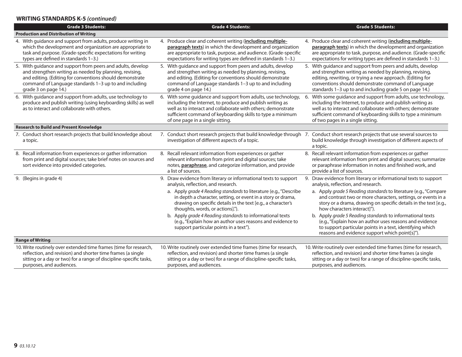# **WRITING STANDARDS K-5** *(continued)*

| <b>Grade 3 Students:</b>                                                                                                                                                                                                                                            | <b>Grade 4 Students:</b>                                                                                                                                                                                                                                                                      | <b>Grade 5 Students:</b>                                                                                                                                                                                                                                                                             |
|---------------------------------------------------------------------------------------------------------------------------------------------------------------------------------------------------------------------------------------------------------------------|-----------------------------------------------------------------------------------------------------------------------------------------------------------------------------------------------------------------------------------------------------------------------------------------------|------------------------------------------------------------------------------------------------------------------------------------------------------------------------------------------------------------------------------------------------------------------------------------------------------|
| <b>Production and Distribution of Writing</b>                                                                                                                                                                                                                       |                                                                                                                                                                                                                                                                                               |                                                                                                                                                                                                                                                                                                      |
| 4. With guidance and support from adults, produce writing in<br>which the development and organization are appropriate to<br>task and purpose. (Grade-specific expectations for writing<br>types are defined in standards 1-3.)                                     | 4. Produce clear and coherent writing (including multiple-<br>paragraph texts) in which the development and organization<br>are appropriate to task, purpose, and audience. (Grade-specific<br>expectations for writing types are defined in standards 1-3.)                                  | 4. Produce clear and coherent writing (including multiple-<br>paragraph texts) in which the development and organization<br>are appropriate to task, purpose, and audience. (Grade-specific<br>expectations for writing types are defined in standards 1-3.)                                         |
| 5. With guidance and support from peers and adults, develop<br>and strengthen writing as needed by planning, revising,<br>and editing. (Editing for conventions should demonstrate<br>command of Language standards 1-3 up to and including<br>grade 3 on page 14.) | 5. With guidance and support from peers and adults, develop<br>and strengthen writing as needed by planning, revising,<br>and editing. (Editing for conventions should demonstrate<br>command of Language standards 1-3 up to and including<br>grade 4 on page 14.)                           | 5. With guidance and support from peers and adults, develop<br>and strengthen writing as needed by planning, revising,<br>editing, rewriting, or trying a new approach. (Editing for<br>conventions should demonstrate command of Language<br>standards 1-3 up to and including grade 5 on page 14.) |
| 6. With guidance and support from adults, use technology to<br>produce and publish writing (using keyboarding skills) as well<br>as to interact and collaborate with others.                                                                                        | 6. With some guidance and support from adults, use technology,<br>including the Internet, to produce and publish writing as<br>well as to interact and collaborate with others; demonstrate<br>sufficient command of keyboarding skills to type a minimum<br>of one page in a single sitting. | 6. With some guidance and support from adults, use technology,<br>including the Internet, to produce and publish writing as<br>well as to interact and collaborate with others; demonstrate<br>sufficient command of keyboarding skills to type a minimum<br>of two pages in a single sitting.       |
| <b>Research to Build and Present Knowledge</b>                                                                                                                                                                                                                      |                                                                                                                                                                                                                                                                                               |                                                                                                                                                                                                                                                                                                      |
| 7. Conduct short research projects that build knowledge about<br>a topic.                                                                                                                                                                                           | 7. Conduct short research projects that build knowledge through 7. Conduct short research projects that use several sources to<br>investigation of different aspects of a topic.                                                                                                              | build knowledge through investigation of different aspects of<br>a topic.                                                                                                                                                                                                                            |
| 8. Recall information from experiences or gather information<br>from print and digital sources; take brief notes on sources and<br>sort evidence into provided categories.                                                                                          | 8. Recall relevant information from experiences or gather<br>relevant information from print and digital sources; take<br>notes, paraphrase, and categorize information, and provide<br>a list of sources.                                                                                    | 8. Recall relevant information from experiences or gather<br>relevant information from print and digital sources; summarize<br>or paraphrase information in notes and finished work, and<br>provide a list of sources.                                                                               |
| 9. (Begins in grade 4)                                                                                                                                                                                                                                              | 9. Draw evidence from literary or informational texts to support<br>analysis, reflection, and research.<br>a. Apply grade 4 Reading standards to literature (e.g., "Describe                                                                                                                  | 9. Draw evidence from literary or informational texts to support<br>analysis, reflection, and research.<br>a. Apply grade 5 Reading standards to literature (e.g., "Compare                                                                                                                          |
|                                                                                                                                                                                                                                                                     | in depth a character, setting, or event in a story or drama,<br>drawing on specific details in the text [e.g., a character's<br>thoughts, words, or actions].").                                                                                                                              | and contrast two or more characters, settings, or events in a<br>story or a drama, drawing on specific details in the text [e.g.,<br>how characters interact!").                                                                                                                                     |
|                                                                                                                                                                                                                                                                     | b. Apply grade 4 Reading standards to informational texts<br>(e.g., "Explain how an author uses reasons and evidence to<br>support particular points in a text").                                                                                                                             | b. Apply grade 5 Reading standards to informational texts<br>(e.g., "Explain how an author uses reasons and evidence<br>to support particular points in a text, identifying which<br>reasons and evidence support which point[s]").                                                                  |
| <b>Range of Writing</b>                                                                                                                                                                                                                                             |                                                                                                                                                                                                                                                                                               |                                                                                                                                                                                                                                                                                                      |
| 10. Write routinely over extended time frames (time for research,<br>reflection, and revision) and shorter time frames (a single<br>sitting or a day or two) for a range of discipline-specific tasks,<br>purposes, and audiences.                                  | 10. Write routinely over extended time frames (time for research,<br>reflection, and revision) and shorter time frames (a single<br>sitting or a day or two) for a range of discipline-specific tasks,<br>purposes, and audiences.                                                            | 10. Write routinely over extended time frames (time for research,<br>reflection, and revision) and shorter time frames (a single<br>sitting or a day or two) for a range of discipline-specific tasks,<br>purposes, and audiences.                                                                   |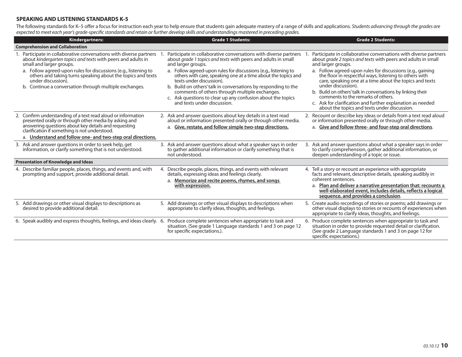#### **SPEAKING AND LISTENING STANDARDS K-5**

The following standards for K–5 offer a focus for instruction each year to help ensure that students gain adequate mastery of a range of skills and applications. Students advancing through the grades are expected to meet each year's grade-specific standards and retain or further develop skills and understandings mastered in preceding grades.

| <b>Kindergartners:</b>                                                                                                                                                                                                                                                                                                                                                            | <b>Grade 1 Students:</b>                                                                                                                                                                                                                                                                                                                                                                                                                                                                                                                  | <b>Grade 2 Students:</b>                                                                                                                                                                                                                                                                                                                                                                                                                                                                                                                                                           |
|-----------------------------------------------------------------------------------------------------------------------------------------------------------------------------------------------------------------------------------------------------------------------------------------------------------------------------------------------------------------------------------|-------------------------------------------------------------------------------------------------------------------------------------------------------------------------------------------------------------------------------------------------------------------------------------------------------------------------------------------------------------------------------------------------------------------------------------------------------------------------------------------------------------------------------------------|------------------------------------------------------------------------------------------------------------------------------------------------------------------------------------------------------------------------------------------------------------------------------------------------------------------------------------------------------------------------------------------------------------------------------------------------------------------------------------------------------------------------------------------------------------------------------------|
| <b>Comprehension and Collaboration</b>                                                                                                                                                                                                                                                                                                                                            |                                                                                                                                                                                                                                                                                                                                                                                                                                                                                                                                           |                                                                                                                                                                                                                                                                                                                                                                                                                                                                                                                                                                                    |
| 1. Participate in collaborative conversations with diverse partners<br>about kindergarten topics and texts with peers and adults in<br>small and larger groups.<br>a. Follow agreed-upon rules for discussions (e.g., listening to<br>others and taking turns speaking about the topics and texts<br>under discussion).<br>b. Continue a conversation through multiple exchanges. | Participate in collaborative conversations with diverse partners<br>about grade 1 topics and texts with peers and adults in small<br>and larger groups.<br>a. Follow agreed-upon rules for discussions (e.g., listening to<br>others with care, speaking one at a time about the topics and<br>texts under discussion).<br>b. Build on others' talk in conversations by responding to the<br>comments of others through multiple exchanges.<br>c. Ask questions to clear up any confusion about the topics<br>and texts under discussion. | Participate in collaborative conversations with diverse partners<br>about grade 2 topics and texts with peers and adults in small<br>and larger groups.<br>a. Follow agreed-upon rules for discussions (e.g., gaining<br>the floor in respectful ways, listening to others with<br>care, speaking one at a time about the topics and texts<br>under discussion).<br>b. Build on others' talk in conversations by linking their<br>comments to the remarks of others.<br>c. Ask for clarification and further explanation as needed<br>about the topics and texts under discussion. |
| 2. Confirm understanding of a text read aloud or information<br>presented orally or through other media by asking and<br>answering questions about key details and requesting<br>clarification if something is not understood.<br>a. Understand and follow one- and two-step oral directions.                                                                                     | 2. Ask and answer questions about key details in a text read<br>aloud or information presented orally or through other media.<br>a. Give, restate, and follow simple two-step directions.                                                                                                                                                                                                                                                                                                                                                 | 2. Recount or describe key ideas or details from a text read aloud<br>or information presented orally or through other media.<br>a. Give and follow three- and four-step oral directions.                                                                                                                                                                                                                                                                                                                                                                                          |
| 3. Ask and answer questions in order to seek help, get<br>information, or clarify something that is not understood.                                                                                                                                                                                                                                                               | 3. Ask and answer questions about what a speaker says in order<br>to gather additional information or clarify something that is<br>not understood.                                                                                                                                                                                                                                                                                                                                                                                        | 3. Ask and answer questions about what a speaker says in order<br>to clarify comprehension, gather additional information, or<br>deepen understanding of a topic or issue.                                                                                                                                                                                                                                                                                                                                                                                                         |
| <b>Presentation of Knowledge and Ideas</b>                                                                                                                                                                                                                                                                                                                                        |                                                                                                                                                                                                                                                                                                                                                                                                                                                                                                                                           |                                                                                                                                                                                                                                                                                                                                                                                                                                                                                                                                                                                    |
| 4. Describe familiar people, places, things, and events and, with<br>prompting and support, provide additional detail.                                                                                                                                                                                                                                                            | 4. Describe people, places, things, and events with relevant<br>details, expressing ideas and feelings clearly.<br>a. Memorize and recite poems, rhymes, and songs<br>with expression.                                                                                                                                                                                                                                                                                                                                                    | 4. Tell a story or recount an experience with appropriate<br>facts and relevant, descriptive details, speaking audibly in<br>coherent sentences.<br>a. Plan and deliver a narrative presentation that: recounts a<br>well-elaborated event, includes details, reflects a logical<br>sequence, and provides a conclusion.                                                                                                                                                                                                                                                           |
| 5. Add drawings or other visual displays to descriptions as<br>desired to provide additional detail.                                                                                                                                                                                                                                                                              | 5. Add drawings or other visual displays to descriptions when<br>appropriate to clarify ideas, thoughts, and feelings.                                                                                                                                                                                                                                                                                                                                                                                                                    | 5. Create audio recordings of stories or poems; add drawings or<br>other visual displays to stories or recounts of experiences when<br>appropriate to clarify ideas, thoughts, and feelings.                                                                                                                                                                                                                                                                                                                                                                                       |
| 6. Speak audibly and express thoughts, feelings, and ideas clearly. 6.                                                                                                                                                                                                                                                                                                            | Produce complete sentences when appropriate to task and<br>situation. (See grade 1 Language standards 1 and 3 on page 12<br>for specific expectations.).                                                                                                                                                                                                                                                                                                                                                                                  | 6. Produce complete sentences when appropriate to task and<br>situation in order to provide requested detail or clarification.<br>(See grade 2 Language standards 1 and 3 on page 12 for<br>specific expectations.)                                                                                                                                                                                                                                                                                                                                                                |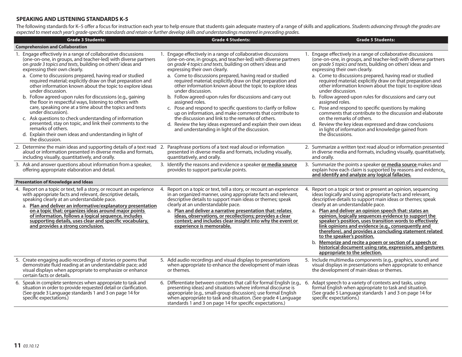## **SPEAKING AND LISTENING STANDARDS K-5**

The following standards for K–5 offer a focus for instruction each year to help ensure that students gain adequate mastery of a range of skills and applications. Students advancing through the grades are expected to meet each year's grade-specific standards and retain or further develop skills and understandings mastered in preceding grades.

| <b>Grade 3 Students:</b>                                                                                                                                                                                                                                             | <b>Grade 4 Students:</b>                                                                                                                                                                                                                                                                                                             | <b>Grade 5 Students:</b>                                                                                                                                                                                                                                                                                                                                                                                                                           |
|----------------------------------------------------------------------------------------------------------------------------------------------------------------------------------------------------------------------------------------------------------------------|--------------------------------------------------------------------------------------------------------------------------------------------------------------------------------------------------------------------------------------------------------------------------------------------------------------------------------------|----------------------------------------------------------------------------------------------------------------------------------------------------------------------------------------------------------------------------------------------------------------------------------------------------------------------------------------------------------------------------------------------------------------------------------------------------|
| <b>Comprehension and Collaboration</b>                                                                                                                                                                                                                               |                                                                                                                                                                                                                                                                                                                                      |                                                                                                                                                                                                                                                                                                                                                                                                                                                    |
| 1. Engage effectively in a range of collaborative discussions<br>(one-on-one, in groups, and teacher-led) with diverse partners<br>on grade 3 topics and texts, building on others' ideas and<br>expressing their own clearly.                                       | 1. Engage effectively in a range of collaborative discussions<br>(one-on-one, in groups, and teacher-led) with diverse partners<br>on grade 4 topics and texts, building on others' ideas and<br>expressing their own clearly.                                                                                                       | 1. Engage effectively in a range of collaborative discussions<br>(one-on-one, in groups, and teacher-led) with diverse partners<br>on grade 5 topics and texts, building on others' ideas and<br>expressing their own clearly.                                                                                                                                                                                                                     |
| a. Come to discussions prepared, having read or studied<br>required material; explicitly draw on that preparation and<br>other information known about the topic to explore ideas<br>under discussion.<br>b. Follow agreed-upon rules for discussions (e.g., gaining | a. Come to discussions prepared, having read or studied<br>required material; explicitly draw on that preparation and<br>other information known about the topic to explore ideas<br>under discussion.<br>b. Follow agreed-upon rules for discussions and carry out                                                                  | a. Come to discussions prepared, having read or studied<br>required material; explicitly draw on that preparation and<br>other information known about the topic to explore ideas<br>under discussion.<br>b. Follow agreed-upon rules for discussions and carry out                                                                                                                                                                                |
| the floor in respectful ways, listening to others with<br>care, speaking one at a time about the topics and texts<br>under discussion).<br>c. Ask questions to check understanding of information                                                                    | assigned roles.<br>c. Pose and respond to specific questions to clarify or follow<br>up on information, and make comments that contribute to<br>the discussion and link to the remarks of others.                                                                                                                                    | assigned roles.<br>c. Pose and respond to specific questions by making<br>comments that contribute to the discussion and elaborate<br>on the remarks of others.                                                                                                                                                                                                                                                                                    |
| presented, stay on topic, and link their comments to the<br>remarks of others.<br>d. Explain their own ideas and understanding in light of<br>the discussion.                                                                                                        | d. Review the key ideas expressed and explain their own ideas<br>and understanding in light of the discussion.                                                                                                                                                                                                                       | d. Review the key ideas expressed and draw conclusions<br>in light of information and knowledge gained from<br>the discussions.                                                                                                                                                                                                                                                                                                                    |
| 2. Determine the main ideas and supporting details of a text read 2.<br>aloud or information presented in diverse media and formats,<br>including visually, quantitatively, and orally.                                                                              | Paraphrase portions of a text read aloud or information<br>presented in diverse media and formats, including visually,<br>quantitatively, and orally.                                                                                                                                                                                | 2. Summarize a written text read aloud or information presented<br>in diverse media and formats, including visually, quantitatively,<br>and orally.                                                                                                                                                                                                                                                                                                |
| 3. Ask and answer questions about information from a speaker,<br>offering appropriate elaboration and detail.                                                                                                                                                        | 3. Identify the reasons and evidence a speaker or media source<br>provides to support particular points.                                                                                                                                                                                                                             | 3. Summarize the points a speaker or media source makes and<br>explain how each claim is supported by reasons and evidence<br>and identify and analyze any logical fallacies.                                                                                                                                                                                                                                                                      |
| <b>Presentation of Knowledge and Ideas</b>                                                                                                                                                                                                                           |                                                                                                                                                                                                                                                                                                                                      |                                                                                                                                                                                                                                                                                                                                                                                                                                                    |
| 4. Report on a topic or text, tell a story, or recount an experience<br>with appropriate facts and relevant, descriptive details,<br>speaking clearly at an understandable pace.<br>a. Plan and deliver an informative/explanatory presentation                      | Report on a topic or text, tell a story, or recount an experience<br>4.<br>in an organized manner, using appropriate facts and relevant,<br>descriptive details to support main ideas or themes; speak<br>clearly at an understandable pace.                                                                                         | 4. Report on a topic or text or present an opinion, sequencing<br>ideas logically and using appropriate facts and relevant,<br>descriptive details to support main ideas or themes; speak<br>clearly at an understandable pace.                                                                                                                                                                                                                    |
| on a topic that: organizes ideas around major points<br>of information, follows a logical sequence, includes<br>supporting details, uses clear and specific vocabulary,<br>and provides a strong conclusion.                                                         | a. Plan and deliver a narrative presentation that: relates<br>ideas, observations, or recollections; provides a clear<br>context; and includes clear insight into why the event or<br>experience is memorable.                                                                                                                       | a. Plan and deliver an opinion speech that: states an<br>opinion, logically sequences evidence to support the<br>speaker's position, uses transition words to effectively<br>link opinions and evidence (e.g., consequently and<br>therefore), and provides a concluding statement related<br>to the speaker's position.<br>Memorize and recite a poem or section of a speech or<br>b.<br>historical document using rate, expression, and gestures |
|                                                                                                                                                                                                                                                                      |                                                                                                                                                                                                                                                                                                                                      | appropriate to the selection.                                                                                                                                                                                                                                                                                                                                                                                                                      |
| 5. Create engaging audio recordings of stories or poems that<br>demonstrate fluid reading at an understandable pace; add<br>visual displays when appropriate to emphasize or enhance<br>certain facts or details.                                                    | 5. Add audio recordings and visual displays to presentations<br>when appropriate to enhance the development of main ideas<br>or themes.                                                                                                                                                                                              | 5. Include multimedia components (e.g., graphics, sound) and<br>visual displays in presentations when appropriate to enhance<br>the development of main ideas or themes.                                                                                                                                                                                                                                                                           |
| 6. Speak in complete sentences when appropriate to task and<br>situation in order to provide requested detail or clarification.<br>(See grade 3 Language standards 1 and 3 on page 14 for<br>specific expectations.)                                                 | 6. Differentiate between contexts that call for formal English (e.g.,<br>presenting ideas) and situations where informal discourse is<br>appropriate (e.g., small-group discussion); use formal English<br>when appropriate to task and situation. (See grade 4 Language<br>standards 1 and 3 on page 14 for specific expectations.) | 6.<br>Adapt speech to a variety of contexts and tasks, using<br>formal English when appropriate to task and situation.<br>(See grade 5 Language standards 1 and 3 on page 14 for<br>specific expectations.)                                                                                                                                                                                                                                        |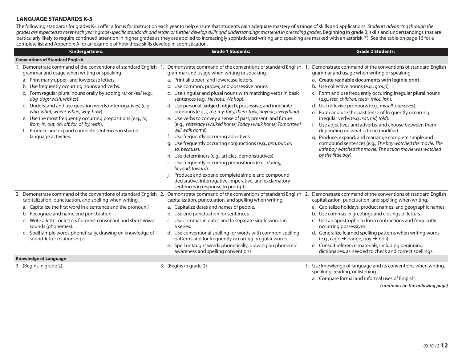## **LANGUAGE STANDARDS K-5**

The following standards for grades K–5 offer a focus for instruction each year to help ensure that students gain adequate mastery of a range of skills and applications. Students advancing through the grades are expected to meet each year's grade-specific standards and retain or further develop skills and understandings mastered in preceding grades. Beginning in grade 3, skills and understandings that are particularly likely to require continued attention in higher grades as they are applied to increasingly sophisticated writing and speaking are marked with an asterisk (\*). See the table on page 16 for a complete list and Appendix A for an example of how these skills develop in sophistication.

| Kindergartners:                                                                                                                                                                                                                                                                                                                                                                                                                                                                                                                                                                                                   | <b>Grade 1 Students:</b>                                                                                                                                                                                                                                                                                                                                                                                                                                                                                                                                                                                                                                                                                                                                                                                                                                                                                                                                                                                                     | <b>Grade 2 Students:</b>                                                                                                                                                                                                                                                                                                                                                                                                                                                                                                                                                                                                                                                                                                                                                                      |
|-------------------------------------------------------------------------------------------------------------------------------------------------------------------------------------------------------------------------------------------------------------------------------------------------------------------------------------------------------------------------------------------------------------------------------------------------------------------------------------------------------------------------------------------------------------------------------------------------------------------|------------------------------------------------------------------------------------------------------------------------------------------------------------------------------------------------------------------------------------------------------------------------------------------------------------------------------------------------------------------------------------------------------------------------------------------------------------------------------------------------------------------------------------------------------------------------------------------------------------------------------------------------------------------------------------------------------------------------------------------------------------------------------------------------------------------------------------------------------------------------------------------------------------------------------------------------------------------------------------------------------------------------------|-----------------------------------------------------------------------------------------------------------------------------------------------------------------------------------------------------------------------------------------------------------------------------------------------------------------------------------------------------------------------------------------------------------------------------------------------------------------------------------------------------------------------------------------------------------------------------------------------------------------------------------------------------------------------------------------------------------------------------------------------------------------------------------------------|
| <b>Conventions of Standard English</b>                                                                                                                                                                                                                                                                                                                                                                                                                                                                                                                                                                            |                                                                                                                                                                                                                                                                                                                                                                                                                                                                                                                                                                                                                                                                                                                                                                                                                                                                                                                                                                                                                              |                                                                                                                                                                                                                                                                                                                                                                                                                                                                                                                                                                                                                                                                                                                                                                                               |
| 1. Demonstrate command of the conventions of standard English 1<br>grammar and usage when writing or speaking.<br>a. Print many upper- and lowercase letters.<br>b. Use frequently occurring nouns and verbs.<br>c. Form regular plural nouns orally by adding /s/ or /es/ (e.g.,<br>dog, dogs; wish, wishes).<br>d. Understand and use question words (interrogatives) (e.g.,<br>who, what, where, when, why, how).<br>e. Use the most frequently occurring prepositions (e.g., to,<br>from, in, out, on, off, for, of, by, with).<br>f. Produce and expand complete sentences in shared<br>language activities. | Demonstrate command of the conventions of standard English 1<br>grammar and usage when writing or speaking.<br>a. Print all upper- and lowercase letters.<br>b. Use common, proper, and possessive nouns.<br>c. Use singular and plural nouns with matching verbs in basic<br>sentences (e.g., He hops; We hop).<br>d. Use personal (subject, object), possessive, and indefinite<br>pronouns (e.g., l, me, my; they, them, their, anyone, everything).<br>e. Use verbs to convey a sense of past, present, and future<br>(e.g., Yesterday I walked home; Today I walk home; Tomorrow I<br>will walk home).<br>Use frequently occurring adjectives.<br>g. Use frequently occurring conjunctions (e.g., and, but, or,<br>so, because).<br>h. Use determiners (e.g., articles, demonstratives).<br>Use frequently occurring prepositions (e.g., during,<br>beyond, toward).<br>Produce and expand complete simple and compound<br>declarative, interrogative, imperative, and exclamatory<br>sentences in response to prompts. | Demonstrate command of the conventions of standard English<br>grammar and usage when writing or speaking.<br>a. Create readable documents with legible print.<br>b. Use collective nouns (e.g., group).<br>c. Form and use frequently occurring irregular plural nouns<br>(e.g., feet, children, teeth, mice, fish).<br>d. Use reflexive pronouns (e.g., myself, ourselves).<br>e. Form and use the past tense of frequently occurring<br>irregular verbs (e.g., sat, hid, told).<br>f. Use adjectives and adverbs, and choose between them<br>depending on what is to be modified.<br>g. Produce, expand, and rearrange complete simple and<br>compound sentences (e.g., The boy watched the movie; The<br>little boy watched the movie; The action movie was watched<br>by the little boy). |
| 2. Demonstrate command of the conventions of standard English 2.<br>capitalization, punctuation, and spelling when writing.<br>a. Capitalize the first word in a sentence and the pronoun /.<br>b. Recognize and name end punctuation.<br>c. Write a letter or letters for most consonant and short-vowel<br>sounds (phonemes).<br>d. Spell simple words phonetically, drawing on knowledge of<br>sound-letter relationships.<br><b>Knowledge of Language</b>                                                                                                                                                     | capitalization, punctuation, and spelling when writing.<br>a. Capitalize dates and names of people.<br>b. Use end punctuation for sentences.<br>c. Use commas in dates and to separate single words in<br>a series.<br>d. Use conventional spelling for words with common spelling<br>patterns and for frequently occurring irregular words.<br>e. Spell untaught words phonetically, drawing on phonemic<br>awareness and spelling conventions.                                                                                                                                                                                                                                                                                                                                                                                                                                                                                                                                                                             | Demonstrate command of the conventions of standard English 2. Demonstrate command of the conventions of standard English<br>capitalization, punctuation, and spelling when writing.<br>a. Capitalize holidays, product names, and geographic names.<br>b. Use commas in greetings and closings of letters.<br>c. Use an apostrophe to form contractions and frequently<br>occurring possessives.<br>d. Generalize learned spelling patterns when writing words<br>(e.g., cage $\rightarrow$ badge; boy $\rightarrow$ boil).<br>e. Consult reference materials, including beginning<br>dictionaries, as needed to check and correct spellings.                                                                                                                                                 |
| 3. (Begins in grade 2)                                                                                                                                                                                                                                                                                                                                                                                                                                                                                                                                                                                            | 3. (Begins in grade 2)                                                                                                                                                                                                                                                                                                                                                                                                                                                                                                                                                                                                                                                                                                                                                                                                                                                                                                                                                                                                       | 3. Use knowledge of language and its conventions when writing,                                                                                                                                                                                                                                                                                                                                                                                                                                                                                                                                                                                                                                                                                                                                |
|                                                                                                                                                                                                                                                                                                                                                                                                                                                                                                                                                                                                                   |                                                                                                                                                                                                                                                                                                                                                                                                                                                                                                                                                                                                                                                                                                                                                                                                                                                                                                                                                                                                                              | speaking, reading, or listening.<br>a. Compare formal and informal uses of English.                                                                                                                                                                                                                                                                                                                                                                                                                                                                                                                                                                                                                                                                                                           |
|                                                                                                                                                                                                                                                                                                                                                                                                                                                                                                                                                                                                                   |                                                                                                                                                                                                                                                                                                                                                                                                                                                                                                                                                                                                                                                                                                                                                                                                                                                                                                                                                                                                                              |                                                                                                                                                                                                                                                                                                                                                                                                                                                                                                                                                                                                                                                                                                                                                                                               |

*(continues on the following page)*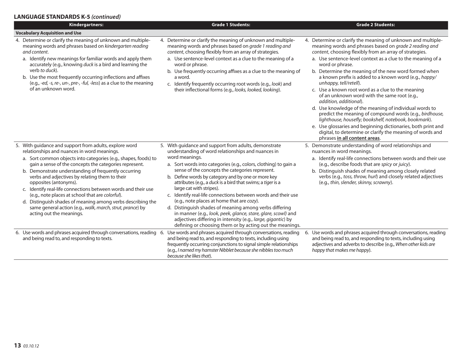## **LANGUAGE STANDARDS K-5** *(continued)*

| Kindergartners:                                                                                                                                                                                                                                                                                                                                                                                                                                                                                                                                                                                                                                    | <b>Grade 1 Students:</b>                                                                                                                                                                                                                                                                                                                                                                                                                                                                                                                                                                                                                                                                                                                                                    | <b>Grade 2 Students:</b>                                                                                                                                                                                                                                                                                                                                                                                                                                                                                                                                                                                                                                                                                                                                                                                                                                                                  |  |  |
|----------------------------------------------------------------------------------------------------------------------------------------------------------------------------------------------------------------------------------------------------------------------------------------------------------------------------------------------------------------------------------------------------------------------------------------------------------------------------------------------------------------------------------------------------------------------------------------------------------------------------------------------------|-----------------------------------------------------------------------------------------------------------------------------------------------------------------------------------------------------------------------------------------------------------------------------------------------------------------------------------------------------------------------------------------------------------------------------------------------------------------------------------------------------------------------------------------------------------------------------------------------------------------------------------------------------------------------------------------------------------------------------------------------------------------------------|-------------------------------------------------------------------------------------------------------------------------------------------------------------------------------------------------------------------------------------------------------------------------------------------------------------------------------------------------------------------------------------------------------------------------------------------------------------------------------------------------------------------------------------------------------------------------------------------------------------------------------------------------------------------------------------------------------------------------------------------------------------------------------------------------------------------------------------------------------------------------------------------|--|--|
| <b>Vocabulary Acquisition and Use</b>                                                                                                                                                                                                                                                                                                                                                                                                                                                                                                                                                                                                              |                                                                                                                                                                                                                                                                                                                                                                                                                                                                                                                                                                                                                                                                                                                                                                             |                                                                                                                                                                                                                                                                                                                                                                                                                                                                                                                                                                                                                                                                                                                                                                                                                                                                                           |  |  |
| 4. Determine or clarify the meaning of unknown and multiple-<br>meaning words and phrases based on kindergarten reading<br>and content.<br>a. Identify new meanings for familiar words and apply them<br>accurately (e.g., knowing duck is a bird and learning the<br>verb to duck).<br>b. Use the most frequently occurring inflections and affixes<br>(e.g., -ed, -s, re-, un-, pre-, -ful, -less) as a clue to the meaning<br>of an unknown word.                                                                                                                                                                                               | 4. Determine or clarify the meaning of unknown and multiple-<br>meaning words and phrases based on grade 1 reading and<br>content, choosing flexibly from an array of strategies.<br>a. Use sentence-level context as a clue to the meaning of a<br>word or phrase.<br>b. Use frequently occurring affixes as a clue to the meaning of<br>a word.<br>c. Identify frequently occurring root words (e.g., look) and<br>their inflectional forms (e.g., looks, looked, looking).                                                                                                                                                                                                                                                                                               | 4. Determine or clarify the meaning of unknown and multiple-<br>meaning words and phrases based on grade 2 reading and<br>content, choosing flexibly from an array of strategies.<br>a. Use sentence-level context as a clue to the meaning of a<br>word or phrase.<br>b. Determine the meaning of the new word formed when<br>a known prefix is added to a known word (e.g., happy/<br>unhappy, tell/retell).<br>c. Use a known root word as a clue to the meaning<br>of an unknown word with the same root (e.g.,<br>addition, additional).<br>d. Use knowledge of the meaning of individual words to<br>predict the meaning of compound words (e.g., birdhouse,<br>lighthouse, housefly; bookshelf, notebook, bookmark).<br>e. Use glossaries and beginning dictionaries, both print and<br>digital, to determine or clarify the meaning of words and<br>phrases in all content areas. |  |  |
| 5. With guidance and support from adults, explore word<br>relationships and nuances in word meanings.<br>a. Sort common objects into categories (e.g., shapes, foods) to<br>gain a sense of the concepts the categories represent.<br>b. Demonstrate understanding of frequently occurring<br>verbs and adjectives by relating them to their<br>opposites (antonyms).<br>c. Identify real-life connections between words and their use<br>(e.g., note places at school that are colorful).<br>d. Distinguish shades of meaning among verbs describing the<br>same general action (e.g., walk, march, strut, prance) by<br>acting out the meanings. | 5. With guidance and support from adults, demonstrate<br>understanding of word relationships and nuances in<br>word meanings.<br>a. Sort words into categories (e.g., colors, clothing) to gain a<br>sense of the concepts the categories represent.<br>b. Define words by category and by one or more key<br>attributes (e.g., a duck is a bird that swims; a tiger is a<br>large cat with stripes).<br>c. Identify real-life connections between words and their use<br>(e.g., note places at home that are cozy).<br>d. Distinguish shades of meaning among verbs differing<br>in manner (e.g., look, peek, glance, stare, glare, scowl) and<br>adjectives differing in intensity (e.g., large, gigantic) by<br>defining or choosing them or by acting out the meanings. | 5. Demonstrate understanding of word relationships and<br>nuances in word meanings.<br>a. Identify real-life connections between words and their use<br>(e.g., describe foods that are spicy or juicy).<br>b. Distinguish shades of meaning among closely related<br>verbs (e.g., toss, throw, hurl) and closely related adjectives<br>(e.g., thin, slender, skinny, scrawny).                                                                                                                                                                                                                                                                                                                                                                                                                                                                                                            |  |  |
| 6. Use words and phrases acquired through conversations, reading 6. Use words and phrases acquired through conversations, reading<br>and being read to, and responding to texts.                                                                                                                                                                                                                                                                                                                                                                                                                                                                   | and being read to, and responding to texts, including using<br>frequently occurring conjunctions to signal simple relationships<br>(e.g., I named my hamster Nibblet because she nibbles too much<br>because she likes that).                                                                                                                                                                                                                                                                                                                                                                                                                                                                                                                                               | 6. Use words and phrases acquired through conversations, reading<br>and being read to, and responding to texts, including using<br>adjectives and adverbs to describe (e.g., When other kids are<br>happy that makes me happy).                                                                                                                                                                                                                                                                                                                                                                                                                                                                                                                                                                                                                                                           |  |  |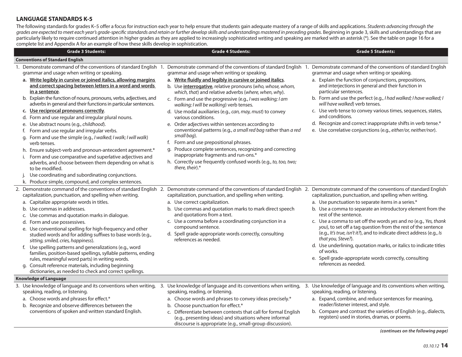## **LANGUAGE STANDARDS K-5**

The following standards for grades K–5 offer a focus for instruction each year to help ensure that students gain adequate mastery of a range of skills and applications. Students advancing through the grades are expected to meet each year's grade-specific standards and retain or further develop skills and understandings mastered in preceding grades. Beginning in grade 3, skills and understandings that are particularly likely to require continued attention in higher grades as they are applied to increasingly sophisticated writing and speaking are marked with an asterisk (\*). See the table on page 16 for a complete list and Appendix A for an example of how these skills develop in sophistication.

| <b>Grade 3 Students:</b>                                                                                                                                                                                                                                                                                                                                                                                                                                                                                                                                                                                                                                                                                                                                                                                                                                                                                                                                                                                                                                                                                                         | <b>Grade 4 Students:</b>                                                                                                                                                                                                                                                                                                                                                                                                                                                                                                                                                                                                                                                                                                                                                                                   | <b>Grade 5 Students:</b>                                                                                                                                                                                                                                                                                                                                                                                                                                                                                                                                                                                         |
|----------------------------------------------------------------------------------------------------------------------------------------------------------------------------------------------------------------------------------------------------------------------------------------------------------------------------------------------------------------------------------------------------------------------------------------------------------------------------------------------------------------------------------------------------------------------------------------------------------------------------------------------------------------------------------------------------------------------------------------------------------------------------------------------------------------------------------------------------------------------------------------------------------------------------------------------------------------------------------------------------------------------------------------------------------------------------------------------------------------------------------|------------------------------------------------------------------------------------------------------------------------------------------------------------------------------------------------------------------------------------------------------------------------------------------------------------------------------------------------------------------------------------------------------------------------------------------------------------------------------------------------------------------------------------------------------------------------------------------------------------------------------------------------------------------------------------------------------------------------------------------------------------------------------------------------------------|------------------------------------------------------------------------------------------------------------------------------------------------------------------------------------------------------------------------------------------------------------------------------------------------------------------------------------------------------------------------------------------------------------------------------------------------------------------------------------------------------------------------------------------------------------------------------------------------------------------|
| <b>Conventions of Standard English</b>                                                                                                                                                                                                                                                                                                                                                                                                                                                                                                                                                                                                                                                                                                                                                                                                                                                                                                                                                                                                                                                                                           |                                                                                                                                                                                                                                                                                                                                                                                                                                                                                                                                                                                                                                                                                                                                                                                                            |                                                                                                                                                                                                                                                                                                                                                                                                                                                                                                                                                                                                                  |
| 1. Demonstrate command of the conventions of standard English 1. Demonstrate command of the conventions of standard English 1. Demonstrate command of the conventions of standard English<br>grammar and usage when writing or speaking.<br>a. Write legibly in cursive or joined italics, allowing margins<br>and correct spacing between letters in a word and words<br>in a sentence.<br>b. Explain the function of nouns, pronouns, verbs, adjectives, and<br>adverbs in general and their functions in particular sentences.<br>c. Use reciprocal pronouns correctly.<br>d. Form and use regular and irregular plural nouns.<br>e. Use abstract nouns (e.g., childhood).<br>f. Form and use regular and irregular verbs.<br>g. Form and use the simple (e.g., I walked; I walk; I will walk)<br>verb tenses.<br>h. Ensure subject-verb and pronoun-antecedent agreement.*<br>Form and use comparative and superlative adjectives and<br>adverbs, and choose between them depending on what is<br>to be modified.<br>Use coordinating and subordinating conjunctions.<br>k. Produce simple, compound, and complex sentences. | grammar and usage when writing or speaking.<br>a. Write fluidly and legibly in cursive or joined italics.<br>b. Use interrogative, relative pronouns (who, whose, whom,<br>which, that) and relative adverbs (where, when, why).<br>c. Form and use the progressive (e.g., I was walking; I am<br>walking; I will be walking) verb tenses.<br>d. Use modal auxiliaries (e.g., can, may, must) to convey<br>various conditions.<br>e. Order adjectives within sentences according to<br>conventional patterns (e.g., a small red bag rather than a red<br>small bag).<br>f. Form and use prepositional phrases.<br>g. Produce complete sentences, recognizing and correcting<br>inappropriate fragments and run-ons.*<br>h. Correctly use frequently confused words (e.g., to, too, two;<br>there, their).* | grammar and usage when writing or speaking.<br>a. Explain the function of conjunctions, prepositions,<br>and interjections in general and their function in<br>particular sentences.<br>b. Form and use the perfect (e.g., I had walked; I have walked; I<br>will have walked) verb tenses.<br>c. Use verb tense to convey various times, sequences, states,<br>and conditions.<br>d. Recognize and correct inappropriate shifts in verb tense.*<br>e. Use correlative conjunctions (e.g., either/or, neither/nor).                                                                                              |
| 2. Demonstrate command of the conventions of standard English 2. Demonstrate command of the conventions of standard English 2. Demonstrate command of the conventions of standard English<br>capitalization, punctuation, and spelling when writing.<br>a. Capitalize appropriate words in titles.<br>b. Use commas in addresses.<br>c. Use commas and quotation marks in dialogue.<br>d. Form and use possessives.<br>e. Use conventional spelling for high-frequency and other<br>studied words and for adding suffixes to base words (e.g.,<br>sitting, smiled, cries, happiness).<br>f. Use spelling patterns and generalizations (e.g., word<br>families, position-based spellings, syllable patterns, ending<br>rules, meaningful word parts) in writing words.<br>g. Consult reference materials, including beginning<br>dictionaries, as needed to check and correct spellings.                                                                                                                                                                                                                                          | capitalization, punctuation, and spelling when writing.<br>a. Use correct capitalization.<br>b. Use commas and quotation marks to mark direct speech<br>and quotations from a text.<br>c. Use a comma before a coordinating conjunction in a<br>compound sentence.<br>d. Spell grade-appropriate words correctly, consulting<br>references as needed.                                                                                                                                                                                                                                                                                                                                                                                                                                                      | capitalization, punctuation, and spelling when writing.<br>a. Use punctuation to separate items in a series.*<br>b. Use a comma to separate an introductory element from the<br>rest of the sentence.<br>c. Use a comma to set off the words yes and no (e.g., Yes, thank<br>you), to set off a tag question from the rest of the sentence<br>(e.g., It's true, isn't it?), and to indicate direct address (e.g., Is<br>that you, Steve?).<br>d. Use underlining, quotation marks, or italics to indicate titles<br>of works.<br>e. Spell grade-appropriate words correctly, consulting<br>references as needed. |
| <b>Knowledge of Language</b><br>3. Use knowledge of language and its conventions when writing, 3. Use knowledge of language and its conventions when writing, 3. Use knowledge of language and its conventions when writing,                                                                                                                                                                                                                                                                                                                                                                                                                                                                                                                                                                                                                                                                                                                                                                                                                                                                                                     |                                                                                                                                                                                                                                                                                                                                                                                                                                                                                                                                                                                                                                                                                                                                                                                                            |                                                                                                                                                                                                                                                                                                                                                                                                                                                                                                                                                                                                                  |
| speaking, reading, or listening.<br>a. Choose words and phrases for effect.*<br>b. Recognize and observe differences between the<br>conventions of spoken and written standard English.                                                                                                                                                                                                                                                                                                                                                                                                                                                                                                                                                                                                                                                                                                                                                                                                                                                                                                                                          | speaking, reading, or listening.<br>a. Choose words and phrases to convey ideas precisely.*<br>b. Choose punctuation for effect.*<br>c. Differentiate between contexts that call for formal English<br>(e.g., presenting ideas) and situations where informal<br>discourse is appropriate (e.g., small-group discussion).                                                                                                                                                                                                                                                                                                                                                                                                                                                                                  | speaking, reading, or listening.<br>a. Expand, combine, and reduce sentences for meaning,<br>reader/listener interest, and style.<br>b. Compare and contrast the varieties of English (e.g., dialects,<br>registers) used in stories, dramas, or poems.                                                                                                                                                                                                                                                                                                                                                          |

*<sup>(</sup>continues on the following page)*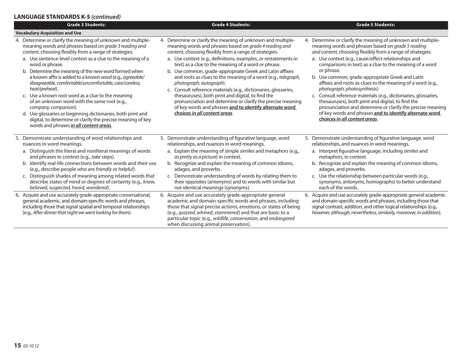## **LANGUAGE STANDARDS K-5** *(continued)*

| <b>Grade 3 Students:</b>                                                                                                                                                                                                                                                                                                                                                                                                                                                                                                                                                                                                                                                                                                                                                  | <b>Grade 4 Students:</b>                                                                                                                                                                                                                                                                                                                                                                                                                                                                                                                                                                                                                                                                                                                             | <b>Grade 5 Students:</b>                                                                                                                                                                                                                                                                                                                                                                                                                                                                                                                                                                                                                                                                                                                                                    |
|---------------------------------------------------------------------------------------------------------------------------------------------------------------------------------------------------------------------------------------------------------------------------------------------------------------------------------------------------------------------------------------------------------------------------------------------------------------------------------------------------------------------------------------------------------------------------------------------------------------------------------------------------------------------------------------------------------------------------------------------------------------------------|------------------------------------------------------------------------------------------------------------------------------------------------------------------------------------------------------------------------------------------------------------------------------------------------------------------------------------------------------------------------------------------------------------------------------------------------------------------------------------------------------------------------------------------------------------------------------------------------------------------------------------------------------------------------------------------------------------------------------------------------------|-----------------------------------------------------------------------------------------------------------------------------------------------------------------------------------------------------------------------------------------------------------------------------------------------------------------------------------------------------------------------------------------------------------------------------------------------------------------------------------------------------------------------------------------------------------------------------------------------------------------------------------------------------------------------------------------------------------------------------------------------------------------------------|
| <b>Vocabulary Acquisition and Use</b>                                                                                                                                                                                                                                                                                                                                                                                                                                                                                                                                                                                                                                                                                                                                     |                                                                                                                                                                                                                                                                                                                                                                                                                                                                                                                                                                                                                                                                                                                                                      |                                                                                                                                                                                                                                                                                                                                                                                                                                                                                                                                                                                                                                                                                                                                                                             |
| 4. Determine or clarify the meaning of unknown and multiple-<br>meaning words and phrases based on grade 3 reading and<br>content, choosing flexibly from a range of strategies.<br>a. Use sentence-level context as a clue to the meaning of a<br>word or phrase.<br>b. Determine the meaning of the new word formed when<br>a known affix is added to a known word (e.g., agreeable/<br>disagreeable, comfortable/uncomfortable, care/careless,<br>heat/preheat).<br>c. Use a known root word as a clue to the meaning<br>of an unknown word with the same root (e.g.,<br>company, companion).<br>d. Use glossaries or beginning dictionaries, both print and<br>digital, to determine or clarify the precise meaning of key<br>words and phrases in all content areas. | 4. Determine or clarify the meaning of unknown and multiple-<br>meaning words and phrases based on grade 4 reading and<br>content, choosing flexibly from a range of strategies.<br>a. Use context (e.g., definitions, examples, or restatements in<br>text) as a clue to the meaning of a word or phrase.<br>b. Use common, grade-appropriate Greek and Latin affixes<br>and roots as clues to the meaning of a word (e.g., telegraph,<br>photograph, autograph).<br>c. Consult reference materials (e.g., dictionaries, glossaries,<br>thesauruses), both print and digital, to find the<br>pronunciation and determine or clarify the precise meaning<br>of key words and phrases and to identify alternate word<br>choices in all content areas. | 4. Determine or clarify the meaning of unknown and multiple-<br>meaning words and phrases based on <i>grade 5 reading</i><br>and content, choosing flexibly from a range of strategies.<br>a. Use context (e.g., cause/effect relationships and<br>comparisons in text) as a clue to the meaning of a word<br>or phrase.<br>b. Use common, grade-appropriate Greek and Latin<br>affixes and roots as clues to the meaning of a word (e.g.,<br>photograph, photosynthesis).<br>Consult reference materials (e.g., dictionaries, glossaries,<br>$\mathsf{C}$ .<br>thesauruses), both print and digital, to find the<br>pronunciation and determine or clarify the precise meaning<br>of key words and phrases and to identify alternate word<br>choices in all content areas. |
| 5. Demonstrate understanding of word relationships and<br>nuances in word meanings.                                                                                                                                                                                                                                                                                                                                                                                                                                                                                                                                                                                                                                                                                       | 5. Demonstrate understanding of figurative language, word<br>relationships, and nuances in word meanings.                                                                                                                                                                                                                                                                                                                                                                                                                                                                                                                                                                                                                                            | 5. Demonstrate understanding of figurative language, word<br>relationships, and nuances in word meanings.                                                                                                                                                                                                                                                                                                                                                                                                                                                                                                                                                                                                                                                                   |
| a. Distinguish the literal and nonliteral meanings of words<br>and phrases in context (e.g., take steps).                                                                                                                                                                                                                                                                                                                                                                                                                                                                                                                                                                                                                                                                 | a. Explain the meaning of simple similes and metaphors (e.g.,<br>as pretty as a picture) in context.                                                                                                                                                                                                                                                                                                                                                                                                                                                                                                                                                                                                                                                 | a. Interpret figurative language, including similes and<br>metaphors, in context.                                                                                                                                                                                                                                                                                                                                                                                                                                                                                                                                                                                                                                                                                           |
| b. Identify real-life connections between words and their use<br>(e.g., describe people who are friendly or helpful).                                                                                                                                                                                                                                                                                                                                                                                                                                                                                                                                                                                                                                                     | b. Recognize and explain the meaning of common idioms,<br>adages, and proverbs.                                                                                                                                                                                                                                                                                                                                                                                                                                                                                                                                                                                                                                                                      | b. Recognize and explain the meaning of common idioms,<br>adages, and proverbs.                                                                                                                                                                                                                                                                                                                                                                                                                                                                                                                                                                                                                                                                                             |
| c. Distinguish shades of meaning among related words that<br>describe states of mind or degrees of certainty (e.g., knew,<br>believed, suspected, heard, wondered).                                                                                                                                                                                                                                                                                                                                                                                                                                                                                                                                                                                                       | c. Demonstrate understanding of words by relating them to<br>their opposites (antonyms) and to words with similar but<br>not identical meanings (synonyms).                                                                                                                                                                                                                                                                                                                                                                                                                                                                                                                                                                                          | c. Use the relationship between particular words (e.g.,<br>synonyms, antonyms, homographs) to better understand<br>each of the words.                                                                                                                                                                                                                                                                                                                                                                                                                                                                                                                                                                                                                                       |
| 6. Acquire and use accurately grade-appropriate conversational,<br>general academic, and domain-specific words and phrases,<br>including those that signal spatial and temporal relationships<br>(e.g., After dinner that night we went looking for them).                                                                                                                                                                                                                                                                                                                                                                                                                                                                                                                | 6. Acquire and use accurately grade-appropriate general<br>academic and domain-specific words and phrases, including<br>those that signal precise actions, emotions, or states of being<br>(e.g., quizzed, whined, stammered) and that are basic to a<br>particular topic (e.g., wildlife, conservation, and endangered<br>when discussing animal preservation).                                                                                                                                                                                                                                                                                                                                                                                     | 6. Acquire and use accurately grade-appropriate general academic<br>and domain-specific words and phrases, including those that<br>signal contrast, addition, and other logical relationships (e.g.,<br>however, although, nevertheless, similarly, moreover, in addition).                                                                                                                                                                                                                                                                                                                                                                                                                                                                                                 |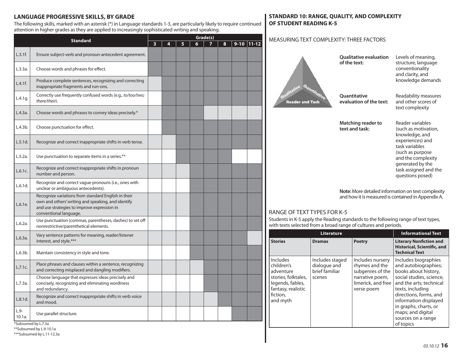# **LANGUAGE PROGRESSIVE SKILLS, BY GRADE**

The following skills, marked with an asterisk (\*) in Language standards 1-3, are particularly likely to require continued attention in higher grades as they are applied to increasingly sophisticated writing and speaking.

| <b>Standard</b>                                                                                                                                                                               |                                                                                                                           | Grade(s) |   |   |   |  |   |              |  |
|-----------------------------------------------------------------------------------------------------------------------------------------------------------------------------------------------|---------------------------------------------------------------------------------------------------------------------------|----------|---|---|---|--|---|--------------|--|
|                                                                                                                                                                                               |                                                                                                                           | 3        | 4 | 5 | 6 |  | 8 | $9-10$ 11-12 |  |
| L.3.1f.                                                                                                                                                                                       | Ensure subject-verb and pronoun-antecedent agreement.                                                                     |          |   |   |   |  |   |              |  |
| L.3.3a.                                                                                                                                                                                       | Choose words and phrases for effect.                                                                                      |          |   |   |   |  |   |              |  |
| L.4.1f.                                                                                                                                                                                       | Produce complete sentences, recognizing and correcting<br>inappropriate fragments and run-ons.                            |          |   |   |   |  |   |              |  |
| L.4.1g.                                                                                                                                                                                       | Correctly use frequently confused words (e.g., to/too/two;<br>there/their).                                               |          |   |   |   |  |   |              |  |
| L.4.3a.                                                                                                                                                                                       | Choose words and phrases to convey ideas precisely.*                                                                      |          |   |   |   |  |   |              |  |
| L.4.3b.                                                                                                                                                                                       | Choose punctuation for effect.                                                                                            |          |   |   |   |  |   |              |  |
| L.5.1d.                                                                                                                                                                                       | Recognize and correct inappropriate shifts in verb tense.                                                                 |          |   |   |   |  |   |              |  |
| L.5.2a.<br>Use punctuation to separate items in a series.**                                                                                                                                   |                                                                                                                           |          |   |   |   |  |   |              |  |
| Recognize and correct inappropriate shifts in pronoun<br>L.6.1c.<br>number and person.                                                                                                        |                                                                                                                           |          |   |   |   |  |   |              |  |
| Recognize and correct vague pronouns (i.e., ones with<br>L.6.1d.<br>unclear or ambiguous antecedents).                                                                                        |                                                                                                                           |          |   |   |   |  |   |              |  |
| Recognize variations from standard English in their<br>own and others' writing and speaking, and identify<br>L.6.1e.<br>and use strategies to improve expression in<br>conventional language. |                                                                                                                           |          |   |   |   |  |   |              |  |
| L.6.2a.                                                                                                                                                                                       | Use punctuation (commas, parentheses, dashes) to set off<br>nonrestrictive/parenthetical elements.                        |          |   |   |   |  |   |              |  |
| L.6.3a.                                                                                                                                                                                       | Vary sentence patterns for meaning, reader/listener<br>interest, and style.***                                            |          |   |   |   |  |   |              |  |
| L.6.3b.                                                                                                                                                                                       | Maintain consistency in style and tone.                                                                                   |          |   |   |   |  |   |              |  |
| L.7.1c.                                                                                                                                                                                       | Place phrases and clauses within a sentence, recognizing<br>and correcting misplaced and dangling modifiers.              |          |   |   |   |  |   |              |  |
| L.7.3a.                                                                                                                                                                                       | Choose language that expresses ideas precisely and<br>concisely, recognizing and eliminating wordiness<br>and redundancy. |          |   |   |   |  |   |              |  |
| L.8.1d.                                                                                                                                                                                       | Recognize and correct inappropriate shifts in verb voice<br>and mood.                                                     |          |   |   |   |  |   |              |  |
| $L.9-$<br>10.1a.                                                                                                                                                                              | Use parallel structure.                                                                                                   |          |   |   |   |  |   |              |  |

## **STANDARD 10: RANGE, QUALITY, AND COMPLEXITY OF STUDENT READING K-5**

#### MEASURING TEXT COMPLEXITY: THREE FACTORS

| Quantitativ<br>ene<br><b>Reader and Task</b> | <b>Qualitative evaluation</b><br>of the text:                                                                   | Levels of meaning,<br>structure, language<br>conventionality<br>and clarity, and<br>knowledge demands                                                                                                       |
|----------------------------------------------|-----------------------------------------------------------------------------------------------------------------|-------------------------------------------------------------------------------------------------------------------------------------------------------------------------------------------------------------|
|                                              | Quantitative<br>evaluation of the text:                                                                         | Readability measures<br>and other scores of<br>text complexity                                                                                                                                              |
|                                              | Matching reader to<br>text and task:                                                                            | Reader variables<br>(such as motivation,<br>knowledge, and<br>experiences) and<br>task variables<br>(such as purpose<br>and the complexity<br>generated by the<br>task assigned and the<br>questions posed) |
|                                              | <b>Note:</b> More detailed information on text complexity<br>and how it is measured is contained in Appendix A. |                                                                                                                                                                                                             |

## RANGE OF TEXT TYPES FOR K-5

Students in K-5 apply the Reading standards to the following range of text types, with texts selected from a broad range of cultures and periods.

|                                                                                                                                     | <b>Literature</b>                                           |                                                                                                               |                                                                                                                                                                                                                                                                                     |  |
|-------------------------------------------------------------------------------------------------------------------------------------|-------------------------------------------------------------|---------------------------------------------------------------------------------------------------------------|-------------------------------------------------------------------------------------------------------------------------------------------------------------------------------------------------------------------------------------------------------------------------------------|--|
| <b>Stories</b>                                                                                                                      | <b>Dramas</b>                                               | <b>Poetry</b>                                                                                                 | <b>Literary Nonfiction and</b><br>Historical, Scientific, and<br><b>Technical Text</b>                                                                                                                                                                                              |  |
| <b>Includes</b><br>children's<br>adventure<br>stories, folktales,<br>legends, fables,<br>fantasy, realistic<br>fiction.<br>and myth | Includes staged<br>dialogue and<br>brief familiar<br>scenes | Includes nursery<br>rhymes and the<br>subgenres of the<br>narrative poem,<br>limerick, and free<br>verse poem | Includes biographies<br>and autobiographies;<br>books about history,<br>social studies, science,<br>and the arts; technical<br>texts, including<br>directions, forms, and<br>information displayed<br>in graphs, charts, or<br>maps; and digital<br>sources on a range<br>of topics |  |

\*Subsumed by L.7.3a \*\*Subsumed by L.9-10.1a

\*\*\*Subsumed by L.11-12.3a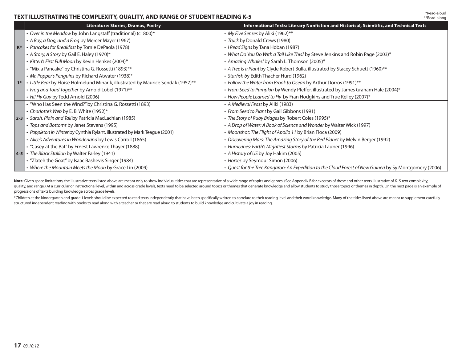# **TEXT ILLUSTRATING THE COMPLEXITY, QUALITY, AND RANGE OF STUDENT READING K-5**

|                | <b>Literature: Stories, Dramas, Poetry</b>                                        | Informational Texts: Literary Nonfiction and Historical, Scientific, and Technical Texts               |
|----------------|-----------------------------------------------------------------------------------|--------------------------------------------------------------------------------------------------------|
|                | • Over in the Meadow by John Langstaff (traditional) (c1800)*                     | • My Five Senses by Aliki (1962)**                                                                     |
|                | • A Boy, a Dog, and a Frog by Mercer Mayer (1967)                                 | • Truck by Donald Crews (1980)                                                                         |
| K <sup>*</sup> | • Pancakes for Breakfast by Tomie DePaola (1978)                                  | · I Read Signs by Tana Hoban (1987)                                                                    |
|                | • A Story, A Story by Gail E. Haley (1970)*                                       | • What Do You Do With a Tail Like This? by Steve Jenkins and Robin Page (2003)*                        |
|                | • Kitten's First Full Moon by Kevin Henkes (2004)*                                | • Amazing Whales! by Sarah L. Thomson (2005)*                                                          |
|                | • "Mix a Pancake" by Christina G. Rossetti (1893)**                               | • A Tree Is a Plant by Clyde Robert Bulla, illustrated by Stacey Schuett (1960)**                      |
|                | • Mr. Popper's Penguins by Richard Atwater (1938)*                                | · Starfish by Edith Thacher Hurd (1962)                                                                |
| $1*$           | • Little Bear by Eloise Holmelund Minarik, illustrated by Maurice Sendak (1957)** | • Follow the Water from Brook to Ocean by Arthur Dorros (1991)**                                       |
|                | • Frog and Toad Together by Arnold Lobel (1971)**                                 | • From Seed to Pumpkin by Wendy Pfeffer, illustrated by James Graham Hale (2004)*                      |
|                | • Hi! Fly Guy by Tedd Arnold (2006)                                               | • How People Learned to Fly by Fran Hodgkins and True Kelley (2007)*                                   |
|                | • "Who Has Seen the Wind?" by Christina G. Rossetti (1893)                        | • A Medieval Feast by Aliki (1983)                                                                     |
|                | • Charlotte's Web by E. B. White (1952)*                                          | · From Seed to Plant by Gail Gibbons (1991)                                                            |
| $2-3$          | · Sarah, Plain and Tall by Patricia MacLachlan (1985)                             | • The Story of Ruby Bridges by Robert Coles (1995)*                                                    |
|                | • Tops and Bottoms by Janet Stevens (1995)                                        | • A Drop of Water: A Book of Science and Wonder by Walter Wick (1997)                                  |
|                | • Poppleton in Winter by Cynthia Rylant, illustrated by Mark Teague (2001)        | • Moonshot: The Flight of Apollo 11 by Brian Floca (2009)                                              |
|                | · Alice's Adventures in Wonderland by Lewis Carroll (1865)                        | • Discovering Mars: The Amazing Story of the Red Planet by Melvin Berger (1992)                        |
|                | • "Casey at the Bat" by Ernest Lawrence Thayer (1888)                             | • Hurricanes: Earth's Mightiest Storms by Patricia Lauber (1996)                                       |
|                | 4-5 • The Black Stallion by Walter Farley (1941)                                  | • A History of US by Joy Hakim (2005)                                                                  |
|                | • "Zlateh the Goat" by Isaac Bashevis Singer (1984)                               | • Horses by Seymour Simon (2006)                                                                       |
|                | • Where the Mountain Meets the Moon by Grace Lin (2009)                           | · Quest for the Tree Kangaroo: An Expedition to the Cloud Forest of New Guinea by Sy Montgomery (2006) |

Note: Given space limitations, the illustrative texts listed above are meant only to show individual titles that are representative of a wide range of topics and genres. (See Appendix B for excerpts of these and other text quality, and range.) At a curricular or instructional level, within and across grade levels, texts need to be selected around topics or themes that generate knowledge and allow students to study those topics or themes in d progressions of texts building knowledge across grade levels.

\*Children at the kindergarten and grade 1 levels should be expected to read texts independently that have been specifically written to correlate to their reading level and their word knowledge. Many of the titles listed ab structured independent reading with books to read along with a teacher or that are read aloud to students to build knowledge and cultivate a joy in reading.

\*Read-aloud\*\*Read-along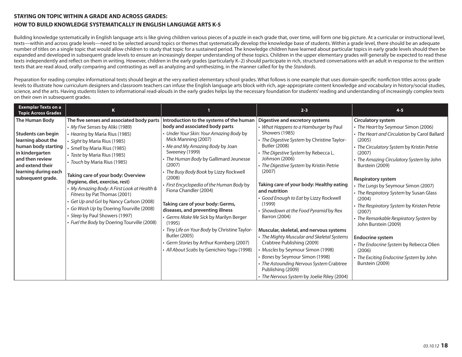#### **STAYING ON TOPIC WITHIN A GRADE AND ACROSS GRADES:**

#### **HOW TO BUILD KNOWLEDGE SYSTEMATICALLY IN ENGLISH LANGUAGE ARTS K-5**

Building knowledge systematically in English language arts is like giving children various pieces of a puzzle in each grade that, over time, will form one big picture. At a curricular or instructional level, texts—within and across grade levels—need to be selected around topics or themes that systematically develop the knowledge base of students. Within a grade level, there should be an adequate number of titles on a single topic that would allow children to study that topic for a sustained period. The knowledge children have learned about particular topics in early grade levels should then be expanded and developed in subsequent grade levels to ensure an increasingly deeper understanding of these topics. Children in the upper elementary grades will generally be expected to read these texts independently and reflect on them in writing. However, children in the early grades (particularly K–2) should participate in rich, structured conversations with an adult in response to the written texts that are read aloud, orally comparing and contrasting as well as analyzing and synthesizing, in the manner called for by the Standards.

Preparation for reading complex informational texts should begin at the very earliest elementary school grades. What follows is one example that uses domain-specific nonfiction titles across grade levels to illustrate how curriculum designers and classroom teachers can infuse the English language arts block with rich, age-appropriate content knowledge and vocabulary in history/social studies, science, and the arts. Having students listen to informational read-alouds in the early grades helps lay the necessary foundation for students' reading and understanding of increasingly complex texts on their own in subsequent grades.

| <b>Exemplar Texts on a</b><br><b>Topic Across Grades</b>                                                                                                                                 | K                                                                                                                                                                                                                                                                                                                                                                                                                                                                                                                                                                            |                                                                                                                                                                                                                                                                                                                                                                                                                                                                                                                                                                                                                                                                          | $2 - 3$                                                                                                                                                                                                                                                                                                                                                                                                                                                                                                                                                                                                                                                                                                                                                              | $4 - 5$                                                                                                                                                                                                                                                                                                                                                                                                                                                                                                                                                                                                                                   |
|------------------------------------------------------------------------------------------------------------------------------------------------------------------------------------------|------------------------------------------------------------------------------------------------------------------------------------------------------------------------------------------------------------------------------------------------------------------------------------------------------------------------------------------------------------------------------------------------------------------------------------------------------------------------------------------------------------------------------------------------------------------------------|--------------------------------------------------------------------------------------------------------------------------------------------------------------------------------------------------------------------------------------------------------------------------------------------------------------------------------------------------------------------------------------------------------------------------------------------------------------------------------------------------------------------------------------------------------------------------------------------------------------------------------------------------------------------------|----------------------------------------------------------------------------------------------------------------------------------------------------------------------------------------------------------------------------------------------------------------------------------------------------------------------------------------------------------------------------------------------------------------------------------------------------------------------------------------------------------------------------------------------------------------------------------------------------------------------------------------------------------------------------------------------------------------------------------------------------------------------|-------------------------------------------------------------------------------------------------------------------------------------------------------------------------------------------------------------------------------------------------------------------------------------------------------------------------------------------------------------------------------------------------------------------------------------------------------------------------------------------------------------------------------------------------------------------------------------------------------------------------------------------|
| The Human Body<br>Students can begin<br>learning about the<br>human body starting<br>in kindergarten<br>and then review<br>and extend their<br>learning during each<br>subsequent grade. | The five senses and associated body parts<br>• My Five Senses by Aliki (1989)<br>• Hearing by Maria Rius (1985)<br>· Sight by Maria Rius (1985)<br>· Smell by Maria Rius (1985)<br>· Taste by Maria Rius (1985)<br>· Touch by Maria Rius (1985)<br>Taking care of your body: Overview<br>(hygiene, diet, exercise, rest)<br>• My Amazing Body: A First Look at Health &<br>Fitness by Pat Thomas (2001)<br>Get Up and Go! by Nancy Carlson (2008)<br>Go Wash Up by Doering Tourville (2008)<br>· Sleep by Paul Showers (1997)<br>• Fuel the Body by Doering Tourville (2008) | Introduction to the systems of the human<br>body and associated body parts<br>• Under Your Skin: Your Amazing Body by<br>Mick Manning (2007)<br>• Me and My Amazing Body by Joan<br>Sweeney (1999)<br>• The Human Body by Gallimard Jeunesse<br>(2007)<br>· The Busy Body Book by Lizzy Rockwell<br>(2008)<br>• First Encyclopedia of the Human Body by<br>Fiona Chandler (2004)<br>Taking care of your body: Germs,<br>diseases, and preventing illness<br>• Germs Make Me Sick by Marilyn Berger<br>(1995)<br>· Tiny Life on Your Body by Christine Taylor-<br>Butler (2005)<br>· Germ Stories by Arthur Kornberg (2007)<br>· All About Scabs by Genichiro Yagu (1998) | Digestive and excretory systems<br>• What Happens to a Hamburger by Paul<br>Showers (1985)<br>· The Digestive System by Christine Taylor-<br>Butler (2008)<br>· The Digestive System by Rebecca L.<br>Johnson (2006)<br>· The Digestive System by Kristin Petrie<br>(2007)<br>Taking care of your body: Healthy eating<br>and nutrition<br>• Good Enough to Eat by Lizzy Rockwell<br>(1999)<br>• Showdown at the Food Pyramid by Rex<br>Barron (2004)<br>Muscular, skeletal, and nervous systems<br>• The Mighty Muscular and Skeletal Systems<br>Crabtree Publishing (2009)<br>· Muscles by Seymour Simon (1998)<br>· Bones by Seymour Simon (1998)<br>• The Astounding Nervous System Crabtree<br>Publishing (2009)<br>• The Nervous System by Joelie Riley (2004) | Circulatory system<br>• The Heart by Seymour Simon (2006)<br>• The Heart and Circulation by Carol Ballard<br>(2005)<br>• The Circulatory System by Kristin Petrie<br>(2007)<br>• The Amazing Circulatory System by John<br>Burstein (2009)<br><b>Respiratory system</b><br>The Lungs by Seymour Simon (2007)<br>• The Respiratory System by Susan Glass<br>(2004)<br>• The Respiratory System by Kristen Petrie<br>(2007)<br>• The Remarkable Respiratory System by<br>John Burstein (2009)<br><b>Endocrine system</b><br>· The Endocrine System by Rebecca Olien<br>(2006)<br>• The Exciting Endocrine System by John<br>Burstein (2009) |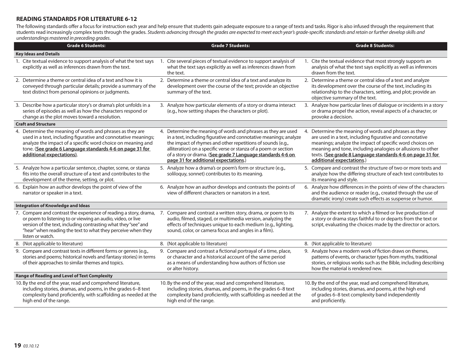# **READING STANDARDS FOR LITERATURE 6-12**

The following standards offer a focus for instruction each year and help ensure that students gain adequate exposure to a range of texts and tasks. Rigor is also infused through the requirement that students read increasingly complex texts through the grades. Students advancing through the grades are expected to meet each year's grade-specifi c standards and retain or further develop skills and understandings mastered in preceding grades.

| <b>Grade 6 Students:</b>                                                                                                                                                                                                                                                                                                                              | <b>Grade 7 Students:</b>                                                                                                                                                                                                                                                                                                                                                       | <b>Grade 8 Students:</b>                                                                                                                                                                                                                                                                                                               |
|-------------------------------------------------------------------------------------------------------------------------------------------------------------------------------------------------------------------------------------------------------------------------------------------------------------------------------------------------------|--------------------------------------------------------------------------------------------------------------------------------------------------------------------------------------------------------------------------------------------------------------------------------------------------------------------------------------------------------------------------------|----------------------------------------------------------------------------------------------------------------------------------------------------------------------------------------------------------------------------------------------------------------------------------------------------------------------------------------|
| <b>Key Ideas and Details</b>                                                                                                                                                                                                                                                                                                                          |                                                                                                                                                                                                                                                                                                                                                                                |                                                                                                                                                                                                                                                                                                                                        |
| 1. Cite textual evidence to support analysis of what the text says 1. Cite several pieces of textual evidence to support analysis of<br>explicitly as well as inferences drawn from the text.                                                                                                                                                         | what the text says explicitly as well as inferences drawn from<br>the text.                                                                                                                                                                                                                                                                                                    | 1. Cite the textual evidence that most strongly supports an<br>analysis of what the text says explicitly as well as inferences<br>drawn from the text.                                                                                                                                                                                 |
| 2. Determine a theme or central idea of a text and how it is<br>conveyed through particular details; provide a summary of the<br>text distinct from personal opinions or judgments.                                                                                                                                                                   | 2. Determine a theme or central idea of a text and analyze its<br>development over the course of the text; provide an objective<br>summary of the text.                                                                                                                                                                                                                        | 2. Determine a theme or central idea of a text and analyze<br>its development over the course of the text, including its<br>relationship to the characters, setting, and plot; provide an<br>objective summary of the text.                                                                                                            |
| 3. Describe how a particular story's or drama's plot unfolds in a<br>series of episodes as well as how the characters respond or<br>change as the plot moves toward a resolution.                                                                                                                                                                     | 3. Analyze how particular elements of a story or drama interact<br>(e.g., how setting shapes the characters or plot).                                                                                                                                                                                                                                                          | 3. Analyze how particular lines of dialogue or incidents in a story<br>or drama propel the action, reveal aspects of a character, or<br>provoke a decision.                                                                                                                                                                            |
| <b>Craft and Structure</b>                                                                                                                                                                                                                                                                                                                            |                                                                                                                                                                                                                                                                                                                                                                                |                                                                                                                                                                                                                                                                                                                                        |
| 4. Determine the meaning of words and phrases as they are<br>used in a text, including figurative and connotative meanings;<br>analyze the impact of a specific word choice on meaning and<br>tone. (See grade 6 Language standards 4-6 on page 31 for<br>additional expectations).                                                                   | 4. Determine the meaning of words and phrases as they are used<br>in a text, including figurative and connotative meanings; analyze<br>the impact of rhymes and other repetitions of sounds (e.g.,<br>alliteration) on a specific verse or stanza of a poem or section<br>of a story or drama. (See grade 7 Language standards 4-6 on<br>page 31 for additional expectations.) | 4. Determine the meaning of words and phrases as they<br>are used in a text, including figurative and connotative<br>meanings; analyze the impact of specific word choices on<br>meaning and tone, including analogies or allusions to other<br>texts. (See grade 8 Language standards 4-6 on page 31 for<br>additional expectations.) |
| 5. Analyze how a particular sentence, chapter, scene, or stanza<br>fits into the overall structure of a text and contributes to the<br>development of the theme, setting, or plot.                                                                                                                                                                    | 5. Analyze how a drama's or poem's form or structure (e.g.,<br>soliloquy, sonnet) contributes to its meaning.                                                                                                                                                                                                                                                                  | 5. Compare and contrast the structure of two or more texts and<br>analyze how the differing structure of each text contributes to<br>its meaning and style.                                                                                                                                                                            |
| 6. Explain how an author develops the point of view of the<br>narrator or speaker in a text.                                                                                                                                                                                                                                                          | 6. Analyze how an author develops and contrasts the points of<br>view of different characters or narrators in a text.                                                                                                                                                                                                                                                          | 6. Analyze how differences in the points of view of the characters<br>and the audience or reader (e.g., created through the use of<br>dramatic irony) create such effects as suspense or humor.                                                                                                                                        |
| <b>Integration of Knowledge and Ideas</b>                                                                                                                                                                                                                                                                                                             |                                                                                                                                                                                                                                                                                                                                                                                |                                                                                                                                                                                                                                                                                                                                        |
| 7. Compare and contrast the experience of reading a story, drama, 7. Compare and contrast a written story, drama, or poem to its<br>or poem to listening to or viewing an audio, video, or live<br>version of the text, including contrasting what they "see" and<br>"hear" when reading the text to what they perceive when they<br>listen or watch. | audio, filmed, staged, or multimedia version, analyzing the<br>effects of techniques unique to each medium (e.g., lighting,<br>sound, color, or camera focus and angles in a film).                                                                                                                                                                                            | 7. Analyze the extent to which a filmed or live production of<br>a story or drama stays faithful to or departs from the text or<br>script, evaluating the choices made by the director or actors.                                                                                                                                      |
| 8. (Not applicable to literature)                                                                                                                                                                                                                                                                                                                     | 8. (Not applicable to literature)                                                                                                                                                                                                                                                                                                                                              | 8. (Not applicable to literature)                                                                                                                                                                                                                                                                                                      |
| 9. Compare and contrast texts in different forms or genres (e.g.,<br>stories and poems; historical novels and fantasy stories) in terms<br>of their approaches to similar themes and topics.                                                                                                                                                          | 9. Compare and contrast a fictional portrayal of a time, place,<br>or character and a historical account of the same period<br>as a means of understanding how authors of fiction use<br>or alter history.                                                                                                                                                                     | 9. Analyze how a modern work of fiction draws on themes,<br>patterns of events, or character types from myths, traditional<br>stories, or religious works such as the Bible, including describing<br>how the material is rendered new.                                                                                                 |
| <b>Range of Reading and Level of Text Complexity</b>                                                                                                                                                                                                                                                                                                  |                                                                                                                                                                                                                                                                                                                                                                                |                                                                                                                                                                                                                                                                                                                                        |
| 10. By the end of the year, read and comprehend literature,<br>including stories, dramas, and poems, in the grades 6-8 text<br>complexity band proficiently, with scaffolding as needed at the<br>high end of the range.                                                                                                                              | 10. By the end of the year, read and comprehend literature,<br>including stories, dramas, and poems, in the grades 6-8 text<br>complexity band proficiently, with scaffolding as needed at the<br>high end of the range.                                                                                                                                                       | 10. By the end of the year, read and comprehend literature,<br>including stories, dramas, and poems, at the high end<br>of grades 6-8 text complexity band independently<br>and proficiently.                                                                                                                                          |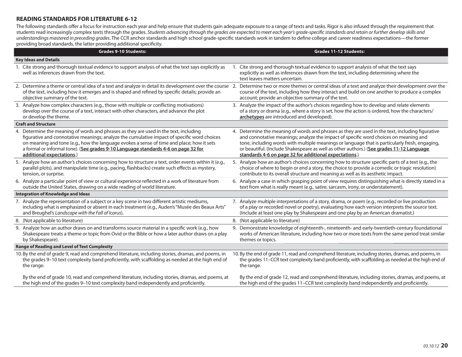## **READING STANDARDS FOR LITERATURE 6-12**

The following standards offer a focus for instruction each year and help ensure that students gain adequate exposure to a range of texts and tasks. Rigor is also infused through the requirement that students read increasingly complex texts through the grades. Students advancing through the grades are expected to meet each year's grade-specific standards and retain or further develop skills and understandings mastered in preceding grades. The CCR anchor standards and high school grade-specific standards work in tandem to define college and career readiness expectations—the former providing broad standards, the latter providing additional specificity.

| <b>Grades 9-10 Students:</b>                                                                                                                    | <b>Grades 11-12 Students:</b>                                                                                                                                                                                  |
|-------------------------------------------------------------------------------------------------------------------------------------------------|----------------------------------------------------------------------------------------------------------------------------------------------------------------------------------------------------------------|
| <b>Key Ideas and Details</b>                                                                                                                    |                                                                                                                                                                                                                |
| 1. Cite strong and thorough textual evidence to support analysis of what the text says explicitly as<br>well as inferences drawn from the text. | Cite strong and thorough textual evidence to support analysis of what the text says<br>explicitly as well as inferences drawn from the text, including determining where the<br>text leaves matters uncertain. |
| 2. Determine a theme or central idea of a text and analyze in detail its development over the course 2.                                         | Determine two or more themes or central ideas of a text and analyze their development over the                                                                                                                 |
| of the text, including how it emerges and is shaped and refined by specific details; provide an                                                 | course of the text, including how they interact and build on one another to produce a complex                                                                                                                  |
| objective summary of the text.                                                                                                                  | account; provide an objective summary of the text.                                                                                                                                                             |
| 3. Analyze how complex characters (e.g., those with multiple or conflicting motivations)                                                        | 3. Analyze the impact of the author's choices regarding how to develop and relate elements                                                                                                                     |
| develop over the course of a text, interact with other characters, and advance the plot                                                         | of a story or drama (e.g., where a story is set, how the action is ordered, how the characters/                                                                                                                |
| or develop the theme.                                                                                                                           | archetypes are introduced and developed).                                                                                                                                                                      |
| <b>Craft and Structure</b>                                                                                                                      |                                                                                                                                                                                                                |
| 4. Determine the meaning of words and phrases as they are used in the text, including                                                           | 4. Determine the meaning of words and phrases as they are used in the text, including figurative                                                                                                               |
| figurative and connotative meanings; analyze the cumulative impact of specific word choices                                                     | and connotative meanings; analyze the impact of specific word choices on meaning and                                                                                                                           |
| on meaning and tone (e.g., how the language evokes a sense of time and place; how it sets                                                       | tone, including words with multiple meanings or language that is particularly fresh, engaging,                                                                                                                 |
| a formal or informal tone). (See grades 9-10 Language standards 4-6 on page 32 for                                                              | or beautiful. (Include Shakespeare as well as other authors.) (See grades 11-12 Language                                                                                                                       |
| additional expectations.)                                                                                                                       | standards 4-6 on page 32 for additional expectations.)                                                                                                                                                         |
| 5. Analyze how an author's choices concerning how to structure a text, order events within it (e.g.,                                            | 5. Analyze how an author's choices concerning how to structure specific parts of a text (e.g., the                                                                                                             |
| parallel plots), and manipulate time (e.g., pacing, flashbacks) create such effects as mystery,                                                 | choice of where to begin or end a story, the choice to provide a comedic or tragic resolution)                                                                                                                 |
| tension, or surprise.                                                                                                                           | contribute to its overall structure and meaning as well as its aesthetic impact.                                                                                                                               |
| 6. Analyze a particular point of view or cultural experience reflected in a work of literature from                                             | 6. Analyze a case in which grasping point of view requires distinguishing what is directly stated in a                                                                                                         |
| outside the United States, drawing on a wide reading of world literature.                                                                       | text from what is really meant (e.g., satire, sarcasm, irony, or understatement).                                                                                                                              |
| <b>Integration of Knowledge and Ideas</b>                                                                                                       |                                                                                                                                                                                                                |
| 7. Analyze the representation of a subject or a key scene in two different artistic mediums,                                                    | 7. Analyze multiple interpretations of a story, drama, or poem (e.g., recorded or live production                                                                                                              |
| including what is emphasized or absent in each treatment (e.g., Auden's "Musée des Beaux Arts"                                                  | of a play or recorded novel or poetry), evaluating how each version interprets the source text.                                                                                                                |
| and Breughel's Landscape with the Fall of Icarus).                                                                                              | (Include at least one play by Shakespeare and one play by an American dramatist.)                                                                                                                              |
| 8. (Not applicable to literature)                                                                                                               | 8. (Not applicable to literature)                                                                                                                                                                              |
| 9. Analyze how an author draws on and transforms source material in a specific work (e.g., how                                                  | 9. Demonstrate knowledge of eighteenth-, nineteenth- and early-twentieth-century foundational                                                                                                                  |
| Shakespeare treats a theme or topic from Ovid or the Bible or how a later author draws on a play                                                | works of American literature, including how two or more texts from the same period treat similar                                                                                                               |
| by Shakespeare).                                                                                                                                | themes or topics.                                                                                                                                                                                              |
| <b>Range of Reading and Level of Text Complexity</b>                                                                                            |                                                                                                                                                                                                                |
| 10. By the end of grade 9, read and comprehend literature, including stories, dramas, and poems, in                                             | 10. By the end of grade 11, read and comprehend literature, including stories, dramas, and poems, in                                                                                                           |
| the grades 9-10 text complexity band proficiently, with scaffolding as needed at the high end of                                                | the grades 11-CCR text complexity band proficiently, with scaffolding as needed at the high end of                                                                                                             |
| the range.                                                                                                                                      | the range.                                                                                                                                                                                                     |
| By the end of grade 10, read and comprehend literature, including stories, dramas, and poems, at                                                | By the end of grade 12, read and comprehend literature, including stories, dramas, and poems, at                                                                                                               |
| the high end of the grades 9-10 text complexity band independently and proficiently.                                                            | the high end of the grades 11–CCR text complexity band independently and proficiently.                                                                                                                         |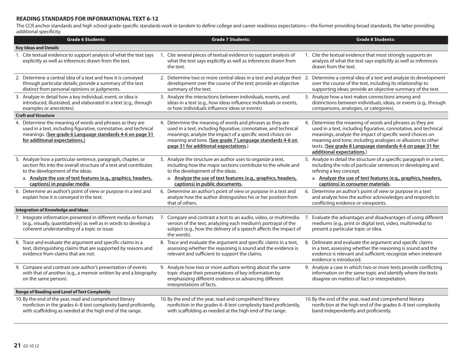## **READING STANDARDS FOR INFORMATIONAL TEXT 6-12**

The CCR anchor standards and high school grade-specific standards work in tandem to define college and career readiness expectations—the former providing broad standards, the latter providing additional specificity.

| <b>Grade 6 Students:</b>                                                                                                                                                                                                   | <b>Grade 7 Students:</b> |                                                                                                                                                                                                                                                                                                 | <b>Grade 8 Students:</b> |                                                                                                                                                                                                                                                                                                                                                    |
|----------------------------------------------------------------------------------------------------------------------------------------------------------------------------------------------------------------------------|--------------------------|-------------------------------------------------------------------------------------------------------------------------------------------------------------------------------------------------------------------------------------------------------------------------------------------------|--------------------------|----------------------------------------------------------------------------------------------------------------------------------------------------------------------------------------------------------------------------------------------------------------------------------------------------------------------------------------------------|
| <b>Key Ideas and Details</b>                                                                                                                                                                                               |                          |                                                                                                                                                                                                                                                                                                 |                          |                                                                                                                                                                                                                                                                                                                                                    |
| 1. Cite textual evidence to support analysis of what the text says<br>explicitly as well as inferences drawn from the text.                                                                                                |                          | 1. Cite several pieces of textual evidence to support analysis of<br>what the text says explicitly as well as inferences drawn from<br>the text.                                                                                                                                                |                          | 1. Cite the textual evidence that most strongly supports an<br>analysis of what the text says explicitly as well as inferences<br>drawn from the text.                                                                                                                                                                                             |
| 2. Determine a central idea of a text and how it is conveyed<br>through particular details; provide a summary of the text<br>distinct from personal opinions or judgments.                                                 |                          | 2. Determine two or more central ideas in a text and analyze their 2. Determine a central idea of a text and analyze its development<br>development over the course of the text; provide an objective<br>summary of the text.                                                                   |                          | over the course of the text, including its relationship to<br>supporting ideas; provide an objective summary of the text.                                                                                                                                                                                                                          |
| 3. Analyze in detail how a key individual, event, or idea is<br>introduced, illustrated, and elaborated in a text (e.g., through<br>examples or anecdotes).                                                                |                          | 3. Analyze the interactions between individuals, events, and<br>ideas in a text (e.g., how ideas influence individuals or events,<br>or how individuals influence ideas or events).                                                                                                             |                          | 3. Analyze how a text makes connections among and<br>distinctions between individuals, ideas, or events (e.g., through<br>comparisons, analogies, or categories).                                                                                                                                                                                  |
| <b>Craft and Structure</b>                                                                                                                                                                                                 |                          |                                                                                                                                                                                                                                                                                                 |                          |                                                                                                                                                                                                                                                                                                                                                    |
| 4. Determine the meaning of words and phrases as they are<br>used in a text, including figurative, connotative, and technical<br>meanings. (See grade 6 Language standards 4-6 on page 31<br>for additional expectations.) |                          | 4. Determine the meaning of words and phrases as they are<br>used in a text, including figurative, connotative, and technical<br>meanings; analyze the impact of a specific word choice on<br>meaning and tone. (See grade 7 Language standards 4-6 on<br>page 31 for additional expectations.) |                          | 4. Determine the meaning of words and phrases as they are<br>used in a text, including figurative, connotative, and technical<br>meanings; analyze the impact of specific word choices on<br>meaning and tone, including analogies or allusions to other<br>texts. (See grade 8 Language standards 4-6 on page 31 for<br>additional expectations.) |
| 5. Analyze how a particular sentence, paragraph, chapter, or<br>section fits into the overall structure of a text and contributes<br>to the development of the ideas.                                                      |                          | 5. Analyze the structure an author uses to organize a text,<br>including how the major sections contribute to the whole and<br>to the development of the ideas.                                                                                                                                 |                          | 5. Analyze in detail the structure of a specific paragraph in a text,<br>including the role of particular sentences in developing and<br>refining a key concept.                                                                                                                                                                                   |
| a. Analyze the use of text features (e.g., graphics, headers,<br>captions) in popular media.                                                                                                                               |                          | a. Analyze the use of text features (e.g., graphics, headers,<br>captions) in public documents.                                                                                                                                                                                                 |                          | a. Analyze the use of text features (e.g., graphics, headers,<br>captions) in consumer materials.                                                                                                                                                                                                                                                  |
| 6. Determine an author's point of view or purpose in a text and<br>explain how it is conveyed in the text.                                                                                                                 |                          | 6. Determine an author's point of view or purpose in a text and<br>analyze how the author distinguishes his or her position from<br>that of others.                                                                                                                                             |                          | 6. Determine an author's point of view or purpose in a text<br>and analyze how the author acknowledges and responds to<br>conflicting evidence or viewpoints.                                                                                                                                                                                      |
| <b>Integration of Knowledge and Ideas</b>                                                                                                                                                                                  |                          |                                                                                                                                                                                                                                                                                                 |                          |                                                                                                                                                                                                                                                                                                                                                    |
| 7. Integrate information presented in different media or formats<br>(e.g., visually, quantitatively) as well as in words to develop a<br>coherent understanding of a topic or issue.                                       | 7.                       | Compare and contrast a text to an audio, video, or multimedia<br>version of the text, analyzing each medium's portrayal of the<br>subject (e.g., how the delivery of a speech affects the impact of<br>the words).                                                                              |                          | 7. Evaluate the advantages and disadvantages of using different<br>mediums (e.g., print or digital text, video, multimedia) to<br>present a particular topic or idea.                                                                                                                                                                              |
| 8. Trace and evaluate the argument and specific claims in a<br>text, distinguishing claims that are supported by reasons and<br>evidence from claims that are not.                                                         |                          | 8. Trace and evaluate the argument and specific claims in a text,<br>assessing whether the reasoning is sound and the evidence is<br>relevant and sufficient to support the claims.                                                                                                             |                          | 8. Delineate and evaluate the argument and specific claims<br>in a text, assessing whether the reasoning is sound and the<br>evidence is relevant and sufficient; recognize when irrelevant<br>evidence is introduced.                                                                                                                             |
| 9. Compare and contrast one author's presentation of events<br>with that of another (e.g., a memoir written by and a biography<br>on the same person).                                                                     |                          | 9. Analyze how two or more authors writing about the same<br>topic shape their presentations of key information by<br>emphasizing different evidence or advancing different<br>interpretations of facts.                                                                                        |                          | 9. Analyze a case in which two or more texts provide conflicting<br>information on the same topic and identify where the texts<br>disagree on matters of fact or interpretation.                                                                                                                                                                   |
| <b>Range of Reading and Level of Text Complexity</b>                                                                                                                                                                       |                          |                                                                                                                                                                                                                                                                                                 |                          |                                                                                                                                                                                                                                                                                                                                                    |
| 10. By the end of the year, read and comprehend literary<br>nonfiction in the grades 6-8 text complexity band proficiently,<br>with scaffolding as needed at the high end of the range.                                    |                          | 10. By the end of the year, read and comprehend literary<br>nonfiction in the grades 6-8 text complexity band proficiently,<br>with scaffolding as needed at the high end of the range.                                                                                                         |                          | 10. By the end of the year, read and comprehend literary<br>nonfiction at the high end of the grades 6-8 text complexity<br>band independently and proficiently.                                                                                                                                                                                   |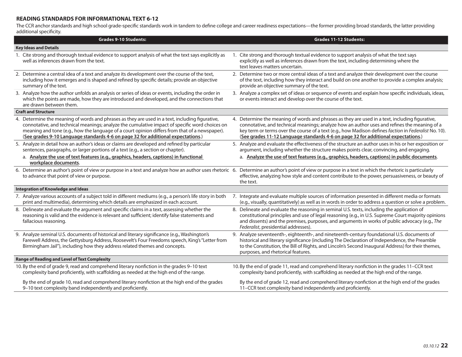#### **READING STANDARDS FOR INFORMATIONAL TEXT 6-12**

The CCR anchor standards and high school grade-specific standards work in tandem to define college and career readiness expectations—the former providing broad standards, the latter providing additional specificity.

| <b>Grades 9-10 Students:</b>                                                                                                                                                                                                                                                                                                                                                            | <b>Grades 11-12 Students:</b>                                                                                                                                                                                                                                                                                                                                                                 |
|-----------------------------------------------------------------------------------------------------------------------------------------------------------------------------------------------------------------------------------------------------------------------------------------------------------------------------------------------------------------------------------------|-----------------------------------------------------------------------------------------------------------------------------------------------------------------------------------------------------------------------------------------------------------------------------------------------------------------------------------------------------------------------------------------------|
| <b>Key Ideas and Details</b>                                                                                                                                                                                                                                                                                                                                                            |                                                                                                                                                                                                                                                                                                                                                                                               |
| Cite strong and thorough textual evidence to support analysis of what the text says explicitly as<br>1.<br>well as inferences drawn from the text.                                                                                                                                                                                                                                      | Cite strong and thorough textual evidence to support analysis of what the text says<br>explicitly as well as inferences drawn from the text, including determining where the<br>text leaves matters uncertain.                                                                                                                                                                                |
| 2. Determine a central idea of a text and analyze its development over the course of the text,<br>including how it emerges and is shaped and refined by specific details; provide an objective<br>summary of the text.                                                                                                                                                                  | 2. Determine two or more central ideas of a text and analyze their development over the course<br>of the text, including how they interact and build on one another to provide a complex analysis;<br>provide an objective summary of the text.                                                                                                                                               |
| 3. Analyze how the author unfolds an analysis or series of ideas or events, including the order in<br>which the points are made, how they are introduced and developed, and the connections that<br>are drawn between them.                                                                                                                                                             | 3. Analyze a complex set of ideas or sequence of events and explain how specific individuals, ideas,<br>or events interact and develop over the course of the text.                                                                                                                                                                                                                           |
| <b>Craft and Structure</b>                                                                                                                                                                                                                                                                                                                                                              |                                                                                                                                                                                                                                                                                                                                                                                               |
| 4. Determine the meaning of words and phrases as they are used in a text, including figurative,<br>connotative, and technical meanings; analyze the cumulative impact of specific word choices on<br>meaning and tone (e.g., how the language of a court opinion differs from that of a newspaper).<br>(See grades 9-10 Language standards 4-6 on page 32 for additional expectations.) | 4. Determine the meaning of words and phrases as they are used in a text, including figurative,<br>connotative, and technical meanings; analyze how an author uses and refines the meaning of a<br>key term or terms over the course of a text (e.g., how Madison defines faction in Federalist No. 10).<br>(See grades 11-12 Language standards 4-6 on page 32 for additional expectations.) |
| 5. Analyze in detail how an author's ideas or claims are developed and refined by particular<br>sentences, paragraphs, or larger portions of a text (e.g., a section or chapter).<br>a. Analyze the use of text features (e.g., graphics, headers, captions) in functional<br>workplace documents.                                                                                      | 5. Analyze and evaluate the effectiveness of the structure an author uses in his or her exposition or<br>argument, including whether the structure makes points clear, convincing, and engaging.<br>a. Analyze the use of text features (e.g., graphics, headers, captions) in public documents.                                                                                              |
| 6. Determine an author's point of view or purpose in a text and analyze how an author uses rhetoric 6.<br>to advance that point of view or purpose.                                                                                                                                                                                                                                     | Determine an author's point of view or purpose in a text in which the rhetoric is particularly<br>effective, analyzing how style and content contribute to the power, persuasiveness, or beauty of<br>the text.                                                                                                                                                                               |
| Integration of Knowledge and Ideas                                                                                                                                                                                                                                                                                                                                                      |                                                                                                                                                                                                                                                                                                                                                                                               |
| 7. Analyze various accounts of a subject told in different mediums (e.g., a person's life story in both<br>print and multimedia), determining which details are emphasized in each account.                                                                                                                                                                                             | 7. Integrate and evaluate multiple sources of information presented in different media or formats<br>(e.g., visually, quantitatively) as well as in words in order to address a question or solve a problem.                                                                                                                                                                                  |
| 8. Delineate and evaluate the argument and specific claims in a text, assessing whether the<br>reasoning is valid and the evidence is relevant and sufficient; identify false statements and<br>fallacious reasoning.                                                                                                                                                                   | 8. Delineate and evaluate the reasoning in seminal U.S. texts, including the application of<br>constitutional principles and use of legal reasoning (e.g., in U.S. Supreme Court majority opinions<br>and dissents) and the premises, purposes, and arguments in works of public advocacy (e.g., The<br>Federalist, presidential addresses).                                                  |
| 9. Analyze seminal U.S. documents of historical and literary significance (e.g., Washington's<br>Farewell Address, the Gettysburg Address, Roosevelt's Four Freedoms speech, King's "Letter from<br>Birmingham Jail"), including how they address related themes and concepts.                                                                                                          | 9. Analyze seventeenth-, eighteenth-, and nineteenth-century foundational U.S. documents of<br>historical and literary significance (including The Declaration of Independence, the Preamble<br>to the Constitution, the Bill of Rights, and Lincoln's Second Inaugural Address) for their themes,<br>purposes, and rhetorical features.                                                      |
| <b>Range of Reading and Level of Text Complexity</b>                                                                                                                                                                                                                                                                                                                                    |                                                                                                                                                                                                                                                                                                                                                                                               |
| 10. By the end of grade 9, read and comprehend literary nonfiction in the grades 9-10 text<br>complexity band proficiently, with scaffolding as needed at the high end of the range.                                                                                                                                                                                                    | 10. By the end of grade 11, read and comprehend literary nonfiction in the grades 11-CCR text<br>complexity band proficiently, with scaffolding as needed at the high end of the range.                                                                                                                                                                                                       |
| By the end of grade 10, read and comprehend literary nonfiction at the high end of the grades<br>9-10 text complexity band independently and proficiently.                                                                                                                                                                                                                              | By the end of grade 12, read and comprehend literary nonfiction at the high end of the grades<br>11-CCR text complexity band independently and proficiently.                                                                                                                                                                                                                                  |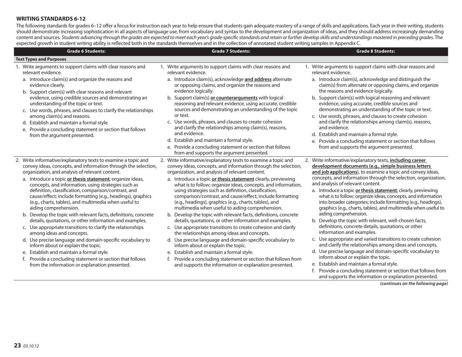#### **WRITING STANDARDS 6-12**

The following standards for grades 6–12 offer a focus for instruction each year to help ensure that students gain adequate mastery of a range of skills and applications. Each year in their writing, students should demonstrate increasing sophistication in all aspects of language use, from vocabulary and syntax to the development and organization of ideas, and they should address increasingly demanding content and sources. Students advancing through the grades are expected to meet each year's grade-specific standards and retain or further develop skills and understandings mastered in preceding grades. The expected growth in student writing ability is reflected both in the standards themselves and in the collection of annotated student writing samples in Appendix C.

| <b>Grade 6 Students:</b>                                                                                                                                                                                                                                                                                                                                                                                                                                                                                                                                                                                                                                                                                                                                                                                                                                                                                                                                                                                 | <b>Grade 7 Students:</b>                                                                                                                                                                                                                                                                                                                                                                                                                                                                                                                                                                                                                                                                                                                                                                                                                                                                                                                                                                                                                                                        | <b>Grade 8 Students:</b>                                                                                                                                                                                                                                                                                                                                                                                                                                                                                                                                                                                                                                                                                                                                                                                                                                                                                                                                                                                                                                                                                                              |
|----------------------------------------------------------------------------------------------------------------------------------------------------------------------------------------------------------------------------------------------------------------------------------------------------------------------------------------------------------------------------------------------------------------------------------------------------------------------------------------------------------------------------------------------------------------------------------------------------------------------------------------------------------------------------------------------------------------------------------------------------------------------------------------------------------------------------------------------------------------------------------------------------------------------------------------------------------------------------------------------------------|---------------------------------------------------------------------------------------------------------------------------------------------------------------------------------------------------------------------------------------------------------------------------------------------------------------------------------------------------------------------------------------------------------------------------------------------------------------------------------------------------------------------------------------------------------------------------------------------------------------------------------------------------------------------------------------------------------------------------------------------------------------------------------------------------------------------------------------------------------------------------------------------------------------------------------------------------------------------------------------------------------------------------------------------------------------------------------|---------------------------------------------------------------------------------------------------------------------------------------------------------------------------------------------------------------------------------------------------------------------------------------------------------------------------------------------------------------------------------------------------------------------------------------------------------------------------------------------------------------------------------------------------------------------------------------------------------------------------------------------------------------------------------------------------------------------------------------------------------------------------------------------------------------------------------------------------------------------------------------------------------------------------------------------------------------------------------------------------------------------------------------------------------------------------------------------------------------------------------------|
| <b>Text Types and Purposes</b>                                                                                                                                                                                                                                                                                                                                                                                                                                                                                                                                                                                                                                                                                                                                                                                                                                                                                                                                                                           |                                                                                                                                                                                                                                                                                                                                                                                                                                                                                                                                                                                                                                                                                                                                                                                                                                                                                                                                                                                                                                                                                 |                                                                                                                                                                                                                                                                                                                                                                                                                                                                                                                                                                                                                                                                                                                                                                                                                                                                                                                                                                                                                                                                                                                                       |
| 1. Write arguments to support claims with clear reasons and<br>relevant evidence.<br>a. Introduce claim(s) and organize the reasons and<br>evidence clearly.<br>b. Support claim(s) with clear reasons and relevant<br>evidence, using credible sources and demonstrating an<br>understanding of the topic or text.<br>c. Use words, phrases, and clauses to clarify the relationships<br>among claim(s) and reasons.<br>d. Establish and maintain a formal style.<br>e. Provide a concluding statement or section that follows<br>from the argument presented.                                                                                                                                                                                                                                                                                                                                                                                                                                          | 1. Write arguments to support claims with clear reasons and<br>relevant evidence.<br>a. Introduce claim(s), acknowledge and address alternate<br>or opposing claims, and organize the reasons and<br>evidence logically.<br>b. Support claim(s) or counterarguments with logical<br>reasoning and relevant evidence, using accurate, credible<br>sources and demonstrating an understanding of the topic<br>or text.<br>c. Use words, phrases, and clauses to create cohesion<br>and clarify the relationships among claim(s), reasons,<br>and evidence.<br>d. Establish and maintain a formal style.<br>e. Provide a concluding statement or section that follows<br>from and supports the argument presented.                                                                                                                                                                                                                                                                                                                                                                 | 1. Write arguments to support claims with clear reasons and<br>relevant evidence.<br>a. Introduce claim(s), acknowledge and distinguish the<br>claim(s) from alternate or opposing claims, and organize<br>the reasons and evidence logically.<br>b. Support claim(s) with logical reasoning and relevant<br>evidence, using accurate, credible sources and<br>demonstrating an understanding of the topic or text.<br>c. Use words, phrases, and clauses to create cohesion<br>and clarify the relationships among claim(s), reasons,<br>and evidence.<br>d. Establish and maintain a formal style.<br>e. Provide a concluding statement or section that follows<br>from and supports the argument presented.                                                                                                                                                                                                                                                                                                                                                                                                                        |
| 2. Write informative/explanatory texts to examine a topic and<br>convey ideas, concepts, and information through the selection,<br>organization, and analysis of relevant content.<br>a. Introduce a topic or thesis statement; organize ideas,<br>concepts, and information, using strategies such as<br>definition, classification, comparison/contrast, and<br>cause/effect; include formatting (e.g., headings), graphics<br>(e.g., charts, tables), and multimedia when useful to<br>aiding comprehension.<br>b. Develop the topic with relevant facts, definitions, concrete<br>details, quotations, or other information and examples.<br>c. Use appropriate transitions to clarify the relationships<br>among ideas and concepts.<br>d. Use precise language and domain-specific vocabulary to<br>inform about or explain the topic.<br>e. Establish and maintain a formal style.<br>f. Provide a concluding statement or section that follows<br>from the information or explanation presented. | 2. Write informative/explanatory texts to examine a topic and<br>convey ideas, concepts, and information through the selection,<br>organization, and analysis of relevant content.<br>a. Introduce a topic or thesis statement clearly, previewing<br>what is to follow; organize ideas, concepts, and information,<br>using strategies such as definition, classification,<br>comparison/contrast, and cause/effect; include formatting<br>(e.g., headings), graphics (e.g., charts, tables), and<br>multimedia when useful to aiding comprehension.<br>b. Develop the topic with relevant facts, definitions, concrete<br>details, quotations, or other information and examples.<br>c. Use appropriate transitions to create cohesion and clarify<br>the relationships among ideas and concepts.<br>d. Use precise language and domain-specific vocabulary to<br>inform about or explain the topic.<br>e. Establish and maintain a formal style.<br>f. Provide a concluding statement or section that follows from<br>and supports the information or explanation presented. | 2. Write informative/explanatory texts, including career<br>development documents (e.g., simple business letters<br>and job applications), to examine a topic and convey ideas,<br>concepts, and information through the selection, organization,<br>and analysis of relevant content.<br>a. Introduce a topic or thesis statement; clearly, previewing<br>what is to follow; organize ideas, concepts, and information<br>into broader categories; include formatting (e.g., headings),<br>graphics (e.g., charts, tables), and multimedia when useful to<br>aiding comprehension.<br>b. Develop the topic with relevant, well-chosen facts,<br>definitions, concrete details, quotations, or other<br>information and examples.<br>c. Use appropriate and varied transitions to create cohesion<br>and clarify the relationships among ideas and concepts.<br>d. Use precise language and domain-specific vocabulary to<br>inform about or explain the topic.<br>e. Establish and maintain a formal style.<br>Provide a concluding statement or section that follows from<br>and supports the information or explanation presented. |

*(continues on the following page)*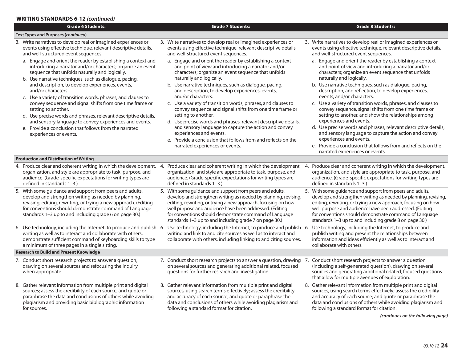## **WRITING STANDARDS 6-12** *(continued)*

| <b>Grade 6 Students:</b>                                                                                                                                                                                                                                                                                  | <b>Grade 7 Students:</b>                                                                                                                                                                                                                                                                                                                                                    | <b>Grade 8 Students:</b>                                                                                                                                                                                                                                                                                                                                                    |
|-----------------------------------------------------------------------------------------------------------------------------------------------------------------------------------------------------------------------------------------------------------------------------------------------------------|-----------------------------------------------------------------------------------------------------------------------------------------------------------------------------------------------------------------------------------------------------------------------------------------------------------------------------------------------------------------------------|-----------------------------------------------------------------------------------------------------------------------------------------------------------------------------------------------------------------------------------------------------------------------------------------------------------------------------------------------------------------------------|
| <b>Text Types and Purposes (continued)</b>                                                                                                                                                                                                                                                                |                                                                                                                                                                                                                                                                                                                                                                             |                                                                                                                                                                                                                                                                                                                                                                             |
| 3. Write narratives to develop real or imagined experiences or<br>events using effective technique, relevant descriptive details,<br>and well-structured event sequences.                                                                                                                                 | 3. Write narratives to develop real or imagined experiences or<br>events using effective technique, relevant descriptive details,<br>and well-structured event sequences.                                                                                                                                                                                                   | 3. Write narratives to develop real or imagined experiences or<br>events using effective technique, relevant descriptive details,<br>and well-structured event sequences.                                                                                                                                                                                                   |
| a. Engage and orient the reader by establishing a context and<br>introducing a narrator and/or characters; organize an event<br>sequence that unfolds naturally and logically.<br>b. Use narrative techniques, such as dialogue, pacing,                                                                  | a. Engage and orient the reader by establishing a context<br>and point of view and introducing a narrator and/or<br>characters; organize an event sequence that unfolds<br>naturally and logically.                                                                                                                                                                         | a. Engage and orient the reader by establishing a context<br>and point of view and introducing a narrator and/or<br>characters; organize an event sequence that unfolds<br>naturally and logically.                                                                                                                                                                         |
| and description, to develop experiences, events,<br>and/or characters.                                                                                                                                                                                                                                    | b. Use narrative techniques, such as dialogue, pacing,<br>and description, to develop experiences, events,<br>and/or characters.                                                                                                                                                                                                                                            | b. Use narrative techniques, such as dialogue, pacing,<br>description, and reflection, to develop experiences,<br>events, and/or characters.                                                                                                                                                                                                                                |
| c. Use a variety of transition words, phrases, and clauses to<br>convey sequence and signal shifts from one time frame or<br>setting to another.                                                                                                                                                          | c. Use a variety of transition words, phrases, and clauses to<br>convey sequence and signal shifts from one time frame or                                                                                                                                                                                                                                                   | c. Use a variety of transition words, phrases, and clauses to<br>convey sequence, signal shifts from one time frame or                                                                                                                                                                                                                                                      |
| d. Use precise words and phrases, relevant descriptive details,<br>and sensory language to convey experiences and events.<br>e. Provide a conclusion that follows from the narrated                                                                                                                       | setting to another.<br>d. Use precise words and phrases, relevant descriptive details,<br>and sensory language to capture the action and convey                                                                                                                                                                                                                             | setting to another, and show the relationships among<br>experiences and events.<br>d. Use precise words and phrases, relevant descriptive details,                                                                                                                                                                                                                          |
| experiences or events.                                                                                                                                                                                                                                                                                    | experiences and events.<br>e. Provide a conclusion that follows from and reflects on the<br>narrated experiences or events.                                                                                                                                                                                                                                                 | and sensory language to capture the action and convey<br>experiences and events.<br>e. Provide a conclusion that follows from and reflects on the                                                                                                                                                                                                                           |
|                                                                                                                                                                                                                                                                                                           |                                                                                                                                                                                                                                                                                                                                                                             | narrated experiences or events.                                                                                                                                                                                                                                                                                                                                             |
| <b>Production and Distribution of Writing</b>                                                                                                                                                                                                                                                             |                                                                                                                                                                                                                                                                                                                                                                             |                                                                                                                                                                                                                                                                                                                                                                             |
| 4. Produce clear and coherent writing in which the development,<br>organization, and style are appropriate to task, purpose, and<br>audience. (Grade-specific expectations for writing types are<br>defined in standards 1-3.)                                                                            | Produce clear and coherent writing in which the development,<br>4.<br>organization, and style are appropriate to task, purpose, and<br>audience. (Grade-specific expectations for writing types are<br>defined in standards 1-3.)                                                                                                                                           | 4. Produce clear and coherent writing in which the development,<br>organization, and style are appropriate to task, purpose, and<br>audience. (Grade-specific expectations for writing types are<br>defined in standards 1-3.)                                                                                                                                              |
| 5. With some guidance and support from peers and adults,<br>develop and strengthen writing as needed by planning,<br>revising, editing, rewriting, or trying a new approach. (Editing<br>for conventions should demonstrate command of Language<br>standards 1-3 up to and including grade 6 on page 30.) | 5. With some guidance and support from peers and adults,<br>develop and strengthen writing as needed by planning, revising,<br>editing, rewriting, or trying a new approach, focusing on how<br>well purpose and audience have been addressed. (Editing<br>for conventions should demonstrate command of Language<br>standards 1-3 up to and including grade 7 on page 30.) | 5. With some guidance and support from peers and adults,<br>develop and strengthen writing as needed by planning, revising,<br>editing, rewriting, or trying a new approach, focusing on how<br>well purpose and audience have been addressed. (Editing<br>for conventions should demonstrate command of Language<br>standards 1-3 up to and including grade 8 on page 30.) |
| writing as well as to interact and collaborate with others;<br>demonstrate sufficient command of keyboarding skills to type<br>a minimum of three pages in a single sitting.                                                                                                                              | 6. Use technology, including the Internet, to produce and publish 6. Use technology, including the Internet, to produce and publish 6. Use technology, including the Internet, to produce and<br>writing and link to and cite sources as well as to interact and<br>collaborate with others, including linking to and citing sources.                                       | publish writing and present the relationships between<br>information and ideas efficiently as well as to interact and<br>collaborate with others.                                                                                                                                                                                                                           |
| <b>Research to Build and Present Knowledge</b>                                                                                                                                                                                                                                                            |                                                                                                                                                                                                                                                                                                                                                                             |                                                                                                                                                                                                                                                                                                                                                                             |
| 7. Conduct short research projects to answer a question,<br>drawing on several sources and refocusing the inquiry<br>when appropriate.                                                                                                                                                                    | 7. Conduct short research projects to answer a question, drawing 7. Conduct short research projects to answer a question<br>on several sources and generating additional related, focused<br>questions for further research and investigation.                                                                                                                              | (including a self-generated question), drawing on several<br>sources and generating additional related, focused questions<br>that allow for multiple avenues of exploration.                                                                                                                                                                                                |
| 8. Gather relevant information from multiple print and digital<br>sources; assess the credibility of each source; and quote or<br>paraphrase the data and conclusions of others while avoiding<br>plagiarism and providing basic bibliographic information<br>for sources.                                | 8. Gather relevant information from multiple print and digital<br>sources, using search terms effectively; assess the credibility<br>and accuracy of each source; and quote or paraphrase the<br>data and conclusions of others while avoiding plagiarism and<br>following a standard format for citation.                                                                  | 8. Gather relevant information from multiple print and digital<br>sources, using search terms effectively; assess the credibility<br>and accuracy of each source; and quote or paraphrase the<br>data and conclusions of others while avoiding plagiarism and<br>following a standard format for citation.                                                                  |

*(continues on the following page)*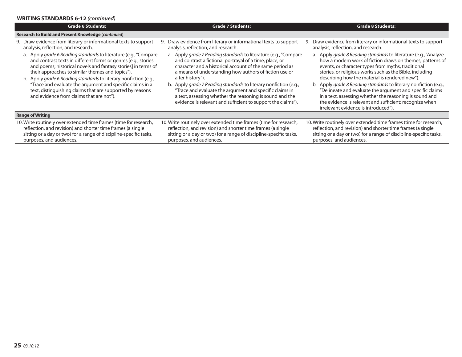#### **WRITING STANDARDS 6-12** *(continued)*

| <b>Grade 6 Students:</b>                                                                                                                                                                                                                                                                                                                                                                                                                                                                          | <b>Grade 7 Students:</b>                                                                                                                                                                                                                                                                                                                                                                                                                                                                                                         | <b>Grade 8 Students:</b>                                                                                                                                                                                                                                                                                                                                                                                                                                                                                                                                                                        |  |
|---------------------------------------------------------------------------------------------------------------------------------------------------------------------------------------------------------------------------------------------------------------------------------------------------------------------------------------------------------------------------------------------------------------------------------------------------------------------------------------------------|----------------------------------------------------------------------------------------------------------------------------------------------------------------------------------------------------------------------------------------------------------------------------------------------------------------------------------------------------------------------------------------------------------------------------------------------------------------------------------------------------------------------------------|-------------------------------------------------------------------------------------------------------------------------------------------------------------------------------------------------------------------------------------------------------------------------------------------------------------------------------------------------------------------------------------------------------------------------------------------------------------------------------------------------------------------------------------------------------------------------------------------------|--|
| Research to Build and Present Knowledge (continued)                                                                                                                                                                                                                                                                                                                                                                                                                                               |                                                                                                                                                                                                                                                                                                                                                                                                                                                                                                                                  |                                                                                                                                                                                                                                                                                                                                                                                                                                                                                                                                                                                                 |  |
| 9. Draw evidence from literary or informational texts to support<br>analysis, reflection, and research.                                                                                                                                                                                                                                                                                                                                                                                           | Draw evidence from literary or informational texts to support<br>9.<br>analysis, reflection, and research.                                                                                                                                                                                                                                                                                                                                                                                                                       | Draw evidence from literary or informational texts to support<br>9.<br>analysis, reflection, and research.                                                                                                                                                                                                                                                                                                                                                                                                                                                                                      |  |
| a. Apply grade 6 Reading standards to literature (e.g., "Compare<br>and contrast texts in different forms or genres [e.g., stories<br>and poems; historical novels and fantasy stories] in terms of<br>their approaches to similar themes and topics").<br>b. Apply grade 6 Reading standards to literary nonfiction (e.g.,<br>"Trace and evaluate the argument and specific claims in a<br>text, distinguishing claims that are supported by reasons<br>and evidence from claims that are not"). | a. Apply grade 7 Reading standards to literature (e.g., "Compare<br>and contrast a fictional portrayal of a time, place, or<br>character and a historical account of the same period as<br>a means of understanding how authors of fiction use or<br>alter history").<br>b. Apply grade 7 Reading standards to literary nonfiction (e.g.,<br>"Trace and evaluate the argument and specific claims in<br>a text, assessing whether the reasoning is sound and the<br>evidence is relevant and sufficient to support the claims"). | a. Apply grade 8 Reading standards to literature (e.g., "Analyze<br>how a modern work of fiction draws on themes, patterns of<br>events, or character types from myths, traditional<br>stories, or religious works such as the Bible, including<br>describing how the material is rendered new").<br>b. Apply grade 8 Reading standards to literary nonfiction (e.g.,<br>"Delineate and evaluate the argument and specific claims<br>in a text, assessing whether the reasoning is sound and<br>the evidence is relevant and sufficient; recognize when<br>irrelevant evidence is introduced"). |  |
| <b>Range of Writing</b>                                                                                                                                                                                                                                                                                                                                                                                                                                                                           |                                                                                                                                                                                                                                                                                                                                                                                                                                                                                                                                  |                                                                                                                                                                                                                                                                                                                                                                                                                                                                                                                                                                                                 |  |
| 10. Write routinely over extended time frames (time for research,<br>reflection, and revision) and shorter time frames (a single<br>sitting or a day or two) for a range of discipline-specific tasks,<br>purposes, and audiences.                                                                                                                                                                                                                                                                | 10. Write routinely over extended time frames (time for research,<br>reflection, and revision) and shorter time frames (a single<br>sitting or a day or two) for a range of discipline-specific tasks,<br>purposes, and audiences.                                                                                                                                                                                                                                                                                               | 10. Write routinely over extended time frames (time for research,<br>reflection, and revision) and shorter time frames (a single<br>sitting or a day or two) for a range of discipline-specific tasks,<br>purposes, and audiences.                                                                                                                                                                                                                                                                                                                                                              |  |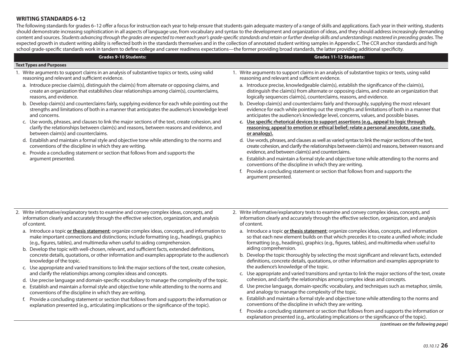#### **WRITING STANDARDS 6-12**

The following standards for grades 6–12 offer a focus for instruction each year to help ensure that students gain adequate mastery of a range of skills and applications. Each year in their writing, students should demonstrate increasing sophistication in all aspects of language use, from vocabulary and syntax to the development and organization of ideas, and they should address increasingly demanding content and sources. Students advancing through the grades are expected to meet each year's grade-specific standards and retain or further develop skills and understandings mastered in preceding grades. The expected growth in student writing ability is reflected both in the standards themselves and in the collection of annotated student writing samples in Appendix C. The CCR anchor standards and high school grade-specific standards work in tandem to define college and career readiness expectations—the former providing broad standards, the latter providing additional specificity.

#### **Text Types and Purposes**

- 1. Write arguments to support claims in an analysis of substantive topics or texts, using valid reasoning and relevant and sufficient evidence.
	- a. Introduce precise claim(s), distinguish the claim(s) from alternate or opposing claims, and create an organization that establishes clear relationships among claim(s), counterclaims, reasons, and evidence.

**Grades 9-10 Students:**

- b. Develop claim(s) and counterclaims fairly, supplying evidence for each while pointing out the strengths and limitations of both in a manner that anticipates the audience's knowledge level and concerns.
- c. Use words, phrases, and clauses to link the major sections of the text, create cohesion, and clarify the relationships between claim(s) and reasons, between reasons and evidence, and between claim(s) and counterclaims.
- d. Establish and maintain a formal style and objective tone while attending to the norms and conventions of the discipline in which they are writing.
- e. Provide a concluding statement or section that follows from and supports the argument presented.
- 1. Write arguments to support claims in an analysis of substantive topics or texts, using valid reasoning and relevant and sufficient evidence.
	- a. Introduce precise, knowledgeable claim(s), establish the significance of the claim(s), distinguish the claim(s) from alternate or opposing claims, and create an organization that logically sequences claim(s), counterclaims, reasons, and evidence.

**Grades 11-12 Students:**

- b. Develop claim(s) and counterclaims fairly and thoroughly, supplying the most relevant evidence for each while pointing out the strengths and limitations of both in a manner that anticipates the audience's knowledge level, concerns, values, and possible biases.
- c. Use specific rhetorical devices to support assertions (e.g., appeal to logic through **reasoning; appeal to emotion or ethical belief; relate a personal anecdote, case study, or analogy).**
- d. Use words, phrases, and clauses as well as varied syntax to link the major sections of the text, create cohesion, and clarify the relationships between claim(s) and reasons, between reasons and evidence, and between claim(s) and counterclaims.
- e. Establish and maintain a formal style and objective tone while attending to the norms and conventions of the discipline in which they are writing.
- f. Provide a concluding statement or section that follows from and supports the argument presented.
- 2. Write informative/explanatory texts to examine and convey complex ideas, concepts, and information clearly and accurately through the effective selection, organization, and analysis of content.
	- a. Introduce a topic **or thesis statement**; organize complex ideas, concepts, and information to make important connections and distinctions; include formatting (e.g., headings), graphics (e.g., figures, tables), and multimedia when useful to aiding comprehension.
	- b. Develop the topic with well-chosen, relevant, and sufficient facts, extended definitions, concrete details, quotations, or other information and examples appropriate to the audience's knowledge of the topic.
	- c. Use appropriate and varied transitions to link the major sections of the text, create cohesion, and clarify the relationships among complex ideas and concepts.
	- d. Use precise language and domain-specific vocabulary to manage the complexity of the topic.
	- e. Establish and maintain a formal style and objective tone while attending to the norms and conventions of the discipline in which they are writing.
	- f. Provide a concluding statement or section that follows from and supports the information or explanation presented (e.g., articulating implications or the significance of the topic).
- 2. Write informative/explanatory texts to examine and convey complex ideas, concepts, and information clearly and accurately through the effective selection, organization, and analysis of content.
	- a. Introduce a topic **or thesis statement**; organize complex ideas, concepts, and information so that each new element builds on that which precedes it to create a unified whole; include formatting (e.g., headings), graphics (e.g., figures, tables), and multimedia when useful to aiding comprehension.
	- b. Develop the topic thoroughly by selecting the most significant and relevant facts, extended definitions, concrete details, quotations, or other information and examples appropriate to the audience's knowledge of the topic.
	- c. Use appropriate and varied transitions and syntax to link the major sections of the text, create cohesion, and clarify the relationships among complex ideas and concepts.
	- d. Use precise language, domain-specific vocabulary, and techniques such as metaphor, simile, and analogy to manage the complexity of the topic.
	- e. Establish and maintain a formal style and objective tone while attending to the norms and conventions of the discipline in which they are writing.
	- f. Provide a concluding statement or section that follows from and supports the information or explanation presented (e.g., articulating implications or the significance of the topic).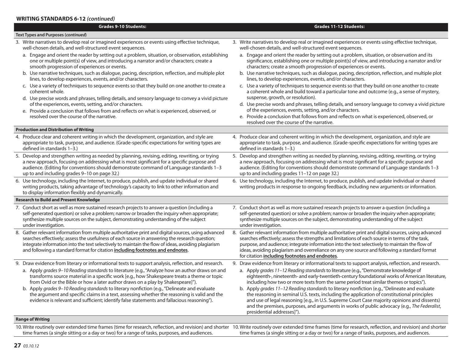#### **WRITING STANDARDS 6-12** *(continued)*

| <b>Grades 9-10 Students:</b>                                                                                                                                                                                                                                                                                                                                                                   | <b>Grades 11-12 Students:</b>                                                                                                                                                                                                                                                                                                                                                                                                                                |
|------------------------------------------------------------------------------------------------------------------------------------------------------------------------------------------------------------------------------------------------------------------------------------------------------------------------------------------------------------------------------------------------|--------------------------------------------------------------------------------------------------------------------------------------------------------------------------------------------------------------------------------------------------------------------------------------------------------------------------------------------------------------------------------------------------------------------------------------------------------------|
| <b>Text Types and Purposes (continued)</b>                                                                                                                                                                                                                                                                                                                                                     |                                                                                                                                                                                                                                                                                                                                                                                                                                                              |
| 3. Write narratives to develop real or imagined experiences or events using effective technique,<br>well-chosen details, and well-structured event sequences.                                                                                                                                                                                                                                  | 3. Write narratives to develop real or imagined experiences or events using effective technique,<br>well-chosen details, and well-structured event sequences.                                                                                                                                                                                                                                                                                                |
| a. Engage and orient the reader by setting out a problem, situation, or observation, establishing<br>one or multiple point(s) of view, and introducing a narrator and/or characters; create a<br>smooth progression of experiences or events.                                                                                                                                                  | a. Engage and orient the reader by setting out a problem, situation, or observation and its<br>significance, establishing one or multiple point(s) of view, and introducing a narrator and/or<br>characters; create a smooth progression of experiences or events.                                                                                                                                                                                           |
| b. Use narrative techniques, such as dialogue, pacing, description, reflection, and multiple plot<br>lines, to develop experiences, events, and/or characters.                                                                                                                                                                                                                                 | b. Use narrative techniques, such as dialogue, pacing, description, reflection, and multiple plot<br>lines, to develop experiences, events, and/or characters.                                                                                                                                                                                                                                                                                               |
| c. Use a variety of techniques to sequence events so that they build on one another to create a<br>coherent whole.                                                                                                                                                                                                                                                                             | c. Use a variety of techniques to sequence events so that they build on one another to create<br>a coherent whole and build toward a particular tone and outcome (e.g., a sense of mystery,                                                                                                                                                                                                                                                                  |
| d. Use precise words and phrases, telling details, and sensory language to convey a vivid picture<br>of the experiences, events, setting, and/or characters.                                                                                                                                                                                                                                   | suspense, growth, or resolution).<br>d. Use precise words and phrases, telling details, and sensory language to convey a vivid picture                                                                                                                                                                                                                                                                                                                       |
| e. Provide a conclusion that follows from and reflects on what is experienced, observed, or                                                                                                                                                                                                                                                                                                    | of the experiences, events, setting, and/or characters.                                                                                                                                                                                                                                                                                                                                                                                                      |
| resolved over the course of the narrative.                                                                                                                                                                                                                                                                                                                                                     | e. Provide a conclusion that follows from and reflects on what is experienced, observed, or<br>resolved over the course of the narrative.                                                                                                                                                                                                                                                                                                                    |
| <b>Production and Distribution of Writing</b>                                                                                                                                                                                                                                                                                                                                                  |                                                                                                                                                                                                                                                                                                                                                                                                                                                              |
| 4. Produce clear and coherent writing in which the development, organization, and style are<br>appropriate to task, purpose, and audience. (Grade-specific expectations for writing types are<br>defined in standards 1-3.)                                                                                                                                                                    | 4. Produce clear and coherent writing in which the development, organization, and style are<br>appropriate to task, purpose, and audience. (Grade-specific expectations for writing types are<br>defined in standards 1-3.)                                                                                                                                                                                                                                  |
| 5. Develop and strengthen writing as needed by planning, revising, editing, rewriting, or trying<br>a new approach, focusing on addressing what is most significant for a specific purpose and<br>audience. (Editing for conventions should demonstrate command of Language standards 1-3<br>up to and including grades 9-10 on page 32.)                                                      | 5. Develop and strengthen writing as needed by planning, revising, editing, rewriting, or trying<br>a new approach, focusing on addressing what is most significant for a specific purpose and<br>audience. (Editing for conventions should demonstrate command of Language standards 1-3<br>up to and including grades 11-12 on page 32.)                                                                                                                   |
| 6. Use technology, including the Internet, to produce, publish, and update individual or shared<br>writing products, taking advantage of technology's capacity to link to other information and<br>to display information flexibly and dynamically.                                                                                                                                            | 6. Use technology, including the Internet, to produce, publish, and update individual or shared<br>writing products in response to ongoing feedback, including new arguments or information.                                                                                                                                                                                                                                                                 |
| <b>Research to Build and Present Knowledge</b>                                                                                                                                                                                                                                                                                                                                                 |                                                                                                                                                                                                                                                                                                                                                                                                                                                              |
| 7. Conduct short as well as more sustained research projects to answer a question (including a<br>self-generated question) or solve a problem; narrow or broaden the inquiry when appropriate;<br>synthesize multiple sources on the subject, demonstrating understanding of the subject<br>under investigation.                                                                               | 7. Conduct short as well as more sustained research projects to answer a question (including a<br>self-generated question) or solve a problem; narrow or broaden the inquiry when appropriate;<br>synthesize multiple sources on the subject, demonstrating understanding of the subject<br>under investigation.                                                                                                                                             |
| 8. Gather relevant information from multiple authoritative print and digital sources, using advanced<br>searches effectively; assess the usefulness of each source in answering the research question;<br>integrate information into the text selectively to maintain the flow of ideas, avoiding plagiarism<br>and following a standard format for citation including footnotes and endnotes. | 8. Gather relevant information from multiple authoritative print and digital sources, using advanced<br>searches effectively; assess the strengths and limitations of each source in terms of the task,<br>purpose, and audience; integrate information into the text selectively to maintain the flow of<br>ideas, avoiding plagiarism and overreliance on any one source and following a standard format<br>for citation including footnotes and endnotes. |
| 9. Draw evidence from literary or informational texts to support analysis, reflection, and research.                                                                                                                                                                                                                                                                                           | 9. Draw evidence from literary or informational texts to support analysis, reflection, and research.                                                                                                                                                                                                                                                                                                                                                         |
| a. Apply grades 9-10 Reading standards to literature (e.g., "Analyze how an author draws on and<br>transforms source material in a specific work [e.g., how Shakespeare treats a theme or topic<br>from Ovid or the Bible or how a later author draws on a play by Shakespeare]").                                                                                                             | a. Apply grades 11-12 Reading standards to literature (e.g., "Demonstrate knowledge of<br>eighteenth-, nineteenth- and early-twentieth-century foundational works of American literature,<br>including how two or more texts from the same period treat similar themes or topics").                                                                                                                                                                          |
| b. Apply grades 9–10 Reading standards to literary nonfiction (e.g., "Delineate and evaluate<br>the argument and specific claims in a text, assessing whether the reasoning is valid and the<br>evidence is relevant and sufficient; identify false statements and fallacious reasoning").                                                                                                     | b. Apply grades 11-12 Reading standards to literary nonfiction (e.g., "Delineate and evaluate<br>the reasoning in seminal U.S. texts, including the application of constitutional principles<br>and use of legal reasoning [e.g., in U.S. Supreme Court Case majority opinions and dissents)<br>and the premises, purposes, and arguments in works of public advocacy (e.g., The Federalist,<br>presidential addresses]").                                   |
| <b>Range of Writing</b>                                                                                                                                                                                                                                                                                                                                                                        |                                                                                                                                                                                                                                                                                                                                                                                                                                                              |
|                                                                                                                                                                                                                                                                                                                                                                                                | 10 Write routingly over extended time frames (time for research reflection, and revision) and shorter, 10 Write routingly over extended time frames (time for research, reflection, and revision) and shorter                                                                                                                                                                                                                                                |

10. Write routinely over extended time frames (time for research, reflection, and revision) and shorter 10. Write routinely over extended time frames (time for research, reflection, and revision) and shorter time frames (a single sitting or a day or two) for a range of tasks, purposes, and audiences. time frames (a single sitting or a day or two) for a range of tasks, purposes, and audiences.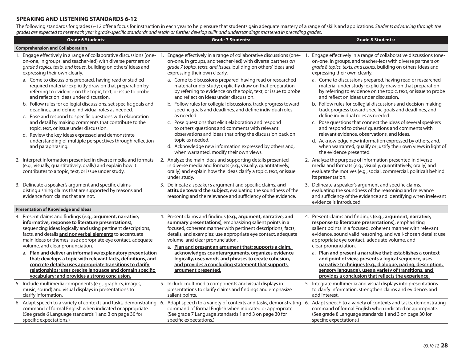# **SPEAKING AND LISTENING STANDARDS 6-12**

The following standards for grades 6–12 offer a focus for instruction in each year to help ensure that students gain adequate mastery of a range of skills and applications. Students advancing through the grades are expected to meet each year's grade-specific standards and retain or further develop skills and understandings mastered in preceding grades.

| <b>Grade 6 Students:</b>                                                                                                                                                                                                                                                                                                                        | <b>Grade 7 Students:</b>                                                                                                                                                                                                                                                                                                                                 | <b>Grade 8 Students:</b>                                                                                                                                                                                                                                                                                                   |
|-------------------------------------------------------------------------------------------------------------------------------------------------------------------------------------------------------------------------------------------------------------------------------------------------------------------------------------------------|----------------------------------------------------------------------------------------------------------------------------------------------------------------------------------------------------------------------------------------------------------------------------------------------------------------------------------------------------------|----------------------------------------------------------------------------------------------------------------------------------------------------------------------------------------------------------------------------------------------------------------------------------------------------------------------------|
| <b>Comprehension and Collaboration</b>                                                                                                                                                                                                                                                                                                          |                                                                                                                                                                                                                                                                                                                                                          |                                                                                                                                                                                                                                                                                                                            |
| 1. Engage effectively in a range of collaborative discussions (one- 1.<br>on-one, in groups, and teacher-led) with diverse partners on<br>grade 6 topics, texts, and issues, building on others' ideas and<br>expressing their own clearly.                                                                                                     | on-one, in groups, and teacher-led) with diverse partners on<br>grade 7 topics, texts, and issues, building on others' ideas and<br>expressing their own clearly.                                                                                                                                                                                        | Engage effectively in a range of collaborative discussions (one- 1. Engage effectively in a range of collaborative discussions (one-<br>on-one, in groups, and teacher-led) with diverse partners on<br>grade 8 topics, texts, and issues, building on others' ideas and<br>expressing their own clearly.                  |
| a. Come to discussions prepared, having read or studied<br>required material; explicitly draw on that preparation by<br>referring to evidence on the topic, text, or issue to probe<br>and reflect on ideas under discussion.                                                                                                                   | a. Come to discussions prepared, having read or researched<br>material under study; explicitly draw on that preparation<br>by referring to evidence on the topic, text, or issue to probe<br>and reflect on ideas under discussion.                                                                                                                      | a. Come to discussions prepared, having read or researched<br>material under study; explicitly draw on that preparation<br>by referring to evidence on the topic, text, or issue to probe<br>and reflect on ideas under discussion.                                                                                        |
| b. Follow rules for collegial discussions, set specific goals and<br>deadlines, and define individual roles as needed.<br>c. Pose and respond to specific questions with elaboration                                                                                                                                                            | b. Follow rules for collegial discussions, track progress toward<br>specific goals and deadlines, and define individual roles<br>as needed.                                                                                                                                                                                                              | b. Follow rules for collegial discussions and decision-making,<br>track progress toward specific goals and deadlines, and<br>define individual roles as needed.                                                                                                                                                            |
| and detail by making comments that contribute to the<br>topic, text, or issue under discussion.<br>d. Review the key ideas expressed and demonstrate<br>understanding of multiple perspectives through reflection<br>and paraphrasing.                                                                                                          | c. Pose questions that elicit elaboration and respond<br>to others' questions and comments with relevant<br>observations and ideas that bring the discussion back on<br>topic as needed.<br>d. Acknowledge new information expressed by others and,<br>when warranted, modify their own views.                                                           | c. Pose questions that connect the ideas of several speakers<br>and respond to others' questions and comments with<br>relevant evidence, observations, and ideas.<br>d. Acknowledge new information expressed by others, and,<br>when warranted, qualify or justify their own views in light of<br>the evidence presented. |
| 2. Interpret information presented in diverse media and formats<br>(e.g., visually, quantitatively, orally) and explain how it<br>contributes to a topic, text, or issue under study.                                                                                                                                                           | 2. Analyze the main ideas and supporting details presented<br>in diverse media and formats (e.g., visually, quantitatively,<br>orally) and explain how the ideas clarify a topic, text, or issue<br>under study.                                                                                                                                         | 2. Analyze the purpose of information presented in diverse<br>media and formats (e.g., visually, quantitatively, orally) and<br>evaluate the motives (e.g., social, commercial, political) behind<br>its presentation.                                                                                                     |
| 3. Delineate a speaker's argument and specific claims,<br>distinguishing claims that are supported by reasons and<br>evidence from claims that are not.                                                                                                                                                                                         | 3. Delineate a speaker's argument and specific claims, and<br>attitude toward the subject, evaluating the soundness of the<br>reasoning and the relevance and sufficiency of the evidence.                                                                                                                                                               | 3. Delineate a speaker's argument and specific claims,<br>evaluating the soundness of the reasoning and relevance<br>and sufficiency of the evidence and identifying when irrelevant<br>evidence is introduced.                                                                                                            |
| <b>Presentation of Knowledge and Ideas</b>                                                                                                                                                                                                                                                                                                      |                                                                                                                                                                                                                                                                                                                                                          |                                                                                                                                                                                                                                                                                                                            |
| 4. Present claims and findings (e.g., argument, narrative,<br>informative, response to literature presentations),<br>sequencing ideas logically and using pertinent descriptions,<br>facts, and details and nonverbal elements to accentuate<br>main ideas or themes; use appropriate eye contact, adequate<br>volume, and clear pronunciation. | 4. Present claims and findings (e.g., argument, narrative, and<br>summary presentations), emphasizing salient points in a<br>focused, coherent manner with pertinent descriptions, facts,<br>details, and examples; use appropriate eye contact, adequate<br>volume, and clear pronunciation.<br>a. Plan and present an argument that: supports a claim, | 4. Present claims and findings (e.g., argument, narrative,<br>response to literature presentations), emphasizing<br>salient points in a focused, coherent manner with relevant<br>evidence, sound valid reasoning, and well-chosen details; use<br>appropriate eye contact, adequate volume, and<br>clear pronunciation.   |
| a. Plan and deliver an informative/explanatory presentation<br>that: develops a topic with relevant facts, definitions, and<br>concrete details; uses appropriate transitions to clarify<br>relationships; uses precise language and domain specific<br>vocabulary; and provides a strong conclusion.                                           | acknowledges counterarguments, organizes evidence<br>logically, uses words and phrases to create cohesion,<br>and provides a concluding statement that supports<br>argument presented.                                                                                                                                                                   | a. Plan and present a narrative that: establishes a context<br>and point of view, presents a logical sequence, uses<br>narrative techniques (e.g., dialogue, pacing, description,<br>sensory language), uses a variety of transitions, and<br>provides a conclusion that reflects the experience.                          |
| 5. Include multimedia components (e.g., graphics, images,<br>music, sound) and visual displays in presentations to<br>clarify information.                                                                                                                                                                                                      | 5. Include multimedia components and visual displays in<br>presentations to clarify claims and findings and emphasize<br>salient points.                                                                                                                                                                                                                 | 5. Integrate multimedia and visual displays into presentations<br>to clarify information, strengthen claims and evidence, and<br>add interest.                                                                                                                                                                             |
| 6. Adapt speech to a variety of contexts and tasks, demonstrating 6.<br>command of formal English when indicated or appropriate.<br>(See grade 6 Language standards 1 and 3 on page 30 for<br>specific expectations.)                                                                                                                           | command of formal English when indicated or appropriate.<br>(See grade 7 Language standards 1 and 3 on page 30 for<br>specific expectations.)                                                                                                                                                                                                            | Adapt speech to a variety of contexts and tasks, demonstrating 6. Adapt speech to a variety of contexts and tasks, demonstrating<br>command of formal English when indicated or appropriate.<br>(See grade 8 Language standards 1 and 3 on page 30 for<br>specific expectations.)                                          |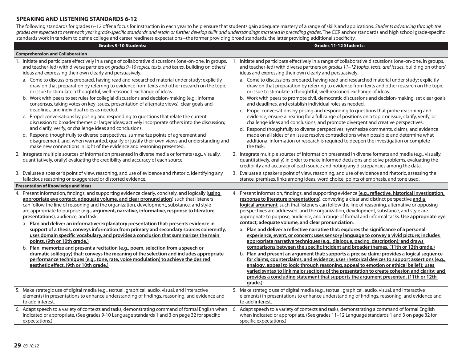# **SPEAKING AND LISTENING STANDARDS 6-12**

The following standards for grades 6-12 offer a focus for instruction in each year to help ensure that students gain adequate mastery of a range of skills and applications. Students advancing through the grades are expected to meet each year's grade-specific standards and retain or further develop skills and understandings mastered in preceding grades. The CCR anchor standards and high school grade-specific standards work in tandem to define college and career readiness expectations—the former providing broad standards, the latter providing additional specificity.

| <b>Grades 9-10 Students:</b>                                                                                                                                                                                                                                                                                                                                                                                                                                                                                                                                                                                                                                                                                                                                                                                                                                                                                                                                                                                                                               | <b>Grades 11-12 Students:</b>                                                                                                                                                                                                                                                                                                                                                                                                                                                                                                                                                                                                                                                                                                                                                                                                                                                                                                                                                                                                                                                                                                                                                                                                                                                                                                                                                                                            |
|------------------------------------------------------------------------------------------------------------------------------------------------------------------------------------------------------------------------------------------------------------------------------------------------------------------------------------------------------------------------------------------------------------------------------------------------------------------------------------------------------------------------------------------------------------------------------------------------------------------------------------------------------------------------------------------------------------------------------------------------------------------------------------------------------------------------------------------------------------------------------------------------------------------------------------------------------------------------------------------------------------------------------------------------------------|--------------------------------------------------------------------------------------------------------------------------------------------------------------------------------------------------------------------------------------------------------------------------------------------------------------------------------------------------------------------------------------------------------------------------------------------------------------------------------------------------------------------------------------------------------------------------------------------------------------------------------------------------------------------------------------------------------------------------------------------------------------------------------------------------------------------------------------------------------------------------------------------------------------------------------------------------------------------------------------------------------------------------------------------------------------------------------------------------------------------------------------------------------------------------------------------------------------------------------------------------------------------------------------------------------------------------------------------------------------------------------------------------------------------------|
| <b>Comprehension and Collaboration</b>                                                                                                                                                                                                                                                                                                                                                                                                                                                                                                                                                                                                                                                                                                                                                                                                                                                                                                                                                                                                                     |                                                                                                                                                                                                                                                                                                                                                                                                                                                                                                                                                                                                                                                                                                                                                                                                                                                                                                                                                                                                                                                                                                                                                                                                                                                                                                                                                                                                                          |
| 1. Initiate and participate effectively in a range of collaborative discussions (one-on-one, in groups,                                                                                                                                                                                                                                                                                                                                                                                                                                                                                                                                                                                                                                                                                                                                                                                                                                                                                                                                                    | 1. Initiate and participate effectively in a range of collaborative discussions (one-on-one, in groups,                                                                                                                                                                                                                                                                                                                                                                                                                                                                                                                                                                                                                                                                                                                                                                                                                                                                                                                                                                                                                                                                                                                                                                                                                                                                                                                  |
| and teacher-led) with diverse partners on grades 9-10 topics, texts, and issues, building on others'                                                                                                                                                                                                                                                                                                                                                                                                                                                                                                                                                                                                                                                                                                                                                                                                                                                                                                                                                       | and teacher-led) with diverse partners on grades 11-12 topics, texts, and issues, building on others'                                                                                                                                                                                                                                                                                                                                                                                                                                                                                                                                                                                                                                                                                                                                                                                                                                                                                                                                                                                                                                                                                                                                                                                                                                                                                                                    |
| ideas and expressing their own clearly and persuasively.                                                                                                                                                                                                                                                                                                                                                                                                                                                                                                                                                                                                                                                                                                                                                                                                                                                                                                                                                                                                   | ideas and expressing their own clearly and persuasively.                                                                                                                                                                                                                                                                                                                                                                                                                                                                                                                                                                                                                                                                                                                                                                                                                                                                                                                                                                                                                                                                                                                                                                                                                                                                                                                                                                 |
| a. Come to discussions prepared, having read and researched material under study; explicitly                                                                                                                                                                                                                                                                                                                                                                                                                                                                                                                                                                                                                                                                                                                                                                                                                                                                                                                                                               | a. Come to discussions prepared, having read and researched material under study; explicitly                                                                                                                                                                                                                                                                                                                                                                                                                                                                                                                                                                                                                                                                                                                                                                                                                                                                                                                                                                                                                                                                                                                                                                                                                                                                                                                             |
| draw on that preparation by referring to evidence from texts and other research on the topic                                                                                                                                                                                                                                                                                                                                                                                                                                                                                                                                                                                                                                                                                                                                                                                                                                                                                                                                                               | draw on that preparation by referring to evidence from texts and other research on the topic                                                                                                                                                                                                                                                                                                                                                                                                                                                                                                                                                                                                                                                                                                                                                                                                                                                                                                                                                                                                                                                                                                                                                                                                                                                                                                                             |
| or issue to stimulate a thoughtful, well-reasoned exchange of ideas.                                                                                                                                                                                                                                                                                                                                                                                                                                                                                                                                                                                                                                                                                                                                                                                                                                                                                                                                                                                       | or issue to stimulate a thoughtful, well-reasoned exchange of ideas.                                                                                                                                                                                                                                                                                                                                                                                                                                                                                                                                                                                                                                                                                                                                                                                                                                                                                                                                                                                                                                                                                                                                                                                                                                                                                                                                                     |
| b. Work with peers to set rules for collegial discussions and decision-making (e.g., informal                                                                                                                                                                                                                                                                                                                                                                                                                                                                                                                                                                                                                                                                                                                                                                                                                                                                                                                                                              | b. Work with peers to promote civil, democratic discussions and decision-making, set clear goals                                                                                                                                                                                                                                                                                                                                                                                                                                                                                                                                                                                                                                                                                                                                                                                                                                                                                                                                                                                                                                                                                                                                                                                                                                                                                                                         |
| consensus, taking votes on key issues, presentation of alternate views), clear goals and                                                                                                                                                                                                                                                                                                                                                                                                                                                                                                                                                                                                                                                                                                                                                                                                                                                                                                                                                                   | and deadlines, and establish individual roles as needed.                                                                                                                                                                                                                                                                                                                                                                                                                                                                                                                                                                                                                                                                                                                                                                                                                                                                                                                                                                                                                                                                                                                                                                                                                                                                                                                                                                 |
| deadlines, and individual roles as needed.                                                                                                                                                                                                                                                                                                                                                                                                                                                                                                                                                                                                                                                                                                                                                                                                                                                                                                                                                                                                                 | c. Propel conversations by posing and responding to questions that probe reasoning and                                                                                                                                                                                                                                                                                                                                                                                                                                                                                                                                                                                                                                                                                                                                                                                                                                                                                                                                                                                                                                                                                                                                                                                                                                                                                                                                   |
| c. Propel conversations by posing and responding to questions that relate the current                                                                                                                                                                                                                                                                                                                                                                                                                                                                                                                                                                                                                                                                                                                                                                                                                                                                                                                                                                      | evidence; ensure a hearing for a full range of positions on a topic or issue; clarify, verify, or                                                                                                                                                                                                                                                                                                                                                                                                                                                                                                                                                                                                                                                                                                                                                                                                                                                                                                                                                                                                                                                                                                                                                                                                                                                                                                                        |
| discussion to broader themes or larger ideas; actively incorporate others into the discussion;                                                                                                                                                                                                                                                                                                                                                                                                                                                                                                                                                                                                                                                                                                                                                                                                                                                                                                                                                             | challenge ideas and conclusions; and promote divergent and creative perspectives.                                                                                                                                                                                                                                                                                                                                                                                                                                                                                                                                                                                                                                                                                                                                                                                                                                                                                                                                                                                                                                                                                                                                                                                                                                                                                                                                        |
| and clarify, verify, or challenge ideas and conclusions.                                                                                                                                                                                                                                                                                                                                                                                                                                                                                                                                                                                                                                                                                                                                                                                                                                                                                                                                                                                                   | d. Respond thoughtfully to diverse perspectives; synthesize comments, claims, and evidence                                                                                                                                                                                                                                                                                                                                                                                                                                                                                                                                                                                                                                                                                                                                                                                                                                                                                                                                                                                                                                                                                                                                                                                                                                                                                                                               |
| d. Respond thoughtfully to diverse perspectives, summarize points of agreement and                                                                                                                                                                                                                                                                                                                                                                                                                                                                                                                                                                                                                                                                                                                                                                                                                                                                                                                                                                         | made on all sides of an issue; resolve contradictions when possible; and determine what                                                                                                                                                                                                                                                                                                                                                                                                                                                                                                                                                                                                                                                                                                                                                                                                                                                                                                                                                                                                                                                                                                                                                                                                                                                                                                                                  |
| disagreement, and, when warranted, qualify or justify their own views and understanding and                                                                                                                                                                                                                                                                                                                                                                                                                                                                                                                                                                                                                                                                                                                                                                                                                                                                                                                                                                | additional information or research is required to deepen the investigation or complete                                                                                                                                                                                                                                                                                                                                                                                                                                                                                                                                                                                                                                                                                                                                                                                                                                                                                                                                                                                                                                                                                                                                                                                                                                                                                                                                   |
| make new connections in light of the evidence and reasoning presented.                                                                                                                                                                                                                                                                                                                                                                                                                                                                                                                                                                                                                                                                                                                                                                                                                                                                                                                                                                                     | the task.                                                                                                                                                                                                                                                                                                                                                                                                                                                                                                                                                                                                                                                                                                                                                                                                                                                                                                                                                                                                                                                                                                                                                                                                                                                                                                                                                                                                                |
| 2. Integrate multiple sources of information presented in diverse media or formats (e.g., visually,<br>quantitatively, orally) evaluating the credibility and accuracy of each source.                                                                                                                                                                                                                                                                                                                                                                                                                                                                                                                                                                                                                                                                                                                                                                                                                                                                     | 2. Integrate multiple sources of information presented in diverse formats and media (e.g., visually,<br>quantitatively, orally) in order to make informed decisions and solve problems, evaluating the<br>credibility and accuracy of each source and noting any discrepancies among the data.                                                                                                                                                                                                                                                                                                                                                                                                                                                                                                                                                                                                                                                                                                                                                                                                                                                                                                                                                                                                                                                                                                                           |
| 3. Evaluate a speaker's point of view, reasoning, and use of evidence and rhetoric, identifying any                                                                                                                                                                                                                                                                                                                                                                                                                                                                                                                                                                                                                                                                                                                                                                                                                                                                                                                                                        | 3. Evaluate a speaker's point of view, reasoning, and use of evidence and rhetoric, assessing the                                                                                                                                                                                                                                                                                                                                                                                                                                                                                                                                                                                                                                                                                                                                                                                                                                                                                                                                                                                                                                                                                                                                                                                                                                                                                                                        |
| fallacious reasoning or exaggerated or distorted evidence.                                                                                                                                                                                                                                                                                                                                                                                                                                                                                                                                                                                                                                                                                                                                                                                                                                                                                                                                                                                                 | stance, premises, links among ideas, word choice, points of emphasis, and tone used.                                                                                                                                                                                                                                                                                                                                                                                                                                                                                                                                                                                                                                                                                                                                                                                                                                                                                                                                                                                                                                                                                                                                                                                                                                                                                                                                     |
| <b>Presentation of Knowledge and Ideas</b>                                                                                                                                                                                                                                                                                                                                                                                                                                                                                                                                                                                                                                                                                                                                                                                                                                                                                                                                                                                                                 |                                                                                                                                                                                                                                                                                                                                                                                                                                                                                                                                                                                                                                                                                                                                                                                                                                                                                                                                                                                                                                                                                                                                                                                                                                                                                                                                                                                                                          |
| 4. Present information, findings, and supporting evidence clearly, concisely, and logically (using<br>appropriate eye contact, adequate volume, and clear pronunciation) such that listeners<br>can follow the line of reasoning and the organization, development, substance, and style<br>are appropriate to purpose (e.g., argument, narrative, informative, response to literature<br>presentations), audience, and task.<br>a. Plan and deliver an informative/explanatory presentation that: presents evidence in<br>support of a thesis, conveys information from primary and secondary sources coherently,<br>uses domain specific vocabulary, and provides a conclusion that summarizes the main<br>points. (9th or 10th grade.)<br>b. Plan, memorize and present a recitation (e.g., poem, selection from a speech or<br>dramatic soliloguy) that: conveys the meaning of the selection and includes appropriate<br>performance techniques (e.g., tone, rate, voice modulation) to achieve the desired<br>aesthetic effect. (9th or 10th grade.) | 4. Present information, findings, and supporting evidence (e.g., reflective, historical investigation,<br>response to literature presentations), conveying a clear and distinct perspective and a<br>logical argument, such that listeners can follow the line of reasoning, alternative or opposing<br>perspectives are addressed, and the organization, development, substance, and style are<br>appropriate to purpose, audience, and a range of formal and informal tasks. Use appropriate eye<br>contact, adequate volume, and clear pronunciation.<br>a. Plan and deliver a reflective narrative that: explores the significance of a personal<br>experience, event, or concern; uses sensory language to convey a vivid picture; includes<br>appropriate narrative techniques (e.g., dialogue, pacing, description); and draws<br>comparisons between the specific incident and broader themes. (11th or 12th grade.)<br>b. Plan and present an argument that: supports a precise claim; provides a logical sequence<br>for claims, counterclaims, and evidence; uses rhetorical devices to support assertions (e.g.,<br>analogy, appeal to logic through reasoning, appeal to emotion or ethical belief); uses<br>varied syntax to link major sections of the presentation to create cohesion and clarity; and<br>provides a concluding statement that supports the argument presented. (11th or 12th<br>grade.) |
| 5. Make strategic use of digital media (e.g., textual, graphical, audio, visual, and interactive                                                                                                                                                                                                                                                                                                                                                                                                                                                                                                                                                                                                                                                                                                                                                                                                                                                                                                                                                           | 5. Make strategic use of digital media (e.g., textual, graphical, audio, visual, and interactive                                                                                                                                                                                                                                                                                                                                                                                                                                                                                                                                                                                                                                                                                                                                                                                                                                                                                                                                                                                                                                                                                                                                                                                                                                                                                                                         |
| elements) in presentations to enhance understanding of findings, reasoning, and evidence and                                                                                                                                                                                                                                                                                                                                                                                                                                                                                                                                                                                                                                                                                                                                                                                                                                                                                                                                                               | elements) in presentations to enhance understanding of findings, reasoning, and evidence and                                                                                                                                                                                                                                                                                                                                                                                                                                                                                                                                                                                                                                                                                                                                                                                                                                                                                                                                                                                                                                                                                                                                                                                                                                                                                                                             |
| to add interest.                                                                                                                                                                                                                                                                                                                                                                                                                                                                                                                                                                                                                                                                                                                                                                                                                                                                                                                                                                                                                                           | to add interest.                                                                                                                                                                                                                                                                                                                                                                                                                                                                                                                                                                                                                                                                                                                                                                                                                                                                                                                                                                                                                                                                                                                                                                                                                                                                                                                                                                                                         |
| 6. Adapt speech to a variety of contexts and tasks, demonstrating command of formal English when                                                                                                                                                                                                                                                                                                                                                                                                                                                                                                                                                                                                                                                                                                                                                                                                                                                                                                                                                           | 6. Adapt speech to a variety of contexts and tasks, demonstrating a command of formal English                                                                                                                                                                                                                                                                                                                                                                                                                                                                                                                                                                                                                                                                                                                                                                                                                                                                                                                                                                                                                                                                                                                                                                                                                                                                                                                            |
| indicated or appropriate. (See grades 9-10 Language standards 1 and 3 on page 32 for specific                                                                                                                                                                                                                                                                                                                                                                                                                                                                                                                                                                                                                                                                                                                                                                                                                                                                                                                                                              | when indicated or appropriate. (See grades 11-12 Language standards 1 and 3 on page 32 for                                                                                                                                                                                                                                                                                                                                                                                                                                                                                                                                                                                                                                                                                                                                                                                                                                                                                                                                                                                                                                                                                                                                                                                                                                                                                                                               |
| expectations.)                                                                                                                                                                                                                                                                                                                                                                                                                                                                                                                                                                                                                                                                                                                                                                                                                                                                                                                                                                                                                                             | specific expectations.)                                                                                                                                                                                                                                                                                                                                                                                                                                                                                                                                                                                                                                                                                                                                                                                                                                                                                                                                                                                                                                                                                                                                                                                                                                                                                                                                                                                                  |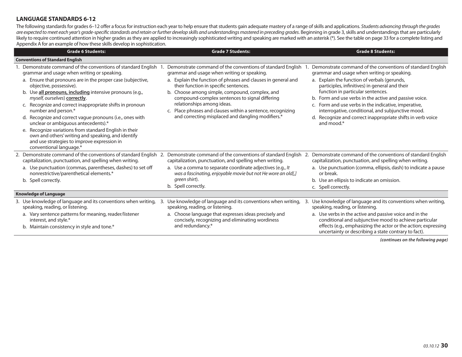## **LANGUAGE STANDARDS 6-12**

The following standards for grades 6-12 offer a focus for instruction each year to help ensure that students gain adequate mastery of a range of skills and applications. Students advancing through the grades are expected to meet each year's grade-specific standards and retain or further develop skills and understandings mastered in preceding grades. Beginning in grade 3, skills and understandings that are particularly likely to require continued attention in higher grades as they are applied to increasingly sophisticated writing and speaking are marked with an asterisk (\*). See the table on page 33 for a complete listing and Appendix A for an example of how these skills develop in sophistication.

| <b>Grade 6 Students:</b>                                                                                                                                                                                                                                                                                                                                                                                                                                                                                                                                                                                                                                                            | <b>Grade 7 Students:</b>                                                                                                                                                                                                                                                                                                                                                                                                                                                  | <b>Grade 8 Students:</b>                                                                                                                                                                                                                                                                                                                                                                                                                                                                             |
|-------------------------------------------------------------------------------------------------------------------------------------------------------------------------------------------------------------------------------------------------------------------------------------------------------------------------------------------------------------------------------------------------------------------------------------------------------------------------------------------------------------------------------------------------------------------------------------------------------------------------------------------------------------------------------------|---------------------------------------------------------------------------------------------------------------------------------------------------------------------------------------------------------------------------------------------------------------------------------------------------------------------------------------------------------------------------------------------------------------------------------------------------------------------------|------------------------------------------------------------------------------------------------------------------------------------------------------------------------------------------------------------------------------------------------------------------------------------------------------------------------------------------------------------------------------------------------------------------------------------------------------------------------------------------------------|
| <b>Conventions of Standard English</b>                                                                                                                                                                                                                                                                                                                                                                                                                                                                                                                                                                                                                                              |                                                                                                                                                                                                                                                                                                                                                                                                                                                                           |                                                                                                                                                                                                                                                                                                                                                                                                                                                                                                      |
| 1. Demonstrate command of the conventions of standard English<br>grammar and usage when writing or speaking.<br>a. Ensure that pronouns are in the proper case (subjective,<br>objective, possessive).<br>b. Use all pronouns, including intensive pronouns (e.g.,<br>myself, ourselves) correctly.<br>c. Recognize and correct inappropriate shifts in pronoun<br>number and person.*<br>d. Recognize and correct vague pronouns (i.e., ones with<br>unclear or ambiguous antecedents).*<br>e. Recognize variations from standard English in their<br>own and others' writing and speaking, and identify<br>and use strategies to improve expression in<br>conventional language.* | Demonstrate command of the conventions of standard English<br>grammar and usage when writing or speaking.<br>a. Explain the function of phrases and clauses in general and<br>their function in specific sentences.<br>b. Choose among simple, compound, complex, and<br>compound-complex sentences to signal differing<br>relationships among ideas.<br>c. Place phrases and clauses within a sentence, recognizing<br>and correcting misplaced and dangling modifiers.* | Demonstrate command of the conventions of standard English<br>grammar and usage when writing or speaking.<br>a. Explain the function of verbals (gerunds,<br>participles, infinitives) in general and their<br>function in particular sentences.<br>b. Form and use verbs in the active and passive voice.<br>c. Form and use verbs in the indicative, imperative,<br>interrogative, conditional, and subjunctive mood.<br>d. Recognize and correct inappropriate shifts in verb voice<br>and mood.* |
| 2. Demonstrate command of the conventions of standard English 2. Demonstrate command of the conventions of standard English<br>capitalization, punctuation, and spelling when writing.<br>a. Use punctuation (commas, parentheses, dashes) to set off<br>nonrestrictive/parenthetical elements.*<br>b. Spell correctly.                                                                                                                                                                                                                                                                                                                                                             | capitalization, punctuation, and spelling when writing.<br>a. Use a comma to separate coordinate adjectives (e.g., It<br>was a fascinating, enjoyable movie but not He wore an old[,]<br>green shirt).<br>b. Spell correctly.                                                                                                                                                                                                                                             | Demonstrate command of the conventions of standard English<br>2.<br>capitalization, punctuation, and spelling when writing.<br>a. Use punctuation (comma, ellipsis, dash) to indicate a pause<br>or break.<br>b. Use an ellipsis to indicate an omission.<br>c. Spell correctly.                                                                                                                                                                                                                     |
| <b>Knowledge of Language</b>                                                                                                                                                                                                                                                                                                                                                                                                                                                                                                                                                                                                                                                        |                                                                                                                                                                                                                                                                                                                                                                                                                                                                           |                                                                                                                                                                                                                                                                                                                                                                                                                                                                                                      |
| 3. Use knowledge of language and its conventions when writing,<br>3.<br>speaking, reading, or listening.<br>a. Vary sentence patterns for meaning, reader/listener<br>interest, and style.*<br>b. Maintain consistency in style and tone.*                                                                                                                                                                                                                                                                                                                                                                                                                                          | Use knowledge of language and its conventions when writing,<br>speaking, reading, or listening.<br>a. Choose language that expresses ideas precisely and<br>concisely, recognizing and eliminating wordiness<br>and redundancy.*                                                                                                                                                                                                                                          | Use knowledge of language and its conventions when writing,<br>3.<br>speaking, reading, or listening.<br>a. Use verbs in the active and passive voice and in the<br>conditional and subjunctive mood to achieve particular<br>effects (e.g., emphasizing the actor or the action; expressing<br>uncertainty or describing a state contrary to fact).                                                                                                                                                 |

*(continues on the following page)*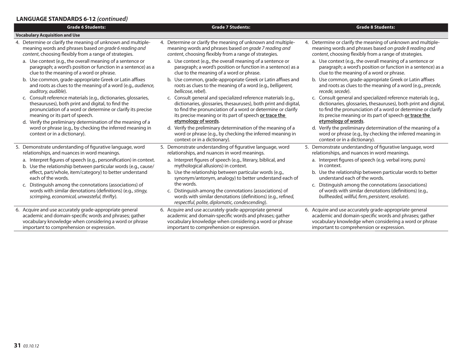## **LANGUAGE STANDARDS 6-12** *(continued)*

| <b>Grade 6 Students:</b>                                                                                                                                               | <b>Grade 7 Students:</b><br><b>Grade 8 Students:</b>                                                                                                                                     |                                                                                                                                                                                 |
|------------------------------------------------------------------------------------------------------------------------------------------------------------------------|------------------------------------------------------------------------------------------------------------------------------------------------------------------------------------------|---------------------------------------------------------------------------------------------------------------------------------------------------------------------------------|
| <b>Vocabulary Acquisition and Use</b>                                                                                                                                  |                                                                                                                                                                                          |                                                                                                                                                                                 |
| 4. Determine or clarify the meaning of unknown and multiple-                                                                                                           | 4. Determine or clarify the meaning of unknown and multiple-                                                                                                                             | 4. Determine or clarify the meaning of unknown and multiple-                                                                                                                    |
| meaning words and phrases based on grade 6 reading and                                                                                                                 | meaning words and phrases based on grade 7 reading and                                                                                                                                   | meaning words and phrases based on grade 8 reading and                                                                                                                          |
| content, choosing flexibly from a range of strategies.                                                                                                                 | content, choosing flexibly from a range of strategies.                                                                                                                                   | content, choosing flexibly from a range of strategies.                                                                                                                          |
| a. Use context (e.g., the overall meaning of a sentence or                                                                                                             | a. Use context (e.g., the overall meaning of a sentence or                                                                                                                               | a. Use context (e.g., the overall meaning of a sentence or                                                                                                                      |
| paragraph; a word's position or function in a sentence) as a                                                                                                           | paragraph; a word's position or function in a sentence) as a                                                                                                                             | paragraph; a word's position or function in a sentence) as a                                                                                                                    |
| clue to the meaning of a word or phrase.                                                                                                                               | clue to the meaning of a word or phrase.                                                                                                                                                 | clue to the meaning of a word or phrase.                                                                                                                                        |
| b. Use common, grade-appropriate Greek or Latin affixes                                                                                                                | b. Use common, grade-appropriate Greek or Latin affixes and                                                                                                                              | b. Use common, grade-appropriate Greek or Latin affixes                                                                                                                         |
| and roots as clues to the meaning of a word (e.g., <i>audience</i> ,                                                                                                   | roots as clues to the meaning of a word (e.g., belligerent,                                                                                                                              | and roots as clues to the meaning of a word (e.g., precede,                                                                                                                     |
| auditory, audible).                                                                                                                                                    | bellicose, rebel).                                                                                                                                                                       | recede, secede).                                                                                                                                                                |
| c. Consult reference materials (e.g., dictionaries, glossaries,                                                                                                        | c. Consult general and specialized reference materials (e.g.,                                                                                                                            | c. Consult general and specialized reference materials (e.g.,                                                                                                                   |
| thesauruses), both print and digital, to find the                                                                                                                      | dictionaries, glossaries, thesauruses), both print and digital,                                                                                                                          | dictionaries, glossaries, thesauruses), both print and digital,                                                                                                                 |
| pronunciation of a word or determine or clarify its precise                                                                                                            | to find the pronunciation of a word or determine or clarify                                                                                                                              | to find the pronunciation of a word or determine or clarify                                                                                                                     |
| meaning or its part of speech.                                                                                                                                         | its precise meaning or its part of speech or trace the                                                                                                                                   | its precise meaning or its part of speech or trace the                                                                                                                          |
| d. Verify the preliminary determination of the meaning of a<br>word or phrase (e.g., by checking the inferred meaning in<br>context or in a dictionary).               | etymology of words.<br>d. Verify the preliminary determination of the meaning of a<br>word or phrase (e.g., by checking the inferred meaning in<br>context or in a dictionary).          | etymology of words.<br>d. Verify the preliminary determination of the meaning of a<br>word or phrase (e.g., by checking the inferred meaning in<br>context or in a dictionary). |
| 5. Demonstrate understanding of figurative language, word                                                                                                              | 5. Demonstrate understanding of figurative language, word                                                                                                                                | 5. Demonstrate understanding of figurative language, word                                                                                                                       |
| relationships, and nuances in word meanings.                                                                                                                           | relationships, and nuances in word meanings.                                                                                                                                             | relationships, and nuances in word meanings.                                                                                                                                    |
| a. Interpret figures of speech (e.g., personification) in context.                                                                                                     | a. Interpret figures of speech (e.g., literary, biblical, and                                                                                                                            | a. Interpret figures of speech (e.g. verbal irony, puns)                                                                                                                        |
| b. Use the relationship between particular words (e.g., cause/                                                                                                         | mythological allusions) in context.                                                                                                                                                      | in context.                                                                                                                                                                     |
| effect, part/whole, item/category) to better understand                                                                                                                | b. Use the relationship between particular words (e.g.,                                                                                                                                  | b. Use the relationship between particular words to better                                                                                                                      |
| each of the words.                                                                                                                                                     | synonym/antonym, analogy) to better understand each of                                                                                                                                   | understand each of the words.                                                                                                                                                   |
| c. Distinguish among the connotations (associations) of<br>words with similar denotations (definitions) (e.g., stingy,<br>scrimping, economical, unwasteful, thrifty). | the words.<br>c. Distinguish among the connotations (associations) of<br>words with similar denotations (definitions) (e.g., refined,<br>respectful, polite, diplomatic, condescending). | c. Distinguish among the connotations (associations)<br>of words with similar denotations (definitions) (e.g.,<br>bullheaded, willful, firm, persistent, resolute).             |
| 6. Acquire and use accurately grade-appropriate general                                                                                                                | 6. Acquire and use accurately grade-appropriate general                                                                                                                                  | 6. Acquire and use accurately grade-appropriate general                                                                                                                         |
| academic and domain-specific words and phrases; gather                                                                                                                 | academic and domain-specific words and phrases; gather                                                                                                                                   | academic and domain-specific words and phrases; gather                                                                                                                          |
| vocabulary knowledge when considering a word or phrase                                                                                                                 | vocabulary knowledge when considering a word or phrase                                                                                                                                   | vocabulary knowledge when considering a word or phrase                                                                                                                          |
| important to comprehension or expression.                                                                                                                              | important to comprehension or expression.                                                                                                                                                | important to comprehension or expression.                                                                                                                                       |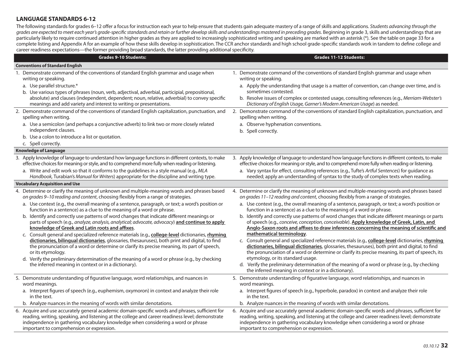## **LANGUAGE STANDARDS 6-12**

The following standards for grades 6–12 offer a focus for instruction each year to help ensure that students gain adequate mastery of a range of skills and applications. Students advancing through the grades are expected to meet each year's grade-specific standards and retain or further develop skills and understandings mastered in preceding grades. Beginning in grade 3, skills and understandings that are particularly likely to require continued attention in higher grades as they are applied to increasingly sophisticated writing and speaking are marked with an asterisk (\*). See the table on page 33 for a complete listing and Appendix A for an example of how these skills develop in sophistication. The CCR anchor standards and high school grade-specific standards work in tandem to define college and career readiness expectations—the former providing broad standards, the latter providing additional specificity.

| Grades 9-10 Students:                                                                                                                                                                                                                                                                                                                                                                                                                                                                                                                                                                                                                                                                                                                     | <b>Grades 11-12 Students:</b>                                                                                                                                                                                                                                                                                                                                                                                                                                                                                                                                                                                                                                                                                                                                             |
|-------------------------------------------------------------------------------------------------------------------------------------------------------------------------------------------------------------------------------------------------------------------------------------------------------------------------------------------------------------------------------------------------------------------------------------------------------------------------------------------------------------------------------------------------------------------------------------------------------------------------------------------------------------------------------------------------------------------------------------------|---------------------------------------------------------------------------------------------------------------------------------------------------------------------------------------------------------------------------------------------------------------------------------------------------------------------------------------------------------------------------------------------------------------------------------------------------------------------------------------------------------------------------------------------------------------------------------------------------------------------------------------------------------------------------------------------------------------------------------------------------------------------------|
| <b>Conventions of Standard English</b>                                                                                                                                                                                                                                                                                                                                                                                                                                                                                                                                                                                                                                                                                                    |                                                                                                                                                                                                                                                                                                                                                                                                                                                                                                                                                                                                                                                                                                                                                                           |
| 1. Demonstrate command of the conventions of standard English grammar and usage when<br>writing or speaking.<br>a. Use parallel structure.*<br>b. Use various types of phrases (noun, verb, adjectival, adverbial, participial, prepositional,<br>absolute) and clauses (independent, dependent; noun, relative, adverbial) to convey specific<br>meanings and add variety and interest to writing or presentations.                                                                                                                                                                                                                                                                                                                      | 1. Demonstrate command of the conventions of standard English grammar and usage when<br>writing or speaking.<br>a. Apply the understanding that usage is a matter of convention, can change over time, and is<br>sometimes contested.<br>b. Resolve issues of complex or contested usage, consulting references (e.g., Merriam-Webster's<br>Dictionary of English Usage, Garner's Modern American Usage) as needed.                                                                                                                                                                                                                                                                                                                                                       |
| 2. Demonstrate command of the conventions of standard English capitalization, punctuation, and<br>spelling when writing.<br>a. Use a semicolon (and perhaps a conjunctive adverb) to link two or more closely related<br>independent clauses.<br>b. Use a colon to introduce a list or quotation.<br>c. Spell correctly.                                                                                                                                                                                                                                                                                                                                                                                                                  | 2. Demonstrate command of the conventions of standard English capitalization, punctuation, and<br>spelling when writing.<br>a. Observe hyphenation conventions.<br>b. Spell correctly.                                                                                                                                                                                                                                                                                                                                                                                                                                                                                                                                                                                    |
| <b>Knowledge of Language</b>                                                                                                                                                                                                                                                                                                                                                                                                                                                                                                                                                                                                                                                                                                              |                                                                                                                                                                                                                                                                                                                                                                                                                                                                                                                                                                                                                                                                                                                                                                           |
| 3. Apply knowledge of language to understand how language functions in different contexts, to make<br>effective choices for meaning or style, and to comprehend more fully when reading or listening.<br>a. Write and edit work so that it conforms to the guidelines in a style manual (e.g., MLA<br>Handbook, Turabian's Manual for Writers) appropriate for the discipline and writing type.                                                                                                                                                                                                                                                                                                                                           | 3. Apply knowledge of language to understand how language functions in different contexts, to make<br>effective choices for meaning or style, and to comprehend more fully when reading or listening.<br>a. Vary syntax for effect, consulting references (e.g., Tufte's Artful Sentences) for guidance as<br>needed; apply an understanding of syntax to the study of complex texts when reading.                                                                                                                                                                                                                                                                                                                                                                        |
| <b>Vocabulary Acquisition and Use</b>                                                                                                                                                                                                                                                                                                                                                                                                                                                                                                                                                                                                                                                                                                     |                                                                                                                                                                                                                                                                                                                                                                                                                                                                                                                                                                                                                                                                                                                                                                           |
| 4. Determine or clarify the meaning of unknown and multiple-meaning words and phrases based<br>on grades 9-10 reading and content, choosing flexibly from a range of strategies.                                                                                                                                                                                                                                                                                                                                                                                                                                                                                                                                                          | 4. Determine or clarify the meaning of unknown and multiple-meaning words and phrases based<br>on grades 11-12 reading and content, choosing flexibly from a range of strategies.                                                                                                                                                                                                                                                                                                                                                                                                                                                                                                                                                                                         |
| a. Use context (e.g., the overall meaning of a sentence, paragraph, or text; a word's position or<br>function in a sentence) as a clue to the meaning of a word or phrase.                                                                                                                                                                                                                                                                                                                                                                                                                                                                                                                                                                | a. Use context (e.g., the overall meaning of a sentence, paragraph, or text; a word's position or<br>function in a sentence) as a clue to the meaning of a word or phrase.                                                                                                                                                                                                                                                                                                                                                                                                                                                                                                                                                                                                |
| b. Identify and correctly use patterns of word changes that indicate different meanings or<br>parts of speech (e.g., analyze, analysis, analytical; advocate, advocacy) and continue to apply<br>knowledge of Greek and Latin roots and affixes.<br>Consult general and specialized reference materials (e.g., college-level dictionaries, rhyming<br>C.<br>dictionaries, bilingual dictionaries, glossaries, thesauruses), both print and digital, to find<br>the pronunciation of a word or determine or clarify its precise meaning, its part of speech,<br>or its etymology.<br>d. Verify the preliminary determination of the meaning of a word or phrase (e.g., by checking<br>the inferred meaning in context or in a dictionary). | b. Identify and correctly use patterns of word changes that indicate different meanings or parts<br>of speech (e.g., conceive, conception, conceivable). Apply knowledge of Greek, Latin, and<br>Anglo-Saxon roots and affixes to draw inferences concerning the meaning of scientific and<br>mathematical terminology.<br>c. Consult general and specialized reference materials (e.g., college-level dictionaries, rhyming<br>dictionaries, bilingual dictionaries, glossaries, thesauruses), both print and digital, to find<br>the pronunciation of a word or determine or clarify its precise meaning, its part of speech, its<br>etymology, or its standard usage.<br>d. Verify the preliminary determination of the meaning of a word or phrase (e.g., by checking |
| 5. Demonstrate understanding of figurative language, word relationships, and nuances in                                                                                                                                                                                                                                                                                                                                                                                                                                                                                                                                                                                                                                                   | the inferred meaning in context or in a dictionary).<br>5. Demonstrate understanding of figurative language, word relationships, and nuances in                                                                                                                                                                                                                                                                                                                                                                                                                                                                                                                                                                                                                           |
| word meanings.                                                                                                                                                                                                                                                                                                                                                                                                                                                                                                                                                                                                                                                                                                                            | word meanings.                                                                                                                                                                                                                                                                                                                                                                                                                                                                                                                                                                                                                                                                                                                                                            |
| a. Interpret figures of speech (e.g., euphemism, oxymoron) in context and analyze their role<br>in the text.                                                                                                                                                                                                                                                                                                                                                                                                                                                                                                                                                                                                                              | a. Interpret figures of speech (e.g., hyperbole, paradox) in context and analyze their role<br>in the text.                                                                                                                                                                                                                                                                                                                                                                                                                                                                                                                                                                                                                                                               |
| b. Analyze nuances in the meaning of words with similar denotations.                                                                                                                                                                                                                                                                                                                                                                                                                                                                                                                                                                                                                                                                      | b. Analyze nuances in the meaning of words with similar denotations.                                                                                                                                                                                                                                                                                                                                                                                                                                                                                                                                                                                                                                                                                                      |
| 6. Acquire and use accurately general academic domain-specific words and phrases, sufficient for<br>reading, writing, speaking, and listening at the college and career readiness level; demonstrate<br>independence in gathering vocabulary knowledge when considering a word or phrase<br>important to comprehension or expression.                                                                                                                                                                                                                                                                                                                                                                                                     | 6. Acquire and use accurately general academic domain-specific words and phrases, sufficient for<br>reading, writing, speaking, and listening at the college and career readiness level; demonstrate<br>independence in gathering vocabulary knowledge when considering a word or phrase<br>important to comprehension or expression.                                                                                                                                                                                                                                                                                                                                                                                                                                     |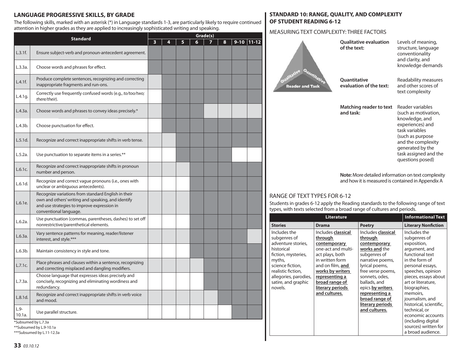# **LANGUAGE PROGRESSIVE SKILLS, BY GRADE**

The following skills, marked with an asterisk (\*) in Language standards 1-3, are particularly likely to require continued attention in higher grades as they are applied to increasingly sophisticated writing and speaking.

|                  |                                                                                                                                                                                    | Grade(s) |   |   |   |  |   |          |           |
|------------------|------------------------------------------------------------------------------------------------------------------------------------------------------------------------------------|----------|---|---|---|--|---|----------|-----------|
|                  | <b>Standard</b>                                                                                                                                                                    | 3        | 4 | 5 | 6 |  | 8 | $9 - 10$ | $11 - 12$ |
| L.3.1f.          | Ensure subject-verb and pronoun-antecedent agreement.                                                                                                                              |          |   |   |   |  |   |          |           |
| L.3.3a.          | Choose words and phrases for effect.                                                                                                                                               |          |   |   |   |  |   |          |           |
| L.4.1f.          | Produce complete sentences, recognizing and correcting<br>inappropriate fragments and run-ons.                                                                                     |          |   |   |   |  |   |          |           |
| L.4.1q.          | Correctly use frequently confused words (e.g., to/too/two;<br>there/their).                                                                                                        |          |   |   |   |  |   |          |           |
| L.4.3a.          | Choose words and phrases to convey ideas precisely.*                                                                                                                               |          |   |   |   |  |   |          |           |
| L.4.3b.          | Choose punctuation for effect.                                                                                                                                                     |          |   |   |   |  |   |          |           |
| L.5.1d.          | Recognize and correct inappropriate shifts in verb tense.                                                                                                                          |          |   |   |   |  |   |          |           |
| L.5.2a.          | Use punctuation to separate items in a series.**                                                                                                                                   |          |   |   |   |  |   |          |           |
| L.6.1c.          | Recognize and correct inappropriate shifts in pronoun<br>number and person.                                                                                                        |          |   |   |   |  |   |          |           |
| L.6.1d.          | Recognize and correct vague pronouns (i.e., ones with<br>unclear or ambiguous antecedents).                                                                                        |          |   |   |   |  |   |          |           |
| L.6.1e.          | Recognize variations from standard English in their<br>own and others' writing and speaking, and identify<br>and use strategies to improve expression in<br>conventional language. |          |   |   |   |  |   |          |           |
| L.6.2a.          | Use punctuation (commas, parentheses, dashes) to set off<br>nonrestrictive/parenthetical elements.                                                                                 |          |   |   |   |  |   |          |           |
| L.6.3a.          | Vary sentence patterns for meaning, reader/listener<br>interest, and style.***                                                                                                     |          |   |   |   |  |   |          |           |
| L.6.3b.          | Maintain consistency in style and tone.                                                                                                                                            |          |   |   |   |  |   |          |           |
| L.7.1c.          | Place phrases and clauses within a sentence, recognizing<br>and correcting misplaced and dangling modifiers.                                                                       |          |   |   |   |  |   |          |           |
| L.7.3a.          | Choose language that expresses ideas precisely and<br>concisely, recognizing and eliminating wordiness and<br>redundancy.                                                          |          |   |   |   |  |   |          |           |
| L.8.1d.          | Recognize and correct inappropriate shifts in verb voice<br>and mood.                                                                                                              |          |   |   |   |  |   |          |           |
| $L.9-$<br>10.1a. | Use parallel structure.                                                                                                                                                            |          |   |   |   |  |   |          |           |
|                  | *Subsumed by L.7.3a                                                                                                                                                                |          |   |   |   |  |   |          |           |

**STANDARD 10: RANGE, QUALITY, AND COMPLEXITY OF STUDENT READING 6-12**

#### MEASURING TEXT COMPLEXITY: THREE FACTORS

 $\blacktriangle$ 

|                                                                                                                                                                                             | of the text:                                                                                                                                                                                        |                                                                                                                                                             | structure, language<br>conventionality<br>and clarity, and<br>knowledge demands                                                                                                                             |
|---------------------------------------------------------------------------------------------------------------------------------------------------------------------------------------------|-----------------------------------------------------------------------------------------------------------------------------------------------------------------------------------------------------|-------------------------------------------------------------------------------------------------------------------------------------------------------------|-------------------------------------------------------------------------------------------------------------------------------------------------------------------------------------------------------------|
| alitative<br>25<br><b>Reader and Task</b>                                                                                                                                                   | Quantitative<br><b>Ouantitative</b>                                                                                                                                                                 | evaluation of the text:                                                                                                                                     | Readability measures<br>and other scores of<br>text complexity                                                                                                                                              |
|                                                                                                                                                                                             | and task:                                                                                                                                                                                           | Matching reader to text                                                                                                                                     | Reader variables<br>(such as motivation,<br>knowledge, and<br>experiences) and<br>task variables<br>(such as purpose<br>and the complexity<br>generated by the<br>task assigned and the<br>questions posed) |
| RANGE OF TEXT TYPES FOR 6-12<br>types, with texts selected from a broad range of cultures and periods.                                                                                      |                                                                                                                                                                                                     |                                                                                                                                                             | Note: More detailed information on text complexity<br>and how it is measured is contained in Appendix A<br>Students in grades 6-12 apply the Reading standards to the following range of text               |
|                                                                                                                                                                                             | <b>Literature</b>                                                                                                                                                                                   |                                                                                                                                                             | <b>Informational Text</b>                                                                                                                                                                                   |
| <b>Stories</b>                                                                                                                                                                              | <b>Drama</b>                                                                                                                                                                                        | <b>Poetry</b>                                                                                                                                               | <b>Literary Nonfiction</b>                                                                                                                                                                                  |
| Includes the<br>subgenres of<br>adventure stories.<br>historical<br>fiction, mysteries,<br>myths,<br>science fiction,<br>realistic fiction,<br>allegories, parodies,<br>satire, and graphic | Includes classical<br><u>through</u><br>contemporary<br>one-act and multi-<br>act plays, both<br>in written form<br>and on film, <b>and</b><br>works by writers<br>representing a<br>broad range of | Includes classical<br>through<br>contemporary<br>works and the<br>subgenres of<br>narrative poems,<br>lyrical poems,<br>free verse poems,<br>sonnets, odes, | Includes the<br>subgenres of<br>exposition,<br>argument, and<br>functional text<br>in the form of<br>personal essays,<br>speeches, opinion<br>pieces, essays about<br>art or literature,                    |

**Qualitative evaluation** 

Levels of meaning,

sources) written for a broad audience.

\*\*Subsumed by L.9-10.1a \*\*\*Subsumed by L.11-12.3a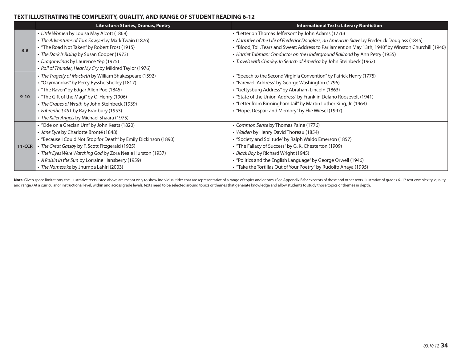# **TEXT ILLUSTRATING THE COMPLEXITY, QUALITY, AND RANGE OF STUDENT READING 6-12**

|          | <b>Literature: Stories, Dramas, Poetry</b>                       | <b>Informational Texts: Literary Nonfiction</b>                                                       |
|----------|------------------------------------------------------------------|-------------------------------------------------------------------------------------------------------|
|          | • Little Women by Louisa May Alcott (1869)                       | • "Letter on Thomas Jefferson" by John Adams (1776)                                                   |
|          | • The Adventures of Tom Sawyer by Mark Twain (1876)              | · Narrative of the Life of Frederick Douglass, an American Slave by Frederick Douglass (1845)         |
| $6 - 8$  | • "The Road Not Taken" by Robert Frost (1915)                    | . "Blood, Toil, Tears and Sweat: Address to Parliament on May 13th, 1940" by Winston Churchill (1940) |
|          | • The Dark Is Rising by Susan Cooper (1973)                      | • Harriet Tubman: Conductor on the Underground Railroad by Ann Petry (1955)                           |
|          | • Dragonwings by Laurence Yep (1975)                             | · Travels with Charley: In Search of America by John Steinbeck (1962)                                 |
|          | • Roll of Thunder, Hear My Cry by Mildred Taylor (1976)          |                                                                                                       |
|          | • The Tragedy of Macbeth by William Shakespeare (1592)           | • "Speech to the Second Virginia Convention" by Patrick Henry (1775)                                  |
|          | • "Ozymandias" by Percy Bysshe Shelley (1817)                    | • "Farewell Address" by George Washington (1796)                                                      |
|          | • "The Raven" by Edgar Allen Poe (1845)                          | • "Gettysburg Address" by Abraham Lincoln (1863)                                                      |
| $9 - 10$ | • "The Gift of the Magi" by O. Henry (1906)                      | <sup>4</sup> "State of the Union Address" by Franklin Delano Roosevelt (1941)                         |
|          | • The Grapes of Wrath by John Steinbeck (1939)                   | • "Letter from Birmingham Jail" by Martin Luther King, Jr. (1964)                                     |
|          | • Fahrenheit 451 by Ray Bradbury (1953)                          | • "Hope, Despair and Memory" by Elie Wiesel (1997)                                                    |
|          | • The Killer Angels by Michael Shaara (1975)                     |                                                                                                       |
|          | • "Ode on a Grecian Urn" by John Keats (1820)                    | • Common Sense by Thomas Paine (1776)                                                                 |
|          | · Jane Eyre by Charlotte Brontë (1848)                           | • Walden by Henry David Thoreau (1854)                                                                |
|          | • "Because I Could Not Stop for Death" by Emily Dickinson (1890) | • "Society and Solitude" by Ralph Waldo Emerson (1857)                                                |
| $11-CCR$ | • The Great Gatsby by F. Scott Fitzgerald (1925)                 | • "The Fallacy of Success" by G. K. Chesterton (1909)                                                 |
|          | • Their Eyes Were Watching God by Zora Neale Hurston (1937)      | • Black Boy by Richard Wright (1945)                                                                  |
|          | • A Raisin in the Sun by Lorraine Hansberry (1959)               | • "Politics and the English Language" by George Orwell (1946)                                         |
|          | • The Namesake by Jhumpa Lahiri (2003)                           | • "Take the Tortillas Out of Your Poetry" by Rudolfo Anaya (1995)                                     |

Note: Given space limitations, the illustrative texts listed above are meant only to show individual titles that are representative of a range of topics and genres. (See Appendix B for excerpts of these and other texts ill and range.) At a curricular or instructional level, within and across grade levels, texts need to be selected around topics or themes that generate knowledge and allow students to study those topics or themes in depth.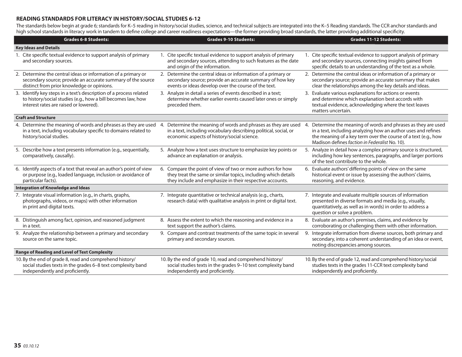#### **READING STANDARDS FOR LITERACY IN HISTORY/SOCIAL STUDIES 6-12**

The standards below begin at grade 6; standards for K-5 reading in history/social studies, science, and technical subjects are integrated into the K-5 Reading standards. The CCR anchor standards and high school standards in literacy work in tandem to define college and career readiness expectations—the former providing broad standards, the latter providing additional specificity.

|                              | <b>Grades 6-8 Students:</b>                                                                                                                                                  |    | <b>Grades 9-10 Students:</b>                                                                                                                                                              |    | <b>Grades 11-12 Students:</b>                                                                                                                                                                                                                    |  |
|------------------------------|------------------------------------------------------------------------------------------------------------------------------------------------------------------------------|----|-------------------------------------------------------------------------------------------------------------------------------------------------------------------------------------------|----|--------------------------------------------------------------------------------------------------------------------------------------------------------------------------------------------------------------------------------------------------|--|
| <b>Key Ideas and Details</b> |                                                                                                                                                                              |    |                                                                                                                                                                                           |    |                                                                                                                                                                                                                                                  |  |
|                              | 1. Cite specific textual evidence to support analysis of primary<br>and secondary sources.                                                                                   |    | 1. Cite specific textual evidence to support analysis of primary<br>and secondary sources, attending to such features as the date<br>and origin of the information.                       |    | 1. Cite specific textual evidence to support analysis of primary<br>and secondary sources, connecting insights gained from<br>specific details to an understanding of the text as a whole.                                                       |  |
|                              | 2. Determine the central ideas or information of a primary or<br>secondary source; provide an accurate summary of the source<br>distinct from prior knowledge or opinions.   |    | 2. Determine the central ideas or information of a primary or<br>secondary source; provide an accurate summary of how key<br>events or ideas develop over the course of the text.         |    | 2. Determine the central ideas or information of a primary or<br>secondary source; provide an accurate summary that makes<br>clear the relationships among the key details and ideas.                                                            |  |
|                              | 3. Identify key steps in a text's description of a process related<br>to history/social studies (e.g., how a bill becomes law, how<br>interest rates are raised or lowered). |    | 3. Analyze in detail a series of events described in a text;<br>determine whether earlier events caused later ones or simply<br>preceded them.                                            |    | 3. Evaluate various explanations for actions or events<br>and determine which explanation best accords with<br>textual evidence, acknowledging where the text leaves<br>matters uncertain.                                                       |  |
|                              | <b>Craft and Structure</b>                                                                                                                                                   |    |                                                                                                                                                                                           |    |                                                                                                                                                                                                                                                  |  |
|                              | 4. Determine the meaning of words and phrases as they are used<br>in a text, including vocabulary specific to domains related to<br>history/social studies.                  | 4. | Determine the meaning of words and phrases as they are used<br>in a text, including vocabulary describing political, social, or<br>economic aspects of history/social science.            | 4. | Determine the meaning of words and phrases as they are used<br>in a text, including analyzing how an author uses and refines<br>the meaning of a key term over the course of a text (e.g., how<br>Madison defines faction in Federalist No. 10). |  |
|                              | 5. Describe how a text presents information (e.g., sequentially,<br>comparatively, causally).                                                                                |    | 5. Analyze how a text uses structure to emphasize key points or<br>advance an explanation or analysis.                                                                                    |    | 5. Analyze in detail how a complex primary source is structured,<br>including how key sentences, paragraphs, and larger portions<br>of the text contribute to the whole.                                                                         |  |
|                              | 6. Identify aspects of a text that reveal an author's point of view<br>or purpose (e.g., loaded language, inclusion or avoidance of<br>particular facts).                    |    | 6. Compare the point of view of two or more authors for how<br>they treat the same or similar topics, including which details<br>they include and emphasize in their respective accounts. |    | 6. Evaluate authors' differing points of view on the same<br>historical event or issue by assessing the authors' claims,<br>reasoning, and evidence.                                                                                             |  |
|                              | <b>Integration of Knowledge and Ideas</b>                                                                                                                                    |    |                                                                                                                                                                                           |    |                                                                                                                                                                                                                                                  |  |
|                              | 7. Integrate visual information (e.g., in charts, graphs,<br>photographs, videos, or maps) with other information<br>in print and digital texts.                             |    | 7. Integrate quantitative or technical analysis (e.g., charts,<br>research data) with qualitative analysis in print or digital text.                                                      |    | 7. Integrate and evaluate multiple sources of information<br>presented in diverse formats and media (e.g., visually,<br>quantitatively, as well as in words) in order to address a<br>question or solve a problem.                               |  |
|                              | 8. Distinguish among fact, opinion, and reasoned judgment<br>in a text.                                                                                                      |    | 8. Assess the extent to which the reasoning and evidence in a<br>text support the author's claims.                                                                                        |    | 8. Evaluate an author's premises, claims, and evidence by<br>corroborating or challenging them with other information.                                                                                                                           |  |
|                              | 9. Analyze the relationship between a primary and secondary<br>source on the same topic.                                                                                     |    | 9. Compare and contrast treatments of the same topic in several<br>primary and secondary sources.                                                                                         |    | 9. Integrate information from diverse sources, both primary and<br>secondary, into a coherent understanding of an idea or event,<br>noting discrepancies among sources.                                                                          |  |
|                              | <b>Range of Reading and Level of Text Complexity</b>                                                                                                                         |    |                                                                                                                                                                                           |    |                                                                                                                                                                                                                                                  |  |
|                              | 10. By the end of grade 8, read and comprehend history/<br>social studies texts in the grades 6-8 text complexity band<br>independently and proficiently.                    |    | 10. By the end of grade 10, read and comprehend history/<br>social studies texts in the grades 9-10 text complexity band<br>independently and proficiently.                               |    | 10. By the end of grade 12, read and comprehend history/social<br>studies texts in the grades 11-CCR text complexity band<br>independently and proficiently.                                                                                     |  |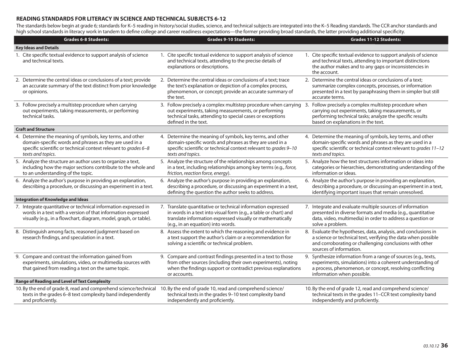## **READING STANDARDS FOR LITERACY IN SCIENCE AND TECHNICAL SUBJECTS 6-12**

The standards below begin at grade 6; standards for K-5 reading in history/social studies, science, and technical subjects are integrated into the K-5 Reading standards. The CCR anchor standards and high school standards in literacy work in tandem to define college and career readiness expectations—the former providing broad standards, the latter providing additional specificity.

|                              | <b>Grades 6-8 Students:</b>                                                                                                                                                                                  |    | <b>Grades 9-10 Students:</b>                                                                                                                                                                                                                                       |  | <b>Grades 11-12 Students:</b>                                                                                                                                                                                           |  |
|------------------------------|--------------------------------------------------------------------------------------------------------------------------------------------------------------------------------------------------------------|----|--------------------------------------------------------------------------------------------------------------------------------------------------------------------------------------------------------------------------------------------------------------------|--|-------------------------------------------------------------------------------------------------------------------------------------------------------------------------------------------------------------------------|--|
| <b>Key Ideas and Details</b> |                                                                                                                                                                                                              |    |                                                                                                                                                                                                                                                                    |  |                                                                                                                                                                                                                         |  |
|                              | 1. Cite specific textual evidence to support analysis of science<br>and technical texts.                                                                                                                     |    | 1. Cite specific textual evidence to support analysis of science<br>and technical texts, attending to the precise details of<br>explanations or descriptions.                                                                                                      |  | 1. Cite specific textual evidence to support analysis of science<br>and technical texts, attending to important distinctions<br>the author makes and to any gaps or inconsistencies in<br>the account.                  |  |
|                              | 2. Determine the central ideas or conclusions of a text; provide<br>an accurate summary of the text distinct from prior knowledge<br>or opinions.                                                            |    | 2. Determine the central ideas or conclusions of a text; trace<br>the text's explanation or depiction of a complex process,<br>phenomenon, or concept; provide an accurate summary of<br>the text.                                                                 |  | 2. Determine the central ideas or conclusions of a text;<br>summarize complex concepts, processes, or information<br>presented in a text by paraphrasing them in simpler but still<br>accurate terms.                   |  |
|                              | 3. Follow precisely a multistep procedure when carrying<br>out experiments, taking measurements, or performing<br>technical tasks.                                                                           |    | 3. Follow precisely a complex multistep procedure when carrying 3. Follow precisely a complex multistep procedure when<br>out experiments, taking measurements, or performing<br>technical tasks, attending to special cases or exceptions<br>defined in the text. |  | carrying out experiments, taking measurements, or<br>performing technical tasks; analyze the specific results<br>based on explanations in the text.                                                                     |  |
|                              | <b>Craft and Structure</b>                                                                                                                                                                                   |    |                                                                                                                                                                                                                                                                    |  |                                                                                                                                                                                                                         |  |
|                              | 4. Determine the meaning of symbols, key terms, and other<br>domain-specific words and phrases as they are used in a<br>specific scientific or technical context relevant to grades 6-8<br>texts and topics. | 4. | Determine the meaning of symbols, key terms, and other<br>domain-specific words and phrases as they are used in a<br>specific scientific or technical context relevant to grades 9-10<br>texts and topics.                                                         |  | 4. Determine the meaning of symbols, key terms, and other<br>domain-specific words and phrases as they are used in a<br>specific scientific or technical context relevant to grades 11-12<br>texts and topics.          |  |
|                              | 5. Analyze the structure an author uses to organize a text,<br>including how the major sections contribute to the whole and<br>to an understanding of the topic.                                             |    | 5. Analyze the structure of the relationships among concepts<br>in a text, including relationships among key terms (e.g., force,<br>friction, reaction force, energy).                                                                                             |  | 5. Analyze how the text structures information or ideas into<br>categories or hierarchies, demonstrating understanding of the<br>information or ideas.                                                                  |  |
|                              | 6. Analyze the author's purpose in providing an explanation,<br>describing a procedure, or discussing an experiment in a text.                                                                               |    | 6. Analyze the author's purpose in providing an explanation,<br>describing a procedure, or discussing an experiment in a text,<br>defining the question the author seeks to address.                                                                               |  | 6. Analyze the author's purpose in providing an explanation,<br>describing a procedure, or discussing an experiment in a text,<br>identifying important issues that remain unresolved.                                  |  |
|                              | <b>Integration of Knowledge and Ideas</b>                                                                                                                                                                    |    |                                                                                                                                                                                                                                                                    |  |                                                                                                                                                                                                                         |  |
|                              | 7. Integrate quantitative or technical information expressed in<br>words in a text with a version of that information expressed<br>visually (e.g., in a flowchart, diagram, model, graph, or table).         |    | 7. Translate quantitative or technical information expressed<br>in words in a text into visual form (e.g., a table or chart) and<br>translate information expressed visually or mathematically<br>(e.g., in an equation) into words.                               |  | 7. Integrate and evaluate multiple sources of information<br>presented in diverse formats and media (e.g., quantitative<br>data, video, multimedia) in order to address a question or<br>solve a problem.               |  |
|                              | 8. Distinguish among facts, reasoned judgment based on<br>research findings, and speculation in a text.                                                                                                      |    | 8. Assess the extent to which the reasoning and evidence in<br>a text support the author's claim or a recommendation for<br>solving a scientific or technical problem.                                                                                             |  | 8. Evaluate the hypotheses, data, analysis, and conclusions in<br>a science or technical text, verifying the data when possible<br>and corroborating or challenging conclusions with other<br>sources of information.   |  |
|                              | 9. Compare and contrast the information gained from<br>experiments, simulations, video, or multimedia sources with<br>that gained from reading a text on the same topic.                                     |    | 9. Compare and contrast findings presented in a text to those<br>from other sources (including their own experiments), noting<br>when the findings support or contradict previous explanations<br>or accounts.                                                     |  | 9. Synthesize information from a range of sources (e.g., texts,<br>experiments, simulations) into a coherent understanding of<br>a process, phenomenon, or concept, resolving conflicting<br>information when possible. |  |
|                              | <b>Range of Reading and Level of Text Complexity</b>                                                                                                                                                         |    |                                                                                                                                                                                                                                                                    |  |                                                                                                                                                                                                                         |  |
|                              | 10. By the end of grade 8, read and comprehend science/technical 10. By the end of grade 10, read and comprehend science/<br>texts in the grades 6-8 text complexity band independently<br>and proficiently. |    | technical texts in the grades 9-10 text complexity band<br>independently and proficiently.                                                                                                                                                                         |  | 10. By the end of grade 12, read and comprehend science/<br>technical texts in the grades 11-CCR text complexity band<br>independently and proficiently.                                                                |  |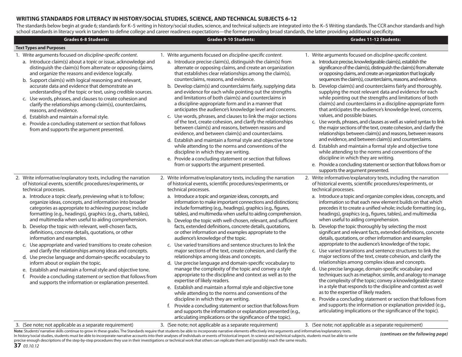#### **WRITING STANDARDS FOR LITERACY IN HISTORY/SOCIAL STUDIES, SCIENCE, AND TECHNICAL SUBJECTS 6-12**

The standards below begin at grade 6; standards for K–5 writing in history/social studies, science, and technical subjects are integrated into the K–5 Writing standards. The CCR anchor standards and high school standards in literacy work in tandem to define college and career readiness expectations—the former providing broad standards, the latter providing additional specificity.

| <b>Grades 6-8 Students:</b>                                                                                                                                                                                                                                                                                                                                                                                                                                                                                                                                                                                                                                                                                                                                                                                                                                                                                                                                                                                                                | <b>Grades 9-10 Students:</b>                                                                                                                                                                                                                                                                                                                                                                                                                                                                                                                                                                                                                                                                                                                                                                                                                                                                                                                                                                                                                                                                                                                                                                                                                                                                                                                                                                                      | <b>Grades 11-12 Students:</b>                                                                                                                                                                                                                                                                                                                                                                                                                                                                                                                                                                                                                                                                                                                                                                                                                                                                                                                                                                                                                                                                                                                                                                                                                                                                                                                                                                          |
|--------------------------------------------------------------------------------------------------------------------------------------------------------------------------------------------------------------------------------------------------------------------------------------------------------------------------------------------------------------------------------------------------------------------------------------------------------------------------------------------------------------------------------------------------------------------------------------------------------------------------------------------------------------------------------------------------------------------------------------------------------------------------------------------------------------------------------------------------------------------------------------------------------------------------------------------------------------------------------------------------------------------------------------------|-------------------------------------------------------------------------------------------------------------------------------------------------------------------------------------------------------------------------------------------------------------------------------------------------------------------------------------------------------------------------------------------------------------------------------------------------------------------------------------------------------------------------------------------------------------------------------------------------------------------------------------------------------------------------------------------------------------------------------------------------------------------------------------------------------------------------------------------------------------------------------------------------------------------------------------------------------------------------------------------------------------------------------------------------------------------------------------------------------------------------------------------------------------------------------------------------------------------------------------------------------------------------------------------------------------------------------------------------------------------------------------------------------------------|--------------------------------------------------------------------------------------------------------------------------------------------------------------------------------------------------------------------------------------------------------------------------------------------------------------------------------------------------------------------------------------------------------------------------------------------------------------------------------------------------------------------------------------------------------------------------------------------------------------------------------------------------------------------------------------------------------------------------------------------------------------------------------------------------------------------------------------------------------------------------------------------------------------------------------------------------------------------------------------------------------------------------------------------------------------------------------------------------------------------------------------------------------------------------------------------------------------------------------------------------------------------------------------------------------------------------------------------------------------------------------------------------------|
| <b>Text Types and Purposes</b>                                                                                                                                                                                                                                                                                                                                                                                                                                                                                                                                                                                                                                                                                                                                                                                                                                                                                                                                                                                                             |                                                                                                                                                                                                                                                                                                                                                                                                                                                                                                                                                                                                                                                                                                                                                                                                                                                                                                                                                                                                                                                                                                                                                                                                                                                                                                                                                                                                                   |                                                                                                                                                                                                                                                                                                                                                                                                                                                                                                                                                                                                                                                                                                                                                                                                                                                                                                                                                                                                                                                                                                                                                                                                                                                                                                                                                                                                        |
| 1. Write arguments focused on discipline-specific content.<br>a. Introduce claim(s) about a topic or issue, acknowledge and<br>distinguish the claim(s) from alternate or opposing claims,<br>and organize the reasons and evidence logically.<br>b. Support claim(s) with logical reasoning and relevant,<br>accurate data and evidence that demonstrate an<br>understanding of the topic or text, using credible sources.<br>c. Use words, phrases, and clauses to create cohesion and<br>clarify the relationships among claim(s), counterclaims,<br>reasons, and evidence.<br>d. Establish and maintain a formal style.<br>e. Provide a concluding statement or section that follows<br>from and supports the argument presented.                                                                                                                                                                                                                                                                                                      | 1. Write arguments focused on discipline-specific content.<br>a. Introduce precise claim(s), distinguish the claim(s) from<br>alternate or opposing claims, and create an organization<br>that establishes clear relationships among the claim(s),<br>counterclaims, reasons, and evidence.<br>b. Develop claim(s) and counterclaims fairly, supplying data<br>and evidence for each while pointing out the strengths<br>and limitations of both claim(s) and counterclaims in<br>a discipline-appropriate form and in a manner that<br>anticipates the audience's knowledge level and concerns.<br>c. Use words, phrases, and clauses to link the major sections<br>of the text, create cohesion, and clarify the relationships<br>between claim(s) and reasons, between reasons and<br>evidence, and between claim(s) and counterclaims.<br>d. Establish and maintain a formal style and objective tone<br>while attending to the norms and conventions of the<br>discipline in which they are writing.<br>e. Provide a concluding statement or section that follows<br>from or supports the argument presented.                                                                                                                                                                                                                                                                                                | 1. Write arguments focused on discipline-specific content.<br>a. Introduce precise, knowledgeable claim(s), establish the<br>significance of the claim(s), distinguish the claim(s) from alternate<br>or opposing claims, and create an organization that logically<br>sequences the claim(s), counterclaims, reasons, and evidence.<br>b. Develop claim(s) and counterclaims fairly and thoroughly,<br>supplying the most relevant data and evidence for each<br>while pointing out the strengths and limitations of both<br>claim(s) and counterclaims in a discipline-appropriate form<br>that anticipates the audience's knowledge level, concerns,<br>values, and possible biases.<br>c. Use words, phrases, and clauses as well as varied syntax to link<br>the major sections of the text, create cohesion, and clarify the<br>relationships between claim(s) and reasons, between reasons<br>and evidence, and between claim(s) and counterclaims.<br>d. Establish and maintain a formal style and objective tone<br>while attending to the norms and conventions of the<br>discipline in which they are writing.<br>e. Provide a concluding statement or section that follows from or<br>supports the argument presented.                                                                                                                                                                     |
| 2. Write informative/explanatory texts, including the narration<br>of historical events, scientific procedures/experiments, or<br>technical processes.<br>a. Introduce a topic clearly, previewing what is to follow;<br>organize ideas, concepts, and information into broader<br>categories as appropriate to achieving purpose; include<br>formatting (e.g., headings), graphics (e.g., charts, tables),<br>and multimedia when useful to aiding comprehension.<br>b. Develop the topic with relevant, well-chosen facts,<br>definitions, concrete details, quotations, or other<br>information and examples.<br>c. Use appropriate and varied transitions to create cohesion<br>and clarify the relationships among ideas and concepts.<br>d. Use precise language and domain-specific vocabulary to<br>inform about or explain the topic.<br>e. Establish and maintain a formal style and objective tone.<br>f. Provide a concluding statement or section that follows from<br>and supports the information or explanation presented. | 2. Write informative/explanatory texts, including the narration<br>of historical events, scientific procedures/experiments, or<br>technical processes.<br>a. Introduce a topic and organize ideas, concepts, and<br>information to make important connections and distinctions;<br>include formatting (e.g., headings), graphics (e.g., figures,<br>tables), and multimedia when useful to aiding comprehension.<br>b. Develop the topic with well-chosen, relevant, and sufficient<br>facts, extended definitions, concrete details, quotations,<br>or other information and examples appropriate to the<br>audience's knowledge of the topic.<br>c. Use varied transitions and sentence structures to link the<br>major sections of the text, create cohesion, and clarify the<br>relationships among ideas and concepts.<br>d. Use precise language and domain-specific vocabulary to<br>manage the complexity of the topic and convey a style<br>appropriate to the discipline and context as well as to the<br>expertise of likely readers.<br>e. Establish and maintain a formal style and objective tone<br>while attending to the norms and conventions of the<br>discipline in which they are writing.<br>f. Provide a concluding statement or section that follows from<br>and supports the information or explanation presented (e.g.,<br>articulating implications or the significance of the topic). | 2. Write informative/explanatory texts, including the narration<br>of historical events, scientific procedures/experiments, or<br>technical processes.<br>a. Introduce a topic and organize complex ideas, concepts, and<br>information so that each new element builds on that which<br>precedes it to create a unified whole; include formatting (e.g.,<br>headings), graphics (e.g., figures, tables), and multimedia<br>when useful to aiding comprehension.<br>b. Develop the topic thoroughly by selecting the most<br>significant and relevant facts, extended definitions, concrete<br>details, quotations, or other information and examples<br>appropriate to the audience's knowledge of the topic.<br>c. Use varied transitions and sentence structures to link the<br>major sections of the text, create cohesion, and clarify the<br>relationships among complex ideas and concepts.<br>d. Use precise language, domain-specific vocabulary and<br>techniques such as metaphor, simile, and analogy to manage<br>the complexity of the topic; convey a knowledgeable stance<br>in a style that responds to the discipline and context as well<br>as to the expertise of likely readers.<br>e. Provide a concluding statement or section that follows from<br>and supports the information or explanation provided (e.g.,<br>articulating implications or the significance of the topic). |
| 3. (See note; not applicable as a separate requirement)                                                                                                                                                                                                                                                                                                                                                                                                                                                                                                                                                                                                                                                                                                                                                                                                                                                                                                                                                                                    | 3. (See note; not applicable as a separate requirement)                                                                                                                                                                                                                                                                                                                                                                                                                                                                                                                                                                                                                                                                                                                                                                                                                                                                                                                                                                                                                                                                                                                                                                                                                                                                                                                                                           | 3. (See note; not applicable as a separate requirement)                                                                                                                                                                                                                                                                                                                                                                                                                                                                                                                                                                                                                                                                                                                                                                                                                                                                                                                                                                                                                                                                                                                                                                                                                                                                                                                                                |

**37** 03.10.12Note: Students' narrative skills continue to grow in these grades. The Standards require that students be able to incorporate narrative elements effectively into arguments and informative/explanatory texts. In history/social studies, students must be able to incorporate narrative accounts into their analyses of individuals or events of historical import. In science and technical subjects, students must be able to write precise enough descriptions of the step-by-step procedures they use in their investigations or technical work that others can replicate them and (possibly) reach the same results.